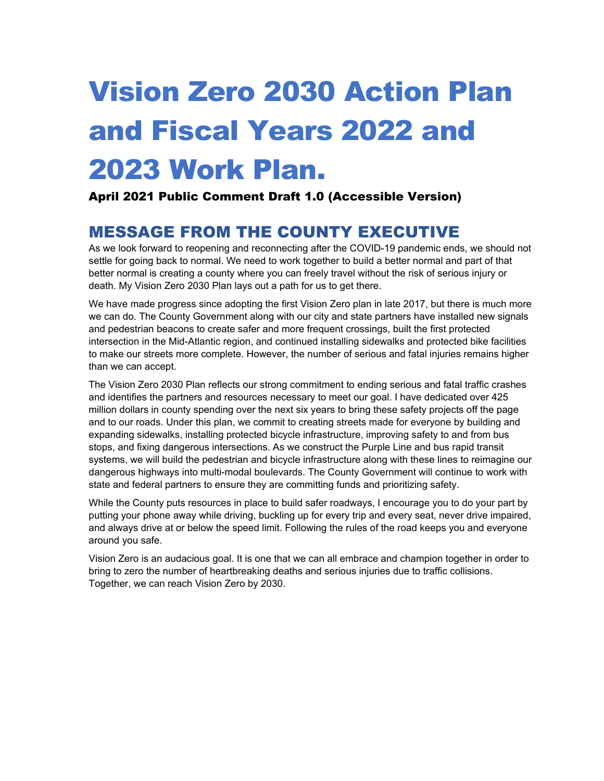# Vision Zero 2030 Action Plan and Fiscal Years 2022 and 2023 Work Plan.

### April 2021 Public Comment Draft 1.0 (Accessible Version)

# MESSAGE FROM THE COUNTY EXECUTIVE

As we look forward to reopening and reconnecting after the COVID-19 pandemic ends, we should not settle for going back to normal. We need to work together to build a better normal and part of that better normal is creating a county where you can freely travel without the risk of serious injury or death. My Vision Zero 2030 Plan lays out a path for us to get there.

We have made progress since adopting the first Vision Zero plan in late 2017, but there is much more we can do. The County Government along with our city and state partners have installed new signals and pedestrian beacons to create safer and more frequent crossings, built the first protected intersection in the Mid-Atlantic region, and continued installing sidewalks and protected bike facilities to make our streets more complete. However, the number of serious and fatal injuries remains higher than we can accept.

The Vision Zero 2030 Plan reflects our strong commitment to ending serious and fatal traffic crashes and identifies the partners and resources necessary to meet our goal. I have dedicated over 425 million dollars in county spending over the next six years to bring these safety projects off the page and to our roads. Under this plan, we commit to creating streets made for everyone by building and expanding sidewalks, installing protected bicycle infrastructure, improving safety to and from bus stops, and fixing dangerous intersections. As we construct the Purple Line and bus rapid transit systems, we will build the pedestrian and bicycle infrastructure along with these lines to reimagine our dangerous highways into multi-modal boulevards. The County Government will continue to work with state and federal partners to ensure they are committing funds and prioritizing safety.

While the County puts resources in place to build safer roadways, I encourage you to do your part by putting your phone away while driving, buckling up for every trip and every seat, never drive impaired, and always drive at or below the speed limit. Following the rules of the road keeps you and everyone around you safe.

Vision Zero is an audacious goal. It is one that we can all embrace and champion together in order to bring to zero the number of heartbreaking deaths and serious injuries due to traffic collisions. Together, we can reach Vision Zero by 2030.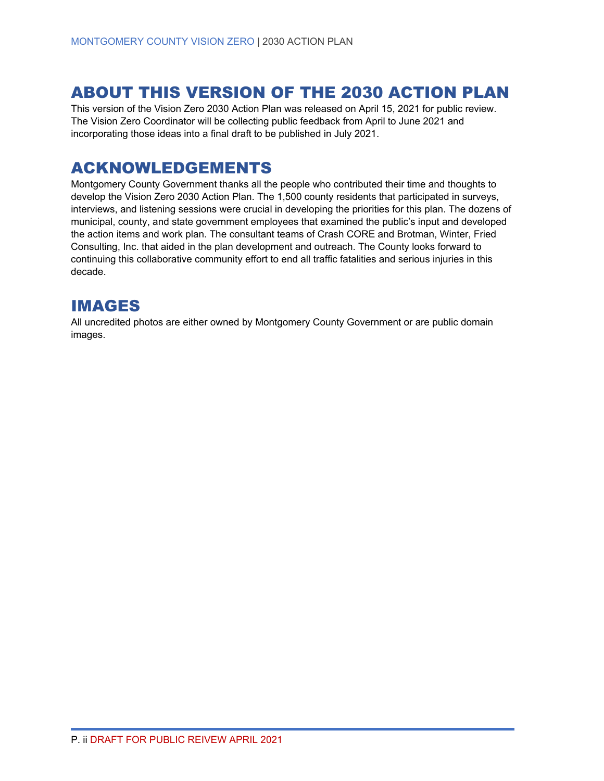# ABOUT THIS VERSION OF THE 2030 ACTION PLAN

This version of the Vision Zero 2030 Action Plan was released on April 15, 2021 for public review. The Vision Zero Coordinator will be collecting public feedback from April to June 2021 and incorporating those ideas into a final draft to be published in July 2021.

# ACKNOWLEDGEMENTS

Montgomery County Government thanks all the people who contributed their time and thoughts to develop the Vision Zero 2030 Action Plan. The 1,500 county residents that participated in surveys, interviews, and listening sessions were crucial in developing the priorities for this plan. The dozens of municipal, county, and state government employees that examined the public's input and developed the action items and work plan. The consultant teams of Crash CORE and Brotman, Winter, Fried Consulting, Inc. that aided in the plan development and outreach. The County looks forward to continuing this collaborative community effort to end all traffic fatalities and serious injuries in this decade.

# IMAGES

All uncredited photos are either owned by Montgomery County Government or are public domain images.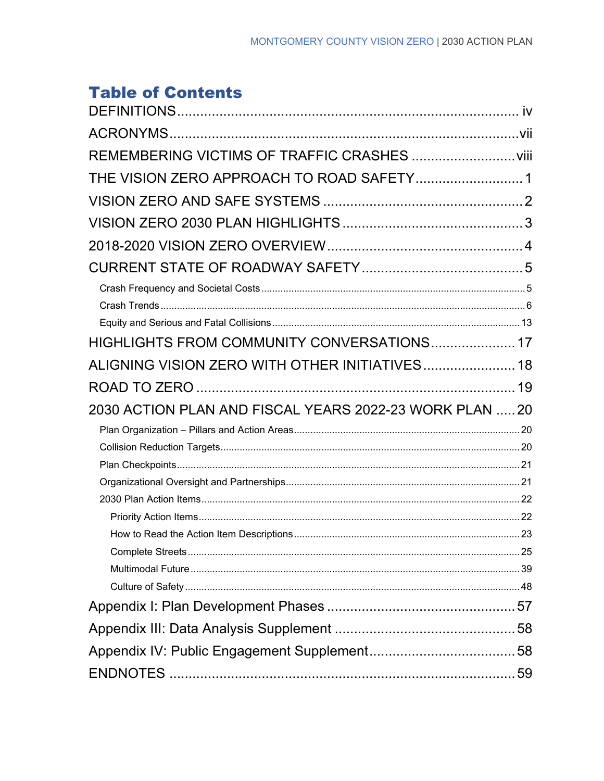# **Table of Contents**

| REMEMBERING VICTIMS OF TRAFFIC CRASHES  viii            |  |
|---------------------------------------------------------|--|
| THE VISION ZERO APPROACH TO ROAD SAFETY 1               |  |
|                                                         |  |
|                                                         |  |
|                                                         |  |
|                                                         |  |
|                                                         |  |
|                                                         |  |
|                                                         |  |
| HIGHLIGHTS FROM COMMUNITY CONVERSATIONS 17              |  |
| ALIGNING VISION ZERO WITH OTHER INITIATIVES 18          |  |
|                                                         |  |
| 2030 ACTION PLAN AND FISCAL YEARS 2022-23 WORK PLAN  20 |  |
|                                                         |  |
|                                                         |  |
|                                                         |  |
|                                                         |  |
|                                                         |  |
|                                                         |  |
|                                                         |  |
|                                                         |  |
|                                                         |  |
|                                                         |  |
|                                                         |  |
|                                                         |  |
|                                                         |  |
|                                                         |  |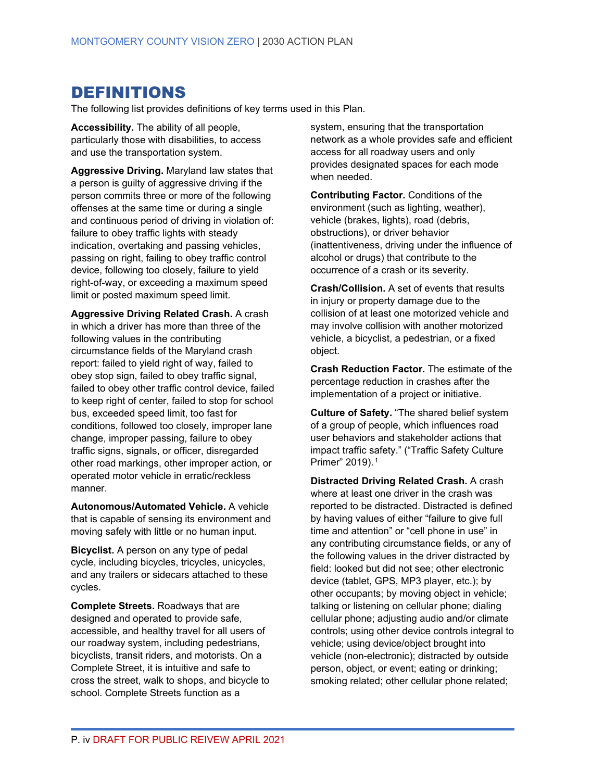# <span id="page-3-0"></span>DEFINITIONS

The following list provides definitions of key terms used in this Plan.

**Accessibility.** The ability of all people, particularly those with disabilities, to access and use the transportation system.

**Aggressive Driving.** Maryland law states that a person is guilty of aggressive driving if the person commits three or more of the following offenses at the same time or during a single and continuous period of driving in violation of: failure to obey traffic lights with steady indication, overtaking and passing vehicles, passing on right, failing to obey traffic control device, following too closely, failure to yield right-of-way, or exceeding a maximum speed limit or posted maximum speed limit.

**Aggressive Driving Related Crash.** A crash in which a driver has more than three of the following values in the contributing circumstance fields of the Maryland crash report: failed to yield right of way, failed to obey stop sign, failed to obey traffic signal, failed to obey other traffic control device, failed to keep right of center, failed to stop for school bus, exceeded speed limit, too fast for conditions, followed too closely, improper lane change, improper passing, failure to obey traffic signs, signals, or officer, disregarded other road markings, other improper action, or operated motor vehicle in erratic/reckless manner.

**Autonomous/Automated Vehicle.** A vehicle that is capable of sensing its environment and moving safely with little or no human input.

**Bicyclist.** A person on any type of pedal cycle, including bicycles, tricycles, unicycles, and any trailers or sidecars attached to these cycles.

**Complete Streets.** Roadways that are designed and operated to provide safe, accessible, and healthy travel for all users of our roadway system, including pedestrians, bicyclists, transit riders, and motorists. On a Complete Street, it is intuitive and safe to cross the street, walk to shops, and bicycle to school. Complete Streets function as a

system, ensuring that the transportation network as a whole provides safe and efficient access for all roadway users and only provides designated spaces for each mode when needed.

**Contributing Factor.** Conditions of the environment (such as lighting, weather), vehicle (brakes, lights), road (debris, obstructions), or driver behavior (inattentiveness, driving under the influence of alcohol or drugs) that contribute to the occurrence of a crash or its severity.

**Crash/Collision.** A set of events that results in injury or property damage due to the collision of at least one motorized vehicle and may involve collision with another motorized vehicle, a bicyclist, a pedestrian, or a fixed object.

**Crash Reduction Factor.** The estimate of the percentage reduction in crashes after the implementation of a project or initiative.

**Culture of Safety.** "The shared belief system of a group of people, which influences road user behaviors and stakeholder actions that impact traffic safety." ("Traffic Safety Culture Primer" 2019). [1](#page-67-0)

**Distracted Driving Related Crash.** A crash where at least one driver in the crash was reported to be distracted. Distracted is defined by having values of either "failure to give full time and attention" or "cell phone in use" in any contributing circumstance fields, or any of the following values in the driver distracted by field: looked but did not see; other electronic device (tablet, GPS, MP3 player, etc.); by other occupants; by moving object in vehicle; talking or listening on cellular phone; dialing cellular phone; adjusting audio and/or climate controls; using other device controls integral to vehicle; using device/object brought into vehicle (non-electronic); distracted by outside person, object, or event; eating or drinking; smoking related; other cellular phone related;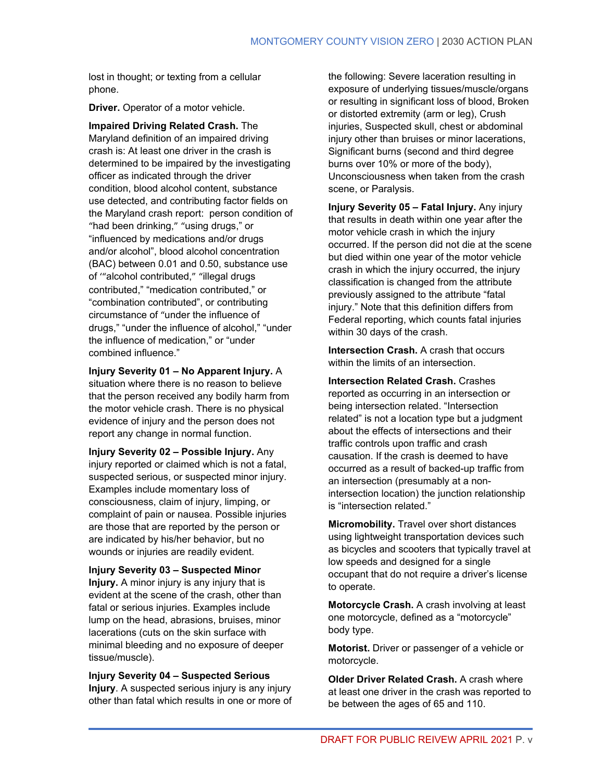lost in thought; or texting from a cellular phone.

**Driver.** Operator of a motor vehicle.

**Impaired Driving Related Crash.** The Maryland definition of an impaired driving crash is: At least one driver in the crash is determined to be impaired by the investigating officer as indicated through the driver condition, blood alcohol content, substance use detected, and contributing factor fields on the Maryland crash report: person condition of "had been drinking," "using drugs," or "influenced by medications and/or drugs and/or alcohol", blood alcohol concentration (BAC) between 0.01 and 0.50, substance use of '"alcohol contributed," "illegal drugs contributed," "medication contributed," or "combination contributed", or contributing circumstance of "under the influence of drugs," "under the influence of alcohol," "under the influence of medication," or "under combined influence."

**Injury Severity 01 – No Apparent Injury.** A situation where there is no reason to believe that the person received any bodily harm from the motor vehicle crash. There is no physical evidence of injury and the person does not report any change in normal function.

**Injury Severity 02 – Possible Injury.** Any injury reported or claimed which is not a fatal, suspected serious, or suspected minor injury. Examples include momentary loss of consciousness, claim of injury, limping, or complaint of pain or nausea. Possible injuries are those that are reported by the person or are indicated by his/her behavior, but no wounds or injuries are readily evident.

**Injury Severity 03 – Suspected Minor Injury.** A minor injury is any injury that is evident at the scene of the crash, other than fatal or serious injuries. Examples include lump on the head, abrasions, bruises, minor lacerations (cuts on the skin surface with minimal bleeding and no exposure of deeper tissue/muscle).

**Injury Severity 04 – Suspected Serious Injury**. A suspected serious injury is any injury other than fatal which results in one or more of the following: Severe laceration resulting in exposure of underlying tissues/muscle/organs or resulting in significant loss of blood, Broken or distorted extremity (arm or leg), Crush injuries, Suspected skull, chest or abdominal injury other than bruises or minor lacerations, Significant burns (second and third degree burns over 10% or more of the body), Unconsciousness when taken from the crash scene, or Paralysis.

**Injury Severity 05 – Fatal Injury.** Any injury that results in death within one year after the motor vehicle crash in which the injury occurred. If the person did not die at the scene but died within one year of the motor vehicle crash in which the injury occurred, the injury classification is changed from the attribute previously assigned to the attribute "fatal injury." Note that this definition differs from Federal reporting, which counts fatal injuries within 30 days of the crash.

**Intersection Crash.** A crash that occurs within the limits of an intersection.

**Intersection Related Crash.** Crashes reported as occurring in an intersection or being intersection related. "Intersection related" is not a location type but a judgment about the effects of intersections and their traffic controls upon traffic and crash causation. If the crash is deemed to have occurred as a result of backed-up traffic from an intersection (presumably at a nonintersection location) the junction relationship is "intersection related."

**Micromobility.** Travel over short distances using lightweight transportation devices such as bicycles and scooters that typically travel at low speeds and designed for a single occupant that do not require a driver's license to operate.

**Motorcycle Crash.** A crash involving at least one motorcycle, defined as a "motorcycle" body type.

**Motorist.** Driver or passenger of a vehicle or motorcycle.

**Older Driver Related Crash.** A crash where at least one driver in the crash was reported to be between the ages of 65 and 110.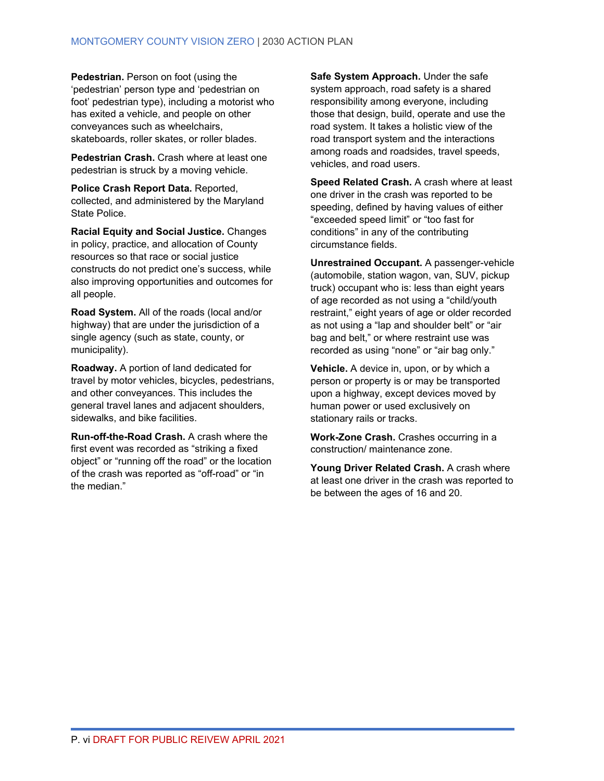**Pedestrian.** Person on foot (using the 'pedestrian' person type and 'pedestrian on foot' pedestrian type), including a motorist who has exited a vehicle, and people on other conveyances such as wheelchairs, skateboards, roller skates, or roller blades.

**Pedestrian Crash.** Crash where at least one pedestrian is struck by a moving vehicle.

**Police Crash Report Data.** Reported, collected, and administered by the Maryland State Police.

**Racial Equity and Social Justice.** Changes in policy, practice, and allocation of County resources so that race or social justice constructs do not predict one's success, while also improving opportunities and outcomes for all people.

**Road System.** All of the roads (local and/or highway) that are under the jurisdiction of a single agency (such as state, county, or municipality).

**Roadway.** A portion of land dedicated for travel by motor vehicles, bicycles, pedestrians, and other conveyances. This includes the general travel lanes and adjacent shoulders, sidewalks, and bike facilities.

**Run-off-the-Road Crash.** A crash where the first event was recorded as "striking a fixed object" or "running off the road" or the location of the crash was reported as "off-road" or "in the median"

**Safe System Approach.** Under the safe system approach, road safety is a shared responsibility among everyone, including those that design, build, operate and use the road system. It takes a holistic view of the road transport system and the interactions among roads and roadsides, travel speeds, vehicles, and road users.

**Speed Related Crash.** A crash where at least one driver in the crash was reported to be speeding, defined by having values of either "exceeded speed limit" or "too fast for conditions" in any of the contributing circumstance fields.

**Unrestrained Occupant.** A passenger-vehicle (automobile, station wagon, van, SUV, pickup truck) occupant who is: less than eight years of age recorded as not using a "child/youth restraint," eight years of age or older recorded as not using a "lap and shoulder belt" or "air bag and belt," or where restraint use was recorded as using "none" or "air bag only."

**Vehicle.** A device in, upon, or by which a person or property is or may be transported upon a highway, except devices moved by human power or used exclusively on stationary rails or tracks.

**Work-Zone Crash.** Crashes occurring in a construction/ maintenance zone.

**Young Driver Related Crash.** A crash where at least one driver in the crash was reported to be between the ages of 16 and 20.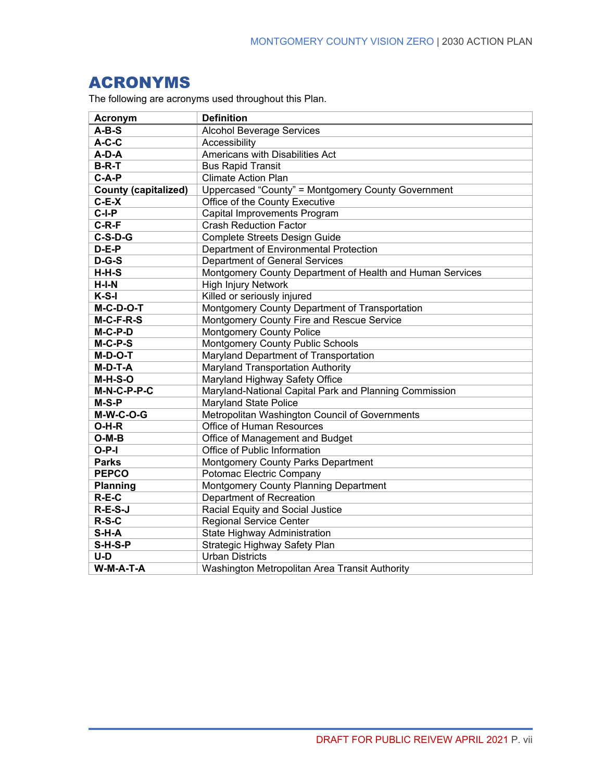# <span id="page-6-0"></span>ACRONYMS

The following are acronyms used throughout this Plan.

| <b>Acronym</b>              | <b>Definition</b>                                         |
|-----------------------------|-----------------------------------------------------------|
| $A-B-S$                     | <b>Alcohol Beverage Services</b>                          |
| $A-C-C$                     | Accessibility                                             |
| A-D-A                       | Americans with Disabilities Act                           |
| <b>B-R-T</b>                | <b>Bus Rapid Transit</b>                                  |
| $C-A-P$                     | <b>Climate Action Plan</b>                                |
| <b>County (capitalized)</b> | Uppercased "County" = Montgomery County Government        |
| $C-E-X$                     | Office of the County Executive                            |
| $\overline{C}$ -I-P         | Capital Improvements Program                              |
| $C-R-F$                     | <b>Crash Reduction Factor</b>                             |
| $C-S-D-G$                   | Complete Streets Design Guide                             |
| $D-E-P$                     | Department of Environmental Protection                    |
| $D-G-S$                     | <b>Department of General Services</b>                     |
| $H-H-S$                     | Montgomery County Department of Health and Human Services |
| $H-I-N$                     | <b>High Injury Network</b>                                |
| $K-S-I$                     | Killed or seriously injured                               |
| M-C-D-O-T                   | Montgomery County Department of Transportation            |
| M-C-F-R-S                   | Montgomery County Fire and Rescue Service                 |
| M-C-P-D                     | <b>Montgomery County Police</b>                           |
| $M-C-P-S$                   | Montgomery County Public Schools                          |
| M-D-O-T                     | Maryland Department of Transportation                     |
| M-D-T-A                     | Maryland Transportation Authority                         |
| $M-H-S-O$                   | Maryland Highway Safety Office                            |
| M-N-C-P-P-C                 | Maryland-National Capital Park and Planning Commission    |
| M-S-P                       | <b>Maryland State Police</b>                              |
| $M-W-C-O-G$                 | Metropolitan Washington Council of Governments            |
| O-H-R                       | Office of Human Resources                                 |
| $O-M-B$                     | Office of Management and Budget                           |
| $O-P-I$                     | Office of Public Information                              |
| <b>Parks</b>                | Montgomery County Parks Department                        |
| <b>PEPCO</b>                | Potomac Electric Company                                  |
| <b>Planning</b>             | Montgomery County Planning Department                     |
| $R-E-C$                     | Department of Recreation                                  |
| $R-E-S-J$                   | Racial Equity and Social Justice                          |
| $R-S-C$                     | <b>Regional Service Center</b>                            |
| $S-H-A$                     | State Highway Administration                              |
| S-H-S-P                     | Strategic Highway Safety Plan                             |
| U-D                         | <b>Urban Districts</b>                                    |
| W-M-A-T-A                   | Washington Metropolitan Area Transit Authority            |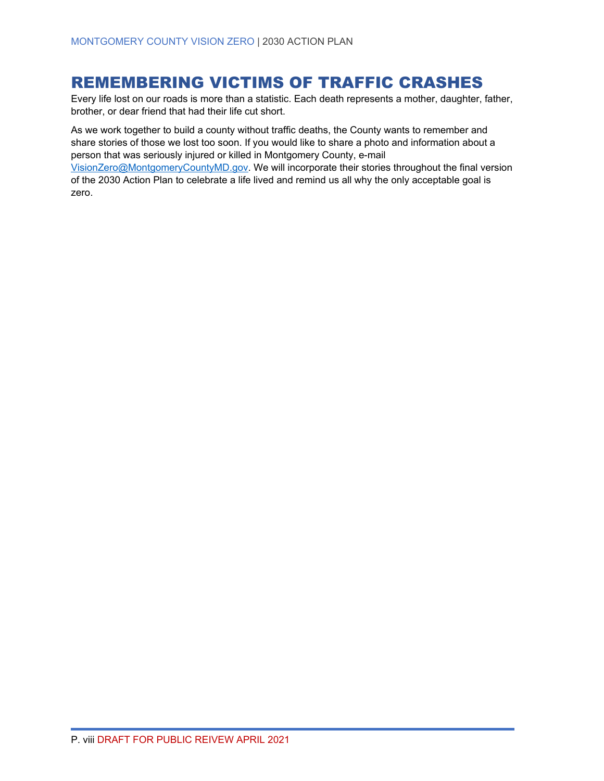# <span id="page-7-0"></span>REMEMBERING VICTIMS OF TRAFFIC CRASHES

Every life lost on our roads is more than a statistic. Each death represents a mother, daughter, father, brother, or dear friend that had their life cut short.

As we work together to build a county without traffic deaths, the County wants to remember and share stories of those we lost too soon. If you would like to share a photo and information about a person that was seriously injured or killed in Montgomery County, e-mail [VisionZero@MontgomeryCountyMD.gov.](mailto:VisionZero@MontgomeryCountyMD.gov) We will incorporate their stories throughout the final version of the 2030 Action Plan to celebrate a life lived and remind us all why the only acceptable goal is zero.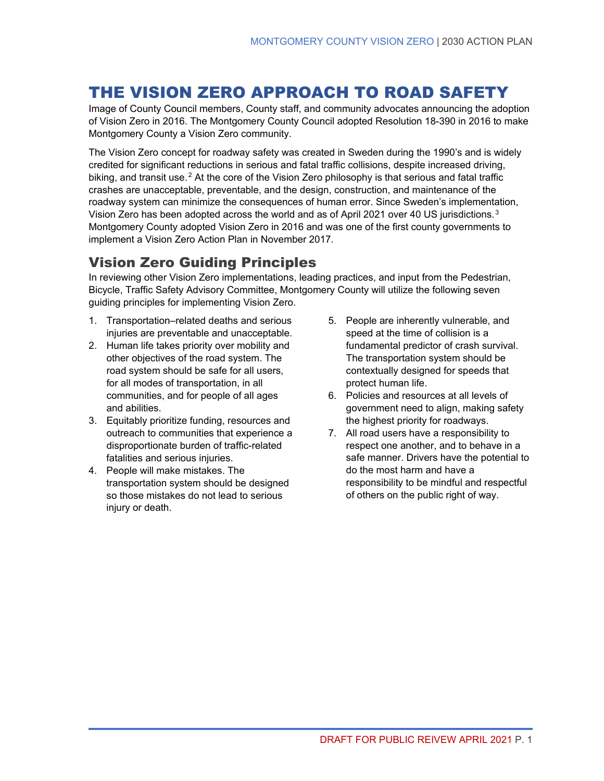# <span id="page-8-0"></span>THE VISION ZERO APPROACH TO ROAD SAFETY

Image of County Council members, County staff, and community advocates announcing the adoption of Vision Zero in 2016. The Montgomery County Council adopted Resolution 18-390 in 2016 to make Montgomery County a Vision Zero community.

The Vision Zero concept for roadway safety was created in Sweden during the 1990's and is widely credited for significant reductions in serious and fatal traffic collisions, despite increased driving, biking, and transit use.<sup>[2](#page-67-1)</sup> At the core of the Vision Zero philosophy is that serious and fatal traffic crashes are unacceptable, preventable, and the design, construction, and maintenance of the roadway system can minimize the consequences of human error. Since Sweden's implementation, Vision Zero has been adopted across the world and as of April 2021 over 40 US jurisdictions.<sup>[3](#page-67-2)</sup> Montgomery County adopted Vision Zero in 2016 and was one of the first county governments to implement a Vision Zero Action Plan in November 2017.

### Vision Zero Guiding Principles

In reviewing other Vision Zero implementations, leading practices, and input from the Pedestrian, Bicycle, Traffic Safety Advisory Committee, Montgomery County will utilize the following seven guiding principles for implementing Vision Zero.

- 1. Transportation–related deaths and serious injuries are preventable and unacceptable.
- 2. Human life takes priority over mobility and other objectives of the road system. The road system should be safe for all users, for all modes of transportation, in all communities, and for people of all ages and abilities.
- 3. Equitably prioritize funding, resources and outreach to communities that experience a disproportionate burden of traffic-related fatalities and serious injuries.
- 4. People will make mistakes. The transportation system should be designed so those mistakes do not lead to serious injury or death.
- 5. People are inherently vulnerable, and speed at the time of collision is a fundamental predictor of crash survival. The transportation system should be contextually designed for speeds that protect human life.
- 6. Policies and resources at all levels of government need to align, making safety the highest priority for roadways.
- 7. All road users have a responsibility to respect one another, and to behave in a safe manner. Drivers have the potential to do the most harm and have a responsibility to be mindful and respectful of others on the public right of way.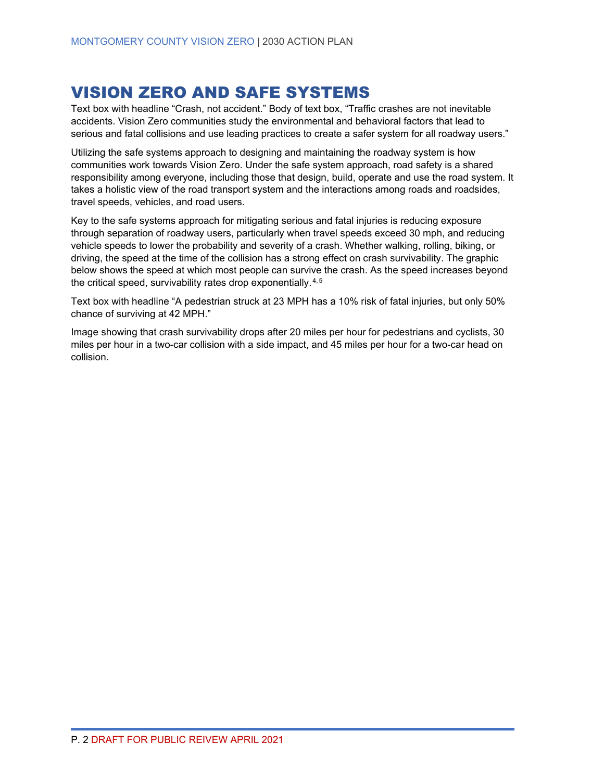# <span id="page-9-0"></span>VISION ZERO AND SAFE SYSTEMS

Text box with headline "Crash, not accident." Body of text box, "Traffic crashes are not inevitable accidents. Vision Zero communities study the environmental and behavioral factors that lead to serious and fatal collisions and use leading practices to create a safer system for all roadway users."

Utilizing the safe systems approach to designing and maintaining the roadway system is how communities work towards Vision Zero. Under the safe system approach, road safety is a shared responsibility among everyone, including those that design, build, operate and use the road system. It takes a holistic view of the road transport system and the interactions among roads and roadsides, travel speeds, vehicles, and road users.

Key to the safe systems approach for mitigating serious and fatal injuries is reducing exposure through separation of roadway users, particularly when travel speeds exceed 30 mph, and reducing vehicle speeds to lower the probability and severity of a crash. Whether walking, rolling, biking, or driving, the speed at the time of the collision has a strong effect on crash survivability. The graphic below shows the speed at which most people can survive the crash. As the speed increases beyond the critical speed, survivability rates drop exponentially.  $4,5$  $4,5$ 

Text box with headline "A pedestrian struck at 23 MPH has a 10% risk of fatal injuries, but only 50% chance of surviving at 42 MPH."

Image showing that crash survivability drops after 20 miles per hour for pedestrians and cyclists, 30 miles per hour in a two-car collision with a side impact, and 45 miles per hour for a two-car head on collision.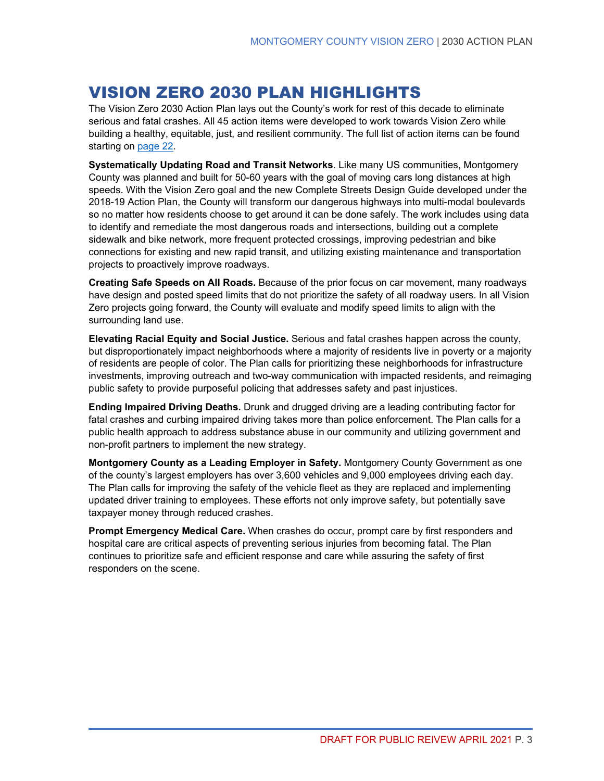# <span id="page-10-0"></span>VISION ZERO 2030 PLAN HIGHLIGHTS

The Vision Zero 2030 Action Plan lays out the County's work for rest of this decade to eliminate serious and fatal crashes. All 45 action items were developed to work towards Vision Zero while building a healthy, equitable, just, and resilient community. The full list of action items can be found starting on [page 22.](#page-29-0)

**Systematically Updating Road and Transit Networks**. Like many US communities, Montgomery County was planned and built for 50-60 years with the goal of moving cars long distances at high speeds. With the Vision Zero goal and the new Complete Streets Design Guide developed under the 2018-19 Action Plan, the County will transform our dangerous highways into multi-modal boulevards so no matter how residents choose to get around it can be done safely. The work includes using data to identify and remediate the most dangerous roads and intersections, building out a complete sidewalk and bike network, more frequent protected crossings, improving pedestrian and bike connections for existing and new rapid transit, and utilizing existing maintenance and transportation projects to proactively improve roadways.

**Creating Safe Speeds on All Roads.** Because of the prior focus on car movement, many roadways have design and posted speed limits that do not prioritize the safety of all roadway users. In all Vision Zero projects going forward, the County will evaluate and modify speed limits to align with the surrounding land use.

**Elevating Racial Equity and Social Justice.** Serious and fatal crashes happen across the county, but disproportionately impact neighborhoods where a majority of residents live in poverty or a majority of residents are people of color. The Plan calls for prioritizing these neighborhoods for infrastructure investments, improving outreach and two-way communication with impacted residents, and reimaging public safety to provide purposeful policing that addresses safety and past injustices.

**Ending Impaired Driving Deaths.** Drunk and drugged driving are a leading contributing factor for fatal crashes and curbing impaired driving takes more than police enforcement. The Plan calls for a public health approach to address substance abuse in our community and utilizing government and non-profit partners to implement the new strategy.

**Montgomery County as a Leading Employer in Safety.** Montgomery County Government as one of the county's largest employers has over 3,600 vehicles and 9,000 employees driving each day. The Plan calls for improving the safety of the vehicle fleet as they are replaced and implementing updated driver training to employees. These efforts not only improve safety, but potentially save taxpayer money through reduced crashes.

**Prompt Emergency Medical Care.** When crashes do occur, prompt care by first responders and hospital care are critical aspects of preventing serious injuries from becoming fatal. The Plan continues to prioritize safe and efficient response and care while assuring the safety of first responders on the scene.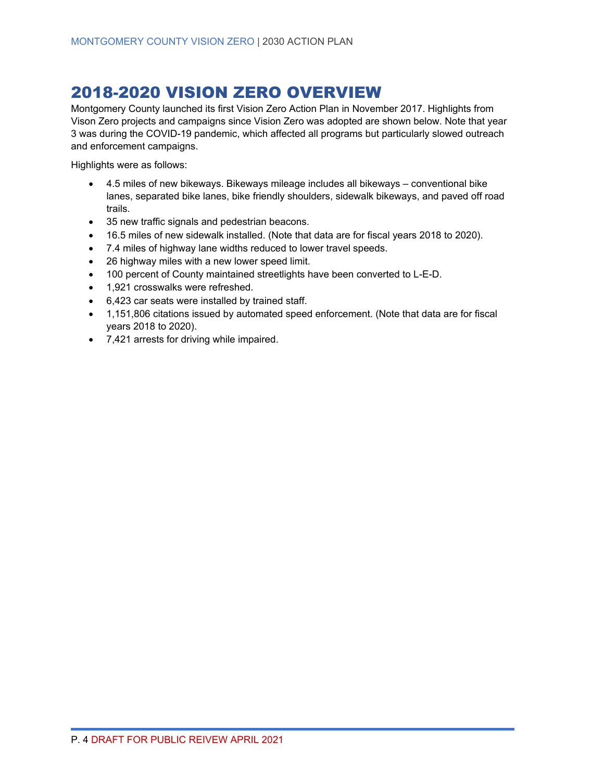# <span id="page-11-0"></span>2018-2020 VISION ZERO OVERVIEW

Montgomery County launched its first Vision Zero Action Plan in November 2017. Highlights from Vison Zero projects and campaigns since Vision Zero was adopted are shown below. Note that year 3 was during the COVID-19 pandemic, which affected all programs but particularly slowed outreach and enforcement campaigns.

Highlights were as follows:

- 4.5 miles of new bikeways. Bikeways mileage includes all bikeways conventional bike lanes, separated bike lanes, bike friendly shoulders, sidewalk bikeways, and paved off road trails.
- 35 new traffic signals and pedestrian beacons.
- 16.5 miles of new sidewalk installed. (Note that data are for fiscal years 2018 to 2020).
- 7.4 miles of highway lane widths reduced to lower travel speeds.
- 26 highway miles with a new lower speed limit.
- 100 percent of County maintained streetlights have been converted to L-E-D.
- 1,921 crosswalks were refreshed.
- 6,423 car seats were installed by trained staff.
- 1,151,806 citations issued by automated speed enforcement. (Note that data are for fiscal years 2018 to 2020).
- 7,421 arrests for driving while impaired.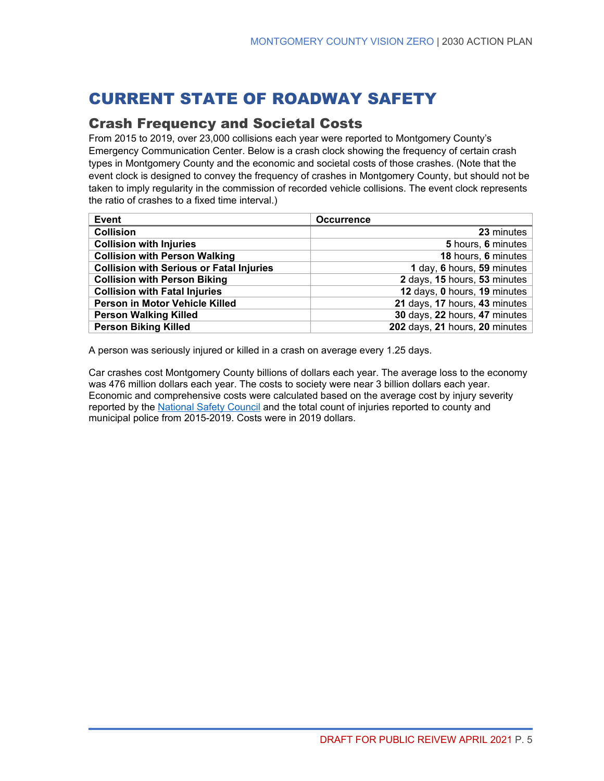# <span id="page-12-0"></span>CURRENT STATE OF ROADWAY SAFETY

### <span id="page-12-1"></span>Crash Frequency and Societal Costs

From 2015 to 2019, over 23,000 collisions each year were reported to Montgomery County's Emergency Communication Center. Below is a crash clock showing the frequency of certain crash types in Montgomery County and the economic and societal costs of those crashes. (Note that the event clock is designed to convey the frequency of crashes in Montgomery County, but should not be taken to imply regularity in the commission of recorded vehicle collisions. The event clock represents the ratio of crashes to a fixed time interval.)

| Event                                           | <b>Occurrence</b>              |
|-------------------------------------------------|--------------------------------|
| <b>Collision</b>                                | 23 minutes                     |
| <b>Collision with Injuries</b>                  | 5 hours, 6 minutes             |
| <b>Collision with Person Walking</b>            | 18 hours, 6 minutes            |
| <b>Collision with Serious or Fatal Injuries</b> | 1 day, 6 hours, 59 minutes     |
| <b>Collision with Person Biking</b>             | 2 days, 15 hours, 53 minutes   |
| <b>Collision with Fatal Injuries</b>            | 12 days, 0 hours, 19 minutes   |
| Person in Motor Vehicle Killed                  | 21 days, 17 hours, 43 minutes  |
| <b>Person Walking Killed</b>                    | 30 days, 22 hours, 47 minutes  |
| <b>Person Biking Killed</b>                     | 202 days, 21 hours, 20 minutes |

A person was seriously injured or killed in a crash on average every 1.25 days.

<span id="page-12-2"></span>Car crashes cost Montgomery County billions of dollars each year. The average loss to the economy was 476 million dollars each year. The costs to society were near 3 billion dollars each year. Economic and comprehensive costs were calculated based on the average cost by injury severity reported by the [National Safety Council](https://injuryfacts.nsc.org/all-injuries/costs/guide-to-calculating-costs/) and the total count of injuries reported to county and municipal police from 2015-2019. Costs were in 2019 dollars.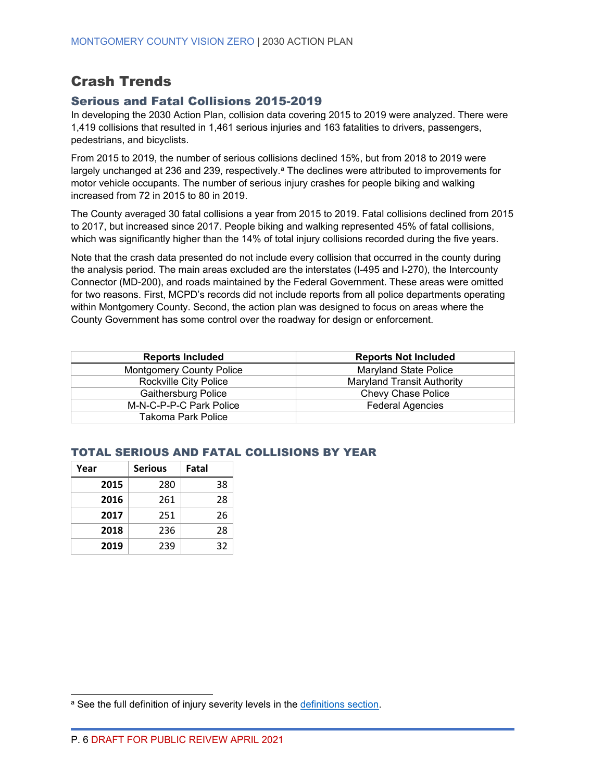# Crash Trends

### Serious and Fatal Collisions 2015-2019

In developing the 2030 Action Plan, collision data covering 2015 to 2019 were analyzed. There were 1,419 collisions that resulted in 1,461 serious injuries and 163 fatalities to drivers, passengers, pedestrians, and bicyclists.

From 2015 to 2019, the number of serious collisions declined 15%, but from 2018 to 2019 were l[a](#page-13-0)rgely unchanged at 236 and 239, respectively.<sup>a</sup> The declines were attributed to improvements for motor vehicle occupants. The number of serious injury crashes for people biking and walking increased from 72 in 2015 to 80 in 2019.

The County averaged 30 fatal collisions a year from 2015 to 2019. Fatal collisions declined from 2015 to 2017, but increased since 2017. People biking and walking represented 45% of fatal collisions, which was significantly higher than the 14% of total injury collisions recorded during the five years.

Note that the crash data presented do not include every collision that occurred in the county during the analysis period. The main areas excluded are the interstates (I-495 and I-270), the Intercounty Connector (MD-200), and roads maintained by the Federal Government. These areas were omitted for two reasons. First, MCPD's records did not include reports from all police departments operating within Montgomery County. Second, the action plan was designed to focus on areas where the County Government has some control over the roadway for design or enforcement.

| <b>Reports Included</b>         | <b>Reports Not Included</b>       |
|---------------------------------|-----------------------------------|
| <b>Montgomery County Police</b> | <b>Maryland State Police</b>      |
| Rockville City Police           | <b>Maryland Transit Authority</b> |
| <b>Gaithersburg Police</b>      | Chevy Chase Police                |
| M-N-C-P-P-C Park Police         | <b>Federal Agencies</b>           |
| Takoma Park Police              |                                   |

### TOTAL SERIOUS AND FATAL COLLISIONS BY YEAR

| Year | <b>Serious</b> | Fatal |
|------|----------------|-------|
| 2015 | 280            | 38    |
| 2016 | 261            | 28    |
| 2017 | 251            | 26    |
| 2018 | 236            | 28    |
| 2019 | 239            | 32    |

<span id="page-13-0"></span>a See the full definition of injury severity levels in the [definitions](#page-3-0) section.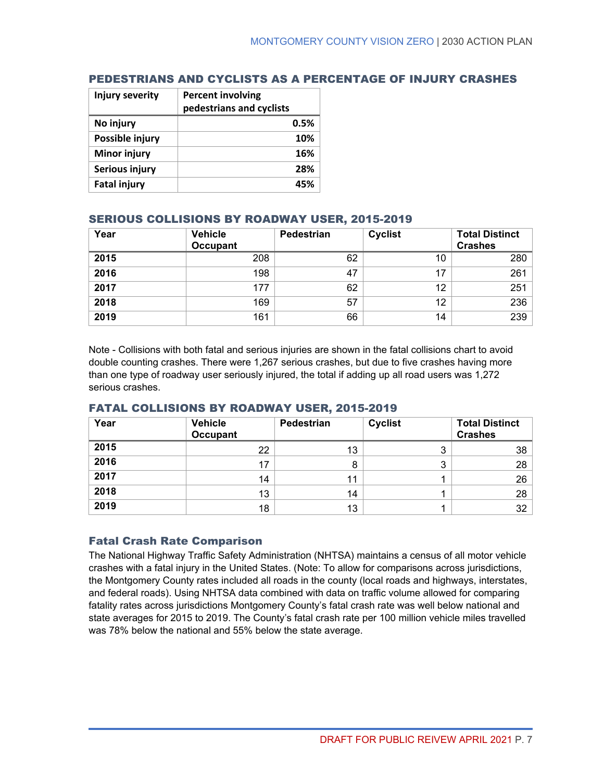| Injury severity     | <b>Percent involving</b><br>pedestrians and cyclists |
|---------------------|------------------------------------------------------|
| No injury           | 0.5%                                                 |
| Possible injury     | 10%                                                  |
| <b>Minor injury</b> | 16%                                                  |
| Serious injury      | 28%                                                  |
| <b>Fatal injury</b> |                                                      |

### PEDESTRIANS AND CYCLISTS AS A PERCENTAGE OF INJURY CRASHES

### SERIOUS COLLISIONS BY ROADWAY USER, 2015-2019

| Year | <b>Vehicle</b><br><b>Occupant</b> | Pedestrian | <b>Cyclist</b> | <b>Total Distinct</b><br><b>Crashes</b> |
|------|-----------------------------------|------------|----------------|-----------------------------------------|
| 2015 | 208                               | 62         | 10             | 280                                     |
| 2016 | 198                               | 47         |                | 261                                     |
| 2017 | 177                               | 62         | 12             | 251                                     |
| 2018 | 169                               | 57         | 12             | 236                                     |
| 2019 | 161                               | 66         | 14             | 239                                     |

Note - Collisions with both fatal and serious injuries are shown in the fatal collisions chart to avoid double counting crashes. There were 1,267 serious crashes, but due to five crashes having more than one type of roadway user seriously injured, the total if adding up all road users was 1,272 serious crashes.

| Year | <b>Vehicle</b><br><b>Occupant</b> | Pedestrian | <b>Cyclist</b> | <b>Total Distinct</b><br><b>Crashes</b> |
|------|-----------------------------------|------------|----------------|-----------------------------------------|
| 2015 | 22                                | 13         |                | 38                                      |
| 2016 | 17                                | 8          | ◠<br>J         | 28                                      |
| 2017 | 14                                | 11         |                | 26                                      |
| 2018 | 13                                | 14         |                | 28                                      |
| 2019 | 18                                | 13         |                | 32                                      |

### FATAL COLLISIONS BY ROADWAY USER, 2015-2019

#### Fatal Crash Rate Comparison

The National Highway Traffic Safety Administration (NHTSA) maintains a census of all motor vehicle crashes with a fatal injury in the United States. (Note: To allow for comparisons across jurisdictions, the Montgomery County rates included all roads in the county (local roads and highways, interstates, and federal roads). Using NHTSA data combined with data on traffic volume allowed for comparing fatality rates across jurisdictions Montgomery County's fatal crash rate was well below national and state averages for 2015 to 2019. The County's fatal crash rate per 100 million vehicle miles travelled was 78% below the national and 55% below the state average.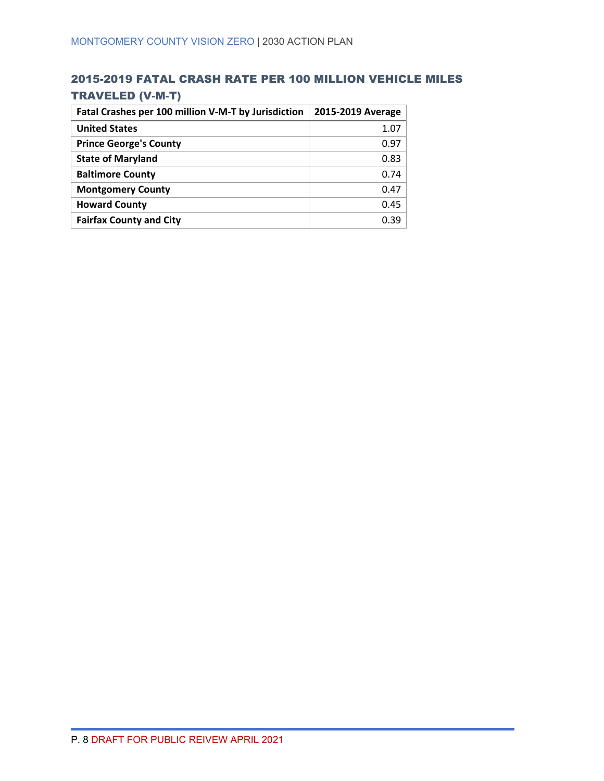### 2015-2019 FATAL CRASH RATE PER 100 MILLION VEHICLE MILES TRAVELED (V-M-T)

| Fatal Crashes per 100 million V-M-T by Jurisdiction | 2015-2019 Average |
|-----------------------------------------------------|-------------------|
| <b>United States</b>                                | 1.07              |
| <b>Prince George's County</b>                       | 0.97              |
| <b>State of Maryland</b>                            | 0.83              |
| <b>Baltimore County</b>                             | 0.74              |
| <b>Montgomery County</b>                            | 0.47              |
| <b>Howard County</b>                                | 0.45              |
| <b>Fairfax County and City</b>                      | 0.39              |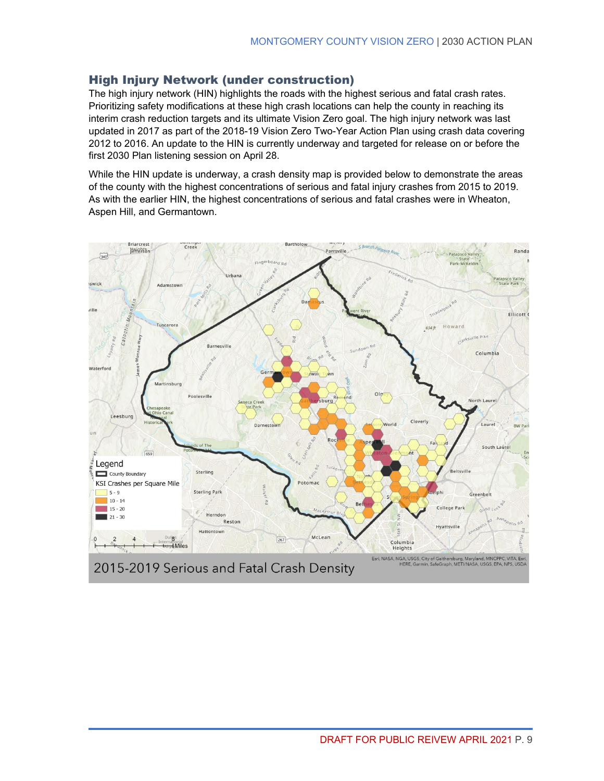### High Injury Network (under construction)

The high injury network (HIN) highlights the roads with the highest serious and fatal crash rates. Prioritizing safety modifications at these high crash locations can help the county in reaching its interim crash reduction targets and its ultimate Vision Zero goal. The high injury network was last updated in 2017 as part of the 2018-19 Vision Zero Two-Year Action Plan using crash data covering 2012 to 2016. An update to the HIN is currently underway and targeted for release on or before the first 2030 Plan listening session on April 28.

While the HIN update is underway, a crash density map is provided below to demonstrate the areas of the county with the highest concentrations of serious and fatal injury crashes from 2015 to 2019. As with the earlier HIN, the highest concentrations of serious and fatal crashes were in Wheaton, Aspen Hill, and Germantown.

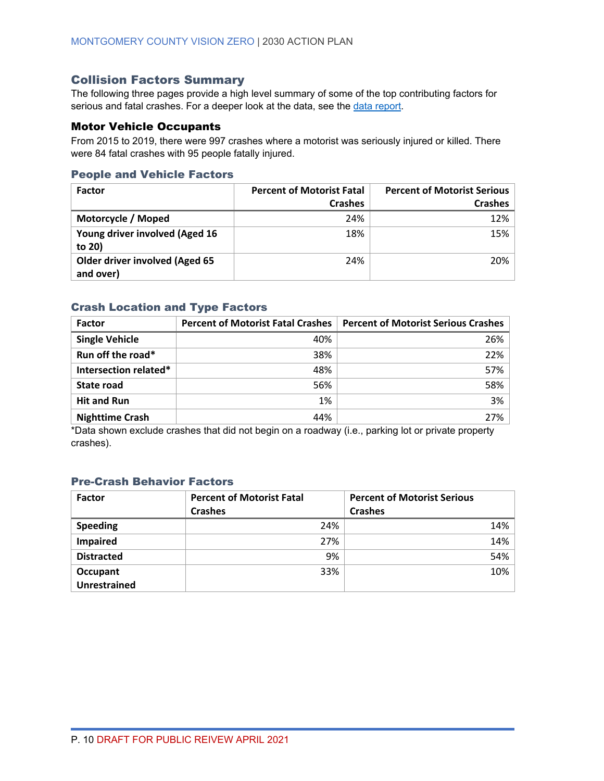### Collision Factors Summary

The following three pages provide a high level summary of some of the top contributing factors for serious and fatal crashes. For a deeper look at the data, see the [data report.](https://www.montgomerycountymd.gov/visionzero/Resources/Files/vz2030-data.pdf)

### Motor Vehicle Occupants

From 2015 to 2019, there were 997 crashes where a motorist was seriously injured or killed. There were 84 fatal crashes with 95 people fatally injured.

#### People and Vehicle Factors

| <b>Factor</b>                                      | <b>Percent of Motorist Fatal</b> | <b>Percent of Motorist Serious</b> |
|----------------------------------------------------|----------------------------------|------------------------------------|
|                                                    | <b>Crashes</b>                   | <b>Crashes</b>                     |
| Motorcycle / Moped                                 | 24%                              | 12%                                |
| Young driver involved (Aged 16<br>to 20)           | 18%                              | 15%                                |
| <b>Older driver involved (Aged 65</b><br>and over) | 24%                              | 20%                                |

#### Crash Location and Type Factors

| Factor                 | <b>Percent of Motorist Fatal Crashes</b> | <b>Percent of Motorist Serious Crashes</b> |
|------------------------|------------------------------------------|--------------------------------------------|
| <b>Single Vehicle</b>  | 40%                                      | 26%                                        |
| Run off the road*      | 38%                                      | 22%                                        |
| Intersection related*  | 48%                                      | 57%                                        |
| State road             | 56%                                      | 58%                                        |
| <b>Hit and Run</b>     | 1%                                       | 3%                                         |
| <b>Nighttime Crash</b> | 44%                                      | 27%                                        |

\*Data shown exclude crashes that did not begin on a roadway (i.e., parking lot or private property crashes).

### Pre-Crash Behavior Factors

| <b>Factor</b>       | <b>Percent of Motorist Fatal</b><br><b>Crashes</b> | <b>Percent of Motorist Serious</b><br><b>Crashes</b> |
|---------------------|----------------------------------------------------|------------------------------------------------------|
| <b>Speeding</b>     | 24%                                                | 14%                                                  |
| <b>Impaired</b>     | 27%                                                | 14%                                                  |
| <b>Distracted</b>   | 9%                                                 | 54%                                                  |
| Occupant            | 33%                                                | 10%                                                  |
| <b>Unrestrained</b> |                                                    |                                                      |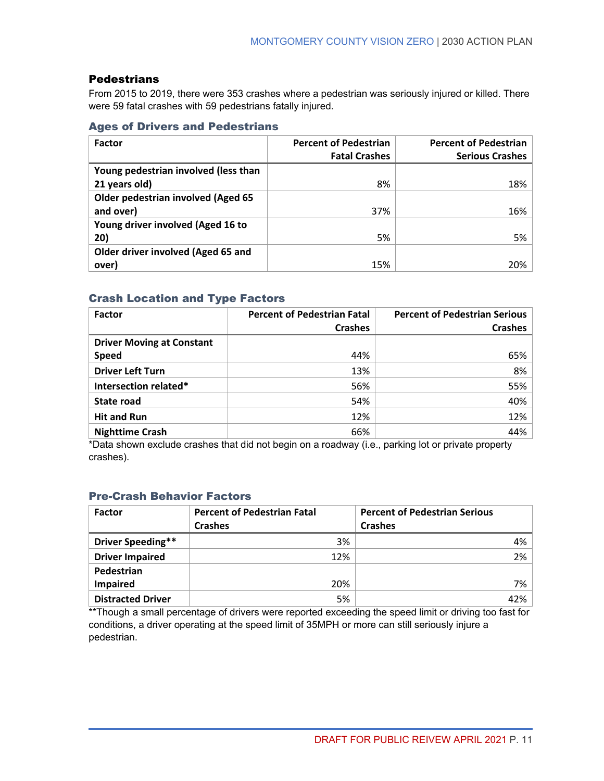### **Pedestrians**

From 2015 to 2019, there were 353 crashes where a pedestrian was seriously injured or killed. There were 59 fatal crashes with 59 pedestrians fatally injured.

### Ages of Drivers and Pedestrians

| <b>Factor</b>                             | <b>Percent of Pedestrian</b> | <b>Percent of Pedestrian</b> |
|-------------------------------------------|------------------------------|------------------------------|
|                                           | <b>Fatal Crashes</b>         | <b>Serious Crashes</b>       |
| Young pedestrian involved (less than      |                              |                              |
| 21 years old)                             | 8%                           | 18%                          |
| <b>Older pedestrian involved (Aged 65</b> |                              |                              |
| and over)                                 | 37%                          | 16%                          |
| Young driver involved (Aged 16 to         |                              |                              |
| 20)                                       | 5%                           | 5%                           |
| Older driver involved (Aged 65 and        |                              |                              |
| over)                                     | 15%                          | 20%                          |

### Crash Location and Type Factors

| <b>Factor</b>                    | <b>Percent of Pedestrian Fatal</b> | <b>Percent of Pedestrian Serious</b> |
|----------------------------------|------------------------------------|--------------------------------------|
|                                  | <b>Crashes</b>                     | <b>Crashes</b>                       |
| <b>Driver Moving at Constant</b> |                                    |                                      |
| <b>Speed</b>                     | 44%                                | 65%                                  |
| <b>Driver Left Turn</b>          | 13%                                | 8%                                   |
| Intersection related*            | 56%                                | 55%                                  |
| <b>State road</b>                | 54%                                | 40%                                  |
| <b>Hit and Run</b>               | 12%                                | 12%                                  |
| <b>Nighttime Crash</b>           | 66%                                | 44%                                  |

\*Data shown exclude crashes that did not begin on a roadway (i.e., parking lot or private property crashes).

### Pre-Crash Behavior Factors

| <b>Factor</b>            | <b>Percent of Pedestrian Fatal</b> | <b>Percent of Pedestrian Serious</b> |
|--------------------------|------------------------------------|--------------------------------------|
|                          | <b>Crashes</b>                     | <b>Crashes</b>                       |
| Driver Speeding**        | 3%                                 | $4\%$                                |
| <b>Driver Impaired</b>   | 12%                                | $2\%$                                |
| Pedestrian               |                                    |                                      |
| <b>Impaired</b>          | 20%                                | 7% l                                 |
| <b>Distracted Driver</b> | 5%                                 | 42%                                  |

\*\*Though a small percentage of drivers were reported exceeding the speed limit or driving too fast for conditions, a driver operating at the speed limit of 35MPH or more can still seriously injure a pedestrian.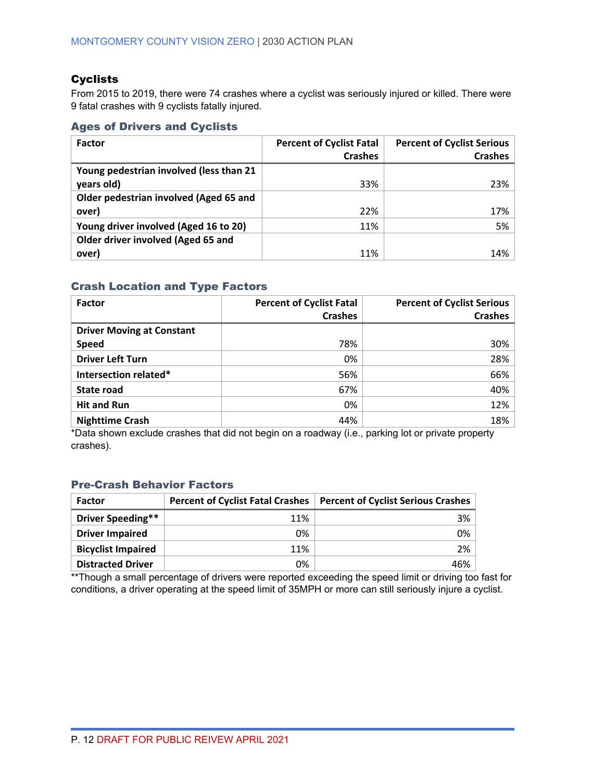### **Cyclists**

From 2015 to 2019, there were 74 crashes where a cyclist was seriously injured or killed. There were 9 fatal crashes with 9 cyclists fatally injured.

#### Ages of Drivers and Cyclists

| <b>Factor</b>                           | <b>Percent of Cyclist Fatal</b> | <b>Percent of Cyclist Serious</b> |
|-----------------------------------------|---------------------------------|-----------------------------------|
|                                         | <b>Crashes</b>                  | <b>Crashes</b>                    |
| Young pedestrian involved (less than 21 |                                 |                                   |
| years old)                              | 33%                             | 23%                               |
| Older pedestrian involved (Aged 65 and  |                                 |                                   |
| over)                                   | 22%                             | 17%                               |
| Young driver involved (Aged 16 to 20)   | 11%                             | 5%                                |
| Older driver involved (Aged 65 and      |                                 |                                   |
| over)                                   | 11%                             | 14%                               |

### Crash Location and Type Factors

| <b>Factor</b>                    | <b>Percent of Cyclist Fatal</b> | <b>Percent of Cyclist Serious</b> |
|----------------------------------|---------------------------------|-----------------------------------|
|                                  | <b>Crashes</b>                  | <b>Crashes</b>                    |
| <b>Driver Moving at Constant</b> |                                 |                                   |
| <b>Speed</b>                     | 78%                             | 30%                               |
| <b>Driver Left Turn</b>          | 0%                              | 28%                               |
| Intersection related*            | 56%                             | 66%                               |
| State road                       | 67%                             | 40%                               |
| <b>Hit and Run</b>               | 0%                              | 12%                               |
| <b>Nighttime Crash</b>           | 44%                             | 18%                               |

\*Data shown exclude crashes that did not begin on a roadway (i.e., parking lot or private property crashes).

### Pre-Crash Behavior Factors

| <b>Factor</b>             |     | Percent of Cyclist Fatal Crashes   Percent of Cyclist Serious Crashes |
|---------------------------|-----|-----------------------------------------------------------------------|
| Driver Speeding**         | 11% | 3%                                                                    |
| <b>Driver Impaired</b>    | 0%  | 0%                                                                    |
| <b>Bicyclist Impaired</b> | 11% | 2%                                                                    |
| <b>Distracted Driver</b>  | 0%  | 46%                                                                   |

\*\*Though a small percentage of drivers were reported exceeding the speed limit or driving too fast for conditions, a driver operating at the speed limit of 35MPH or more can still seriously injure a cyclist.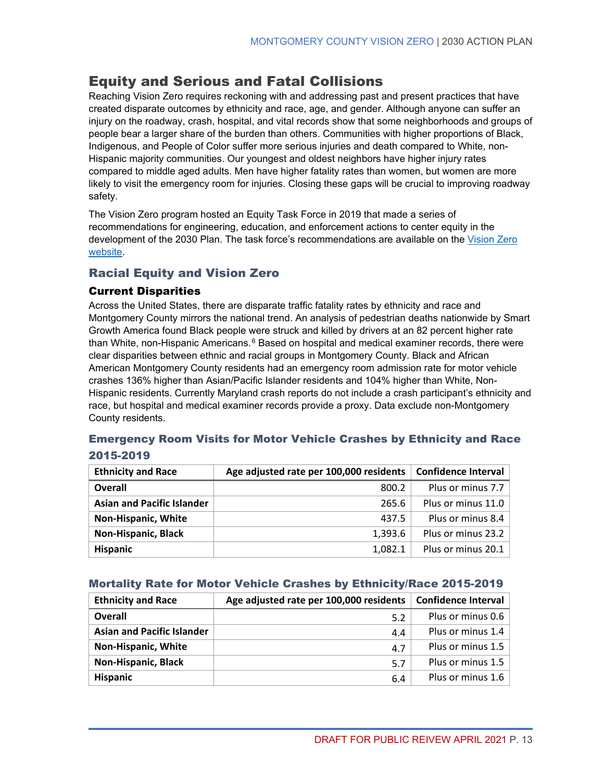# <span id="page-20-0"></span>Equity and Serious and Fatal Collisions

Reaching Vision Zero requires reckoning with and addressing past and present practices that have created disparate outcomes by ethnicity and race, age, and gender. Although anyone can suffer an injury on the roadway, crash, hospital, and vital records show that some neighborhoods and groups of people bear a larger share of the burden than others. Communities with higher proportions of Black, Indigenous, and People of Color suffer more serious injuries and death compared to White, non-Hispanic majority communities. Our youngest and oldest neighbors have higher injury rates compared to middle aged adults. Men have higher fatality rates than women, but women are more likely to visit the emergency room for injuries. Closing these gaps will be crucial to improving roadway safety.

The Vision Zero program hosted an Equity Task Force in 2019 that made a series of recommendations for engineering, education, and enforcement actions to center equity in the development of the 2030 Plan. The task force's recommendations are available on the [Vision Zero](https://www.montgomerycountymd.gov/visionzero/Resources/Files/Equity%20Task%20Force%20Framework%20FINAL.pdf)  [website.](https://www.montgomerycountymd.gov/visionzero/Resources/Files/Equity%20Task%20Force%20Framework%20FINAL.pdf)

### Racial Equity and Vision Zero

### Current Disparities

Across the United States, there are disparate traffic fatality rates by ethnicity and race and Montgomery County mirrors the national trend. An analysis of pedestrian deaths nationwide by Smart Growth America found Black people were struck and killed by drivers at an 82 percent higher rate than White, non-Hispanic Americans.<sup>[6](#page-67-5)</sup> Based on hospital and medical examiner records, there were clear disparities between ethnic and racial groups in Montgomery County. Black and African American Montgomery County residents had an emergency room admission rate for motor vehicle crashes 136% higher than Asian/Pacific Islander residents and 104% higher than White, Non-Hispanic residents. Currently Maryland crash reports do not include a crash participant's ethnicity and race, but hospital and medical examiner records provide a proxy. Data exclude non-Montgomery County residents.

### Emergency Room Visits for Motor Vehicle Crashes by Ethnicity and Race 2015-2019

| <b>Ethnicity and Race</b>         | Age adjusted rate per 100,000 residents | <b>Confidence Interval</b> |
|-----------------------------------|-----------------------------------------|----------------------------|
| <b>Overall</b>                    | 800.2                                   | Plus or minus 7.7          |
| <b>Asian and Pacific Islander</b> | 265.6                                   | Plus or minus 11.0         |
| Non-Hispanic, White               | 437.5                                   | Plus or minus 8.4          |
| <b>Non-Hispanic, Black</b>        | 1,393.6                                 | Plus or minus 23.2         |
| <b>Hispanic</b>                   | 1,082.1                                 | Plus or minus 20.1         |

### Mortality Rate for Motor Vehicle Crashes by Ethnicity/Race 2015-2019

| <b>Ethnicity and Race</b>         | Age adjusted rate per 100,000 residents | <b>Confidence Interval</b> |
|-----------------------------------|-----------------------------------------|----------------------------|
| <b>Overall</b>                    | 5.2                                     | Plus or minus 0.6          |
| <b>Asian and Pacific Islander</b> | 4.4                                     | Plus or minus 1.4          |
| <b>Non-Hispanic, White</b>        | 4.7                                     | Plus or minus 1.5          |
| <b>Non-Hispanic, Black</b>        | 5.7                                     | Plus or minus 1.5          |
| <b>Hispanic</b>                   | 6.4                                     | Plus or minus 1.6          |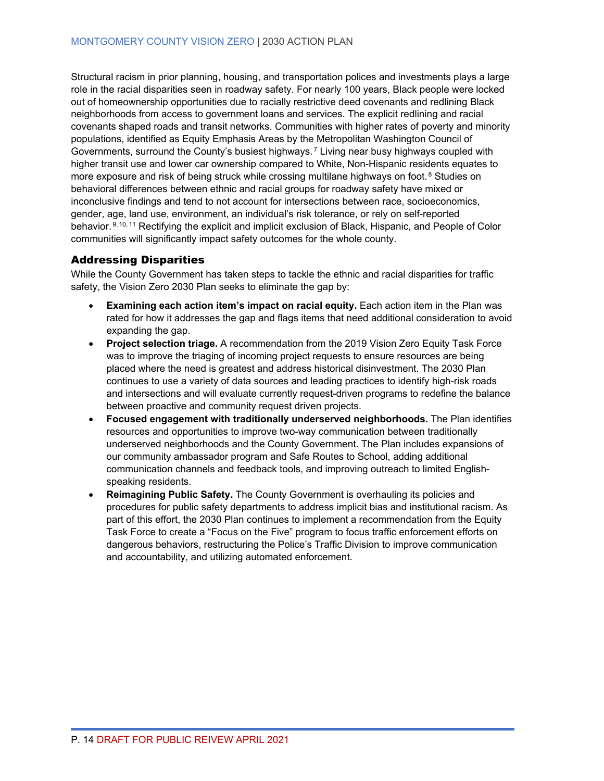Structural racism in prior planning, housing, and transportation polices and investments plays a large role in the racial disparities seen in roadway safety. For nearly 100 years, Black people were locked out of homeownership opportunities due to racially restrictive deed covenants and redlining Black neighborhoods from access to government loans and services. The explicit redlining and racial covenants shaped roads and transit networks. Communities with higher rates of poverty and minority populations, identified as Equity Emphasis Areas by the Metropolitan Washington Council of Governments, surround the County's busiest highways. [7](#page-67-6) Living near busy highways coupled with higher transit use and lower car ownership compared to White, Non-Hispanic residents equates to more exposure and risk of being struck while crossing multilane highways on foot.<sup>[8](#page-67-7)</sup> Studies on behavioral differences between ethnic and racial groups for roadway safety have mixed or inconclusive findings and tend to not account for intersections between race, socioeconomics, gender, age, land use, environment, an individual's risk tolerance, or rely on self-reported behavior. [9,](#page-67-8) [10,](#page-67-9) [11](#page-67-10) Rectifying the explicit and implicit exclusion of Black, Hispanic, and People of Color communities will significantly impact safety outcomes for the whole county.

### Addressing Disparities

While the County Government has taken steps to tackle the ethnic and racial disparities for traffic safety, the Vision Zero 2030 Plan seeks to eliminate the gap by:

- **Examining each action item's impact on racial equity.** Each action item in the Plan was rated for how it addresses the gap and flags items that need additional consideration to avoid expanding the gap.
- **Project selection triage.** A recommendation from the 2019 Vision Zero Equity Task Force was to improve the triaging of incoming project requests to ensure resources are being placed where the need is greatest and address historical disinvestment. The 2030 Plan continues to use a variety of data sources and leading practices to identify high-risk roads and intersections and will evaluate currently request-driven programs to redefine the balance between proactive and community request driven projects.
- **Focused engagement with traditionally underserved neighborhoods.** The Plan identifies resources and opportunities to improve two-way communication between traditionally underserved neighborhoods and the County Government. The Plan includes expansions of our community ambassador program and Safe Routes to School, adding additional communication channels and feedback tools, and improving outreach to limited Englishspeaking residents.
- **Reimagining Public Safety.** The County Government is overhauling its policies and procedures for public safety departments to address implicit bias and institutional racism. As part of this effort, the 2030 Plan continues to implement a recommendation from the Equity Task Force to create a "Focus on the Five" program to focus traffic enforcement efforts on dangerous behaviors, restructuring the Police's Traffic Division to improve communication and accountability, and utilizing automated enforcement.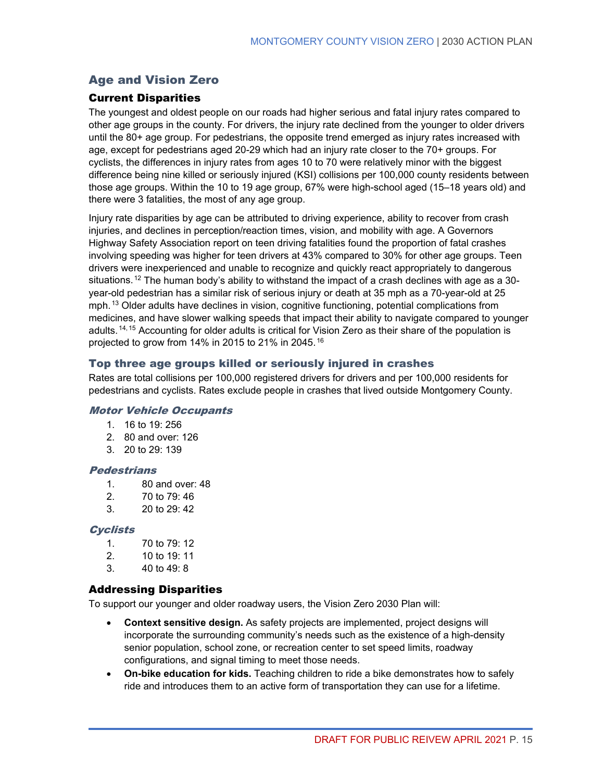### Age and Vision Zero

### Current Disparities

The youngest and oldest people on our roads had higher serious and fatal injury rates compared to other age groups in the county. For drivers, the injury rate declined from the younger to older drivers until the 80+ age group. For pedestrians, the opposite trend emerged as injury rates increased with age, except for pedestrians aged 20-29 which had an injury rate closer to the 70+ groups. For cyclists, the differences in injury rates from ages 10 to 70 were relatively minor with the biggest difference being nine killed or seriously injured (KSI) collisions per 100,000 county residents between those age groups. Within the 10 to 19 age group, 67% were high-school aged (15–18 years old) and there were 3 fatalities, the most of any age group.

Injury rate disparities by age can be attributed to driving experience, ability to recover from crash injuries, and declines in perception/reaction times, vision, and mobility with age. A Governors Highway Safety Association report on teen driving fatalities found the proportion of fatal crashes involving speeding was higher for teen drivers at 43% compared to 30% for other age groups. Teen drivers were inexperienced and unable to recognize and quickly react appropriately to dangerous situations. <sup>[12](#page-67-11)</sup> The human body's ability to withstand the impact of a crash declines with age as a 30year-old pedestrian has a similar risk of serious injury or death at 35 mph as a 70-year-old at 25 mph. <sup>[13](#page-67-12)</sup> Older adults have declines in vision, cognitive functioning, potential complications from medicines, and have slower walking speeds that impact their ability to navigate compared to younger adults. <sup>[14,](#page-67-13) [15](#page-68-0)</sup> Accounting for older adults is critical for Vision Zero as their share of the population is projected to grow from 14% in 2015 to 21% in 2045. [16](#page-68-1)

### Top three age groups killed or seriously injured in crashes

Rates are total collisions per 100,000 registered drivers for drivers and per 100,000 residents for pedestrians and cyclists. Rates exclude people in crashes that lived outside Montgomery County.

#### Motor Vehicle Occupants

- 1. 16 to 19: 256
- 2. 80 and over: 126
- 3. 20 to 29: 139

#### **Pedestrians**

- 1. 80 and over: 48
- 2. 70 to 79: 46
- 3. 20 to 29: 42

#### **Cyclists**

- 1. 70 to 79: 12
- 2. 10 to 19: 11
- 3. 40 to 49: 8

### Addressing Disparities

To support our younger and older roadway users, the Vision Zero 2030 Plan will:

- **Context sensitive design.** As safety projects are implemented, project designs will incorporate the surrounding community's needs such as the existence of a high-density senior population, school zone, or recreation center to set speed limits, roadway configurations, and signal timing to meet those needs.
- **On-bike education for kids.** Teaching children to ride a bike demonstrates how to safely ride and introduces them to an active form of transportation they can use for a lifetime.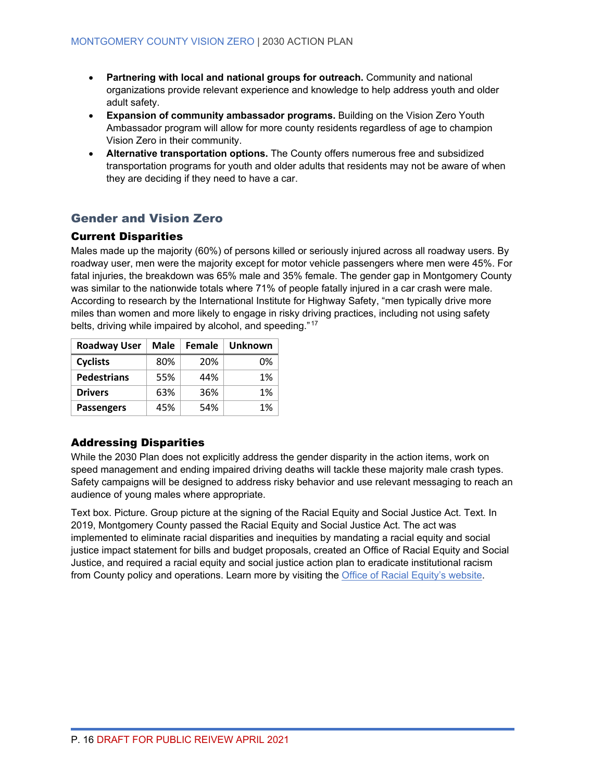- **Partnering with local and national groups for outreach.** Community and national organizations provide relevant experience and knowledge to help address youth and older adult safety.
- **Expansion of community ambassador programs.** Building on the Vision Zero Youth Ambassador program will allow for more county residents regardless of age to champion Vision Zero in their community.
- **Alternative transportation options.** The County offers numerous free and subsidized transportation programs for youth and older adults that residents may not be aware of when they are deciding if they need to have a car.

### Gender and Vision Zero

### Current Disparities

Males made up the majority (60%) of persons killed or seriously injured across all roadway users. By roadway user, men were the majority except for motor vehicle passengers where men were 45%. For fatal injuries, the breakdown was 65% male and 35% female. The gender gap in Montgomery County was similar to the nationwide totals where 71% of people fatally injured in a car crash were male. According to research by the International Institute for Highway Safety, "men typically drive more miles than women and more likely to engage in risky driving practices, including not using safety belts, driving while impaired by alcohol, and speeding." [17](#page-68-2)

| <b>Roadway User</b> | Male | Female | <b>Unknown</b> |
|---------------------|------|--------|----------------|
| <b>Cyclists</b>     | 80%  | 20%    | 0%             |
| <b>Pedestrians</b>  | 55%  | 44%    | 1%             |
| <b>Drivers</b>      | 63%  | 36%    | 1%             |
| <b>Passengers</b>   | 45%  | 54%    | 1%             |

### Addressing Disparities

While the 2030 Plan does not explicitly address the gender disparity in the action items, work on speed management and ending impaired driving deaths will tackle these majority male crash types. Safety campaigns will be designed to address risky behavior and use relevant messaging to reach an audience of young males where appropriate.

Text box. Picture. Group picture at the signing of the Racial Equity and Social Justice Act. Text. In 2019, Montgomery County passed the Racial Equity and Social Justice Act. The act was implemented to eliminate racial disparities and inequities by mandating a racial equity and social justice impact statement for bills and budget proposals, created an Office of Racial Equity and Social Justice, and required a racial equity and social justice action plan to eradicate institutional racism from County policy and operations. Learn more by visiting the **Office of Racial Equity's website**.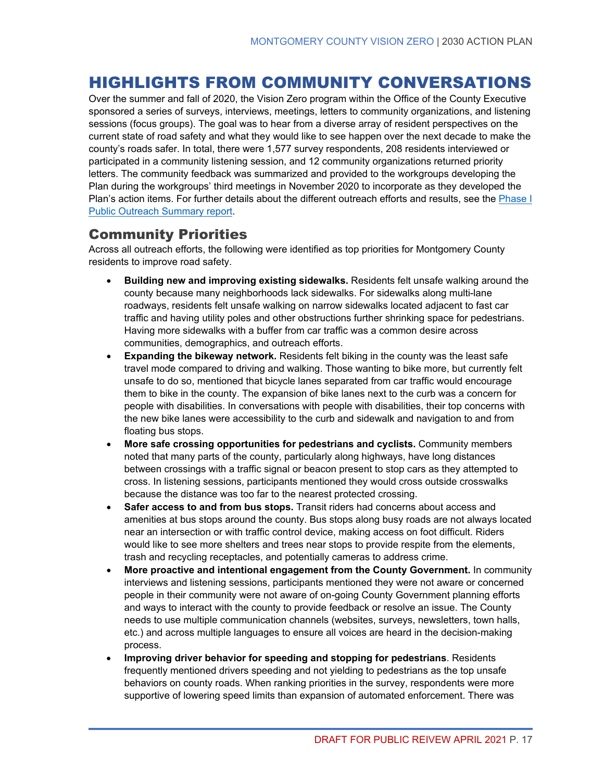# <span id="page-24-0"></span>HIGHLIGHTS FROM COMMUNITY CONVERSATIONS

Over the summer and fall of 2020, the Vision Zero program within the Office of the County Executive sponsored a series of surveys, interviews, meetings, letters to community organizations, and listening sessions (focus groups). The goal was to hear from a diverse array of resident perspectives on the current state of road safety and what they would like to see happen over the next decade to make the county's roads safer. In total, there were 1,577 survey respondents, 208 residents interviewed or participated in a community listening session, and 12 community organizations returned priority letters. The community feedback was summarized and provided to the workgroups developing the Plan during the workgroups' third meetings in November 2020 to incorporate as they developed the Plan's action items. For further details about the different outreach efforts and results, see the [Phase I](https://montgomerycountymd.gov/visionzero/Resources/Files/vz2030-community.pdf)  [Public Outreach Summary report.](https://montgomerycountymd.gov/visionzero/Resources/Files/vz2030-community.pdf)

### Community Priorities

Across all outreach efforts, the following were identified as top priorities for Montgomery County residents to improve road safety.

- **Building new and improving existing sidewalks.** Residents felt unsafe walking around the county because many neighborhoods lack sidewalks. For sidewalks along multi-lane roadways, residents felt unsafe walking on narrow sidewalks located adjacent to fast car traffic and having utility poles and other obstructions further shrinking space for pedestrians. Having more sidewalks with a buffer from car traffic was a common desire across communities, demographics, and outreach efforts.
- **Expanding the bikeway network.** Residents felt biking in the county was the least safe travel mode compared to driving and walking. Those wanting to bike more, but currently felt unsafe to do so, mentioned that bicycle lanes separated from car traffic would encourage them to bike in the county. The expansion of bike lanes next to the curb was a concern for people with disabilities. In conversations with people with disabilities, their top concerns with the new bike lanes were accessibility to the curb and sidewalk and navigation to and from floating bus stops.
- **More safe crossing opportunities for pedestrians and cyclists.** Community members noted that many parts of the county, particularly along highways, have long distances between crossings with a traffic signal or beacon present to stop cars as they attempted to cross. In listening sessions, participants mentioned they would cross outside crosswalks because the distance was too far to the nearest protected crossing.
- **Safer access to and from bus stops.** Transit riders had concerns about access and amenities at bus stops around the county. Bus stops along busy roads are not always located near an intersection or with traffic control device, making access on foot difficult. Riders would like to see more shelters and trees near stops to provide respite from the elements, trash and recycling receptacles, and potentially cameras to address crime.
- **More proactive and intentional engagement from the County Government.** In community interviews and listening sessions, participants mentioned they were not aware or concerned people in their community were not aware of on-going County Government planning efforts and ways to interact with the county to provide feedback or resolve an issue. The County needs to use multiple communication channels (websites, surveys, newsletters, town halls, etc.) and across multiple languages to ensure all voices are heard in the decision-making process.
- **Improving driver behavior for speeding and stopping for pedestrians**. Residents frequently mentioned drivers speeding and not yielding to pedestrians as the top unsafe behaviors on county roads. When ranking priorities in the survey, respondents were more supportive of lowering speed limits than expansion of automated enforcement. There was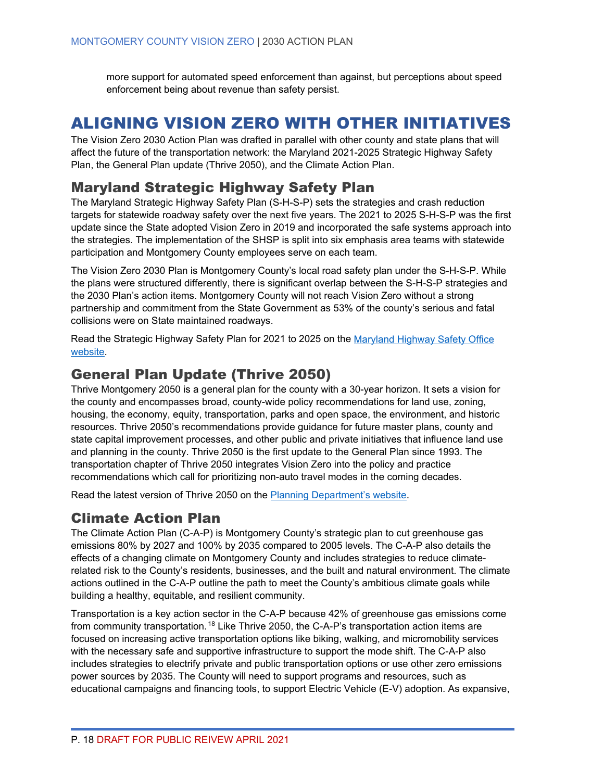more support for automated speed enforcement than against, but perceptions about speed enforcement being about revenue than safety persist.

# <span id="page-25-0"></span>ALIGNING VISION ZERO WITH OTHER INITIATIVES

The Vision Zero 2030 Action Plan was drafted in parallel with other county and state plans that will affect the future of the transportation network: the Maryland 2021-2025 Strategic Highway Safety Plan, the General Plan update (Thrive 2050), and the Climate Action Plan.

### Maryland Strategic Highway Safety Plan

The Maryland Strategic Highway Safety Plan (S-H-S-P) sets the strategies and crash reduction targets for statewide roadway safety over the next five years. The 2021 to 2025 S-H-S-P was the first update since the State adopted Vision Zero in 2019 and incorporated the safe systems approach into the strategies. The implementation of the SHSP is split into six emphasis area teams with statewide participation and Montgomery County employees serve on each team.

The Vision Zero 2030 Plan is Montgomery County's local road safety plan under the S-H-S-P. While the plans were structured differently, there is significant overlap between the S-H-S-P strategies and the 2030 Plan's action items. Montgomery County will not reach Vision Zero without a strong partnership and commitment from the State Government as 53% of the county's serious and fatal collisions were on State maintained roadways.

Read the Strategic Highway Safety Plan for 2021 to 2025 on the [Maryland Highway Safety Office](https://zerodeathsmd.gov/about-us/maryland-strategic-highway-safety-plan/)  [website.](https://zerodeathsmd.gov/about-us/maryland-strategic-highway-safety-plan/)

### General Plan Update (Thrive 2050)

Thrive Montgomery 2050 is a general plan for the county with a 30-year horizon. It sets a vision for the county and encompasses broad, county-wide policy recommendations for land use, zoning, housing, the economy, equity, transportation, parks and open space, the environment, and historic resources. Thrive 2050's recommendations provide guidance for future master plans, county and state capital improvement processes, and other public and private initiatives that influence land use and planning in the county. Thrive 2050 is the first update to the General Plan since 1993. The transportation chapter of Thrive 2050 integrates Vision Zero into the policy and practice recommendations which call for prioritizing non-auto travel modes in the coming decades.

Read the latest version of Thrive 2050 on the [Planning Department's website.](https://montgomeryplanning.org/planning/master-plan-list/general-plans/thrive-montgomery-2050/)

### Climate Action Plan

The Climate Action Plan (C-A-P) is Montgomery County's strategic plan to cut greenhouse gas emissions 80% by 2027 and 100% by 2035 compared to 2005 levels. The C-A-P also details the effects of a changing climate on Montgomery County and includes strategies to reduce climaterelated risk to the County's residents, businesses, and the built and natural environment. The climate actions outlined in the C-A-P outline the path to meet the County's ambitious climate goals while building a healthy, equitable, and resilient community.

Transportation is a key action sector in the C-A-P because 42% of greenhouse gas emissions come from community transportation.<sup>[18](#page-68-3)</sup> Like Thrive 2050, the C-A-P's transportation action items are focused on increasing active transportation options like biking, walking, and micromobility services with the necessary safe and supportive infrastructure to support the mode shift. The C-A-P also includes strategies to electrify private and public transportation options or use other zero emissions power sources by 2035. The County will need to support programs and resources, such as educational campaigns and financing tools, to support Electric Vehicle (E-V) adoption. As expansive,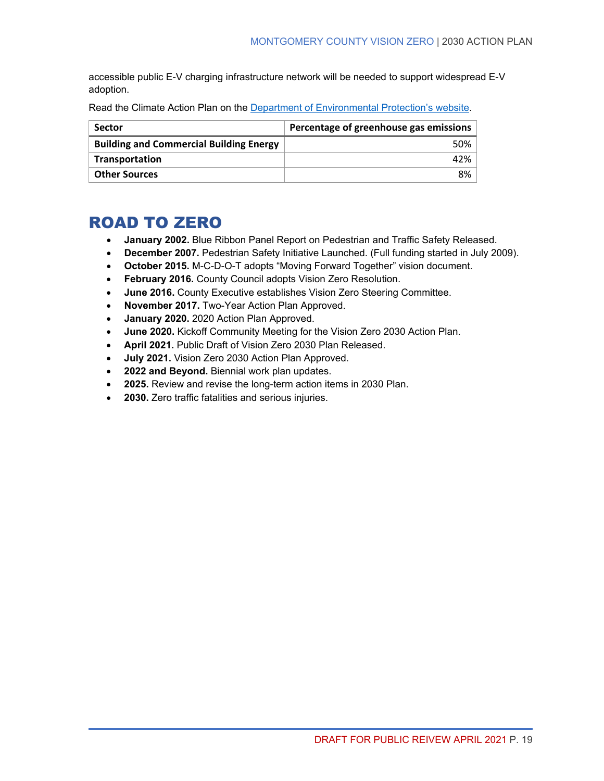accessible public E-V charging infrastructure network will be needed to support widespread E-V adoption.

| Read the Climate Action Plan on the Department of Environmental Protection's website. |  |  |  |
|---------------------------------------------------------------------------------------|--|--|--|
|                                                                                       |  |  |  |

| <b>Sector</b>                                  | Percentage of greenhouse gas emissions |
|------------------------------------------------|----------------------------------------|
| <b>Building and Commercial Building Energy</b> | $50\%$                                 |
| Transportation                                 | $42\%$                                 |
| <b>Other Sources</b>                           | 8% l                                   |

# <span id="page-26-0"></span>ROAD TO ZERO

- **January 2002.** Blue Ribbon Panel Report on Pedestrian and Traffic Safety Released.
- **December 2007.** Pedestrian Safety Initiative Launched. (Full funding started in July 2009).
- **October 2015.** M-C-D-O-T adopts "Moving Forward Together" vision document.
- **February 2016.** County Council adopts Vision Zero Resolution.
- **June 2016.** County Executive establishes Vision Zero Steering Committee.
- **November 2017.** Two-Year Action Plan Approved.
- **January 2020.** 2020 Action Plan Approved.
- **June 2020.** Kickoff Community Meeting for the Vision Zero 2030 Action Plan.
- **April 2021.** Public Draft of Vision Zero 2030 Plan Released.
- **July 2021.** Vision Zero 2030 Action Plan Approved.
- **2022 and Beyond.** Biennial work plan updates.
- **2025.** Review and revise the long-term action items in 2030 Plan.
- **2030.** Zero traffic fatalities and serious injuries.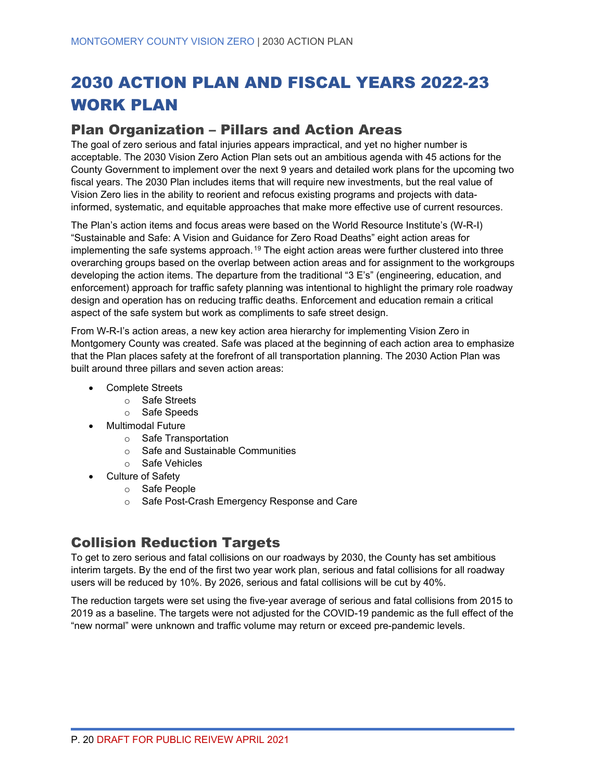# <span id="page-27-0"></span>2030 ACTION PLAN AND FISCAL YEARS 2022-23 WORK PLAN

### <span id="page-27-1"></span>Plan Organization – Pillars and Action Areas

The goal of zero serious and fatal injuries appears impractical, and yet no higher number is acceptable. The 2030 Vision Zero Action Plan sets out an ambitious agenda with 45 actions for the County Government to implement over the next 9 years and detailed work plans for the upcoming two fiscal years. The 2030 Plan includes items that will require new investments, but the real value of Vision Zero lies in the ability to reorient and refocus existing programs and projects with datainformed, systematic, and equitable approaches that make more effective use of current resources.

The Plan's action items and focus areas were based on the World Resource Institute's (W-R-I) "Sustainable and Safe: A Vision and Guidance for Zero Road Deaths" eight action areas for implementing the safe systems approach.<sup>[19](#page-68-4)</sup> The eight action areas were further clustered into three overarching groups based on the overlap between action areas and for assignment to the workgroups developing the action items. The departure from the traditional "3 E's" (engineering, education, and enforcement) approach for traffic safety planning was intentional to highlight the primary role roadway design and operation has on reducing traffic deaths. Enforcement and education remain a critical aspect of the safe system but work as compliments to safe street design.

From W-R-I's action areas, a new key action area hierarchy for implementing Vision Zero in Montgomery County was created. Safe was placed at the beginning of each action area to emphasize that the Plan places safety at the forefront of all transportation planning. The 2030 Action Plan was built around three pillars and seven action areas:

- Complete Streets
	- o Safe Streets
	- o Safe Speeds
- Multimodal Future
	- o Safe Transportation
	- o Safe and Sustainable Communities
	- o Safe Vehicles
- Culture of Safety
	- o Safe People
	- o Safe Post-Crash Emergency Response and Care

### <span id="page-27-2"></span>Collision Reduction Targets

To get to zero serious and fatal collisions on our roadways by 2030, the County has set ambitious interim targets. By the end of the first two year work plan, serious and fatal collisions for all roadway users will be reduced by 10%. By 2026, serious and fatal collisions will be cut by 40%.

The reduction targets were set using the five-year average of serious and fatal collisions from 2015 to 2019 as a baseline. The targets were not adjusted for the COVID-19 pandemic as the full effect of the "new normal" were unknown and traffic volume may return or exceed pre-pandemic levels.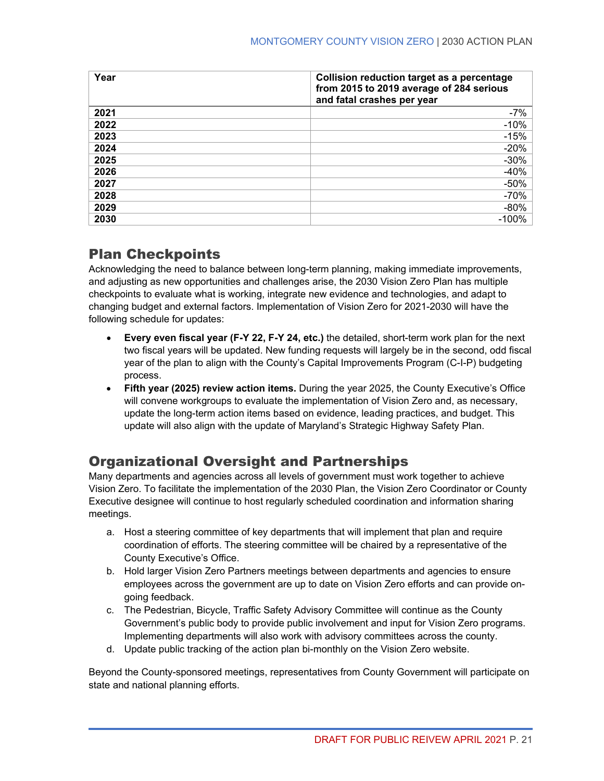| Year | Collision reduction target as a percentage<br>from 2015 to 2019 average of 284 serious<br>and fatal crashes per year |
|------|----------------------------------------------------------------------------------------------------------------------|
| 2021 | $-7%$                                                                                                                |
| 2022 | $-10%$                                                                                                               |
| 2023 | $-15%$                                                                                                               |
| 2024 | $-20%$                                                                                                               |
| 2025 | $-30%$                                                                                                               |
| 2026 | $-40%$                                                                                                               |
| 2027 | $-50%$                                                                                                               |
| 2028 | $-70%$                                                                                                               |
| 2029 | $-80%$                                                                                                               |
| 2030 | $-100%$                                                                                                              |

# <span id="page-28-0"></span>Plan Checkpoints

Acknowledging the need to balance between long-term planning, making immediate improvements, and adjusting as new opportunities and challenges arise, the 2030 Vision Zero Plan has multiple checkpoints to evaluate what is working, integrate new evidence and technologies, and adapt to changing budget and external factors. Implementation of Vision Zero for 2021-2030 will have the following schedule for updates:

- **Every even fiscal year (F-Y 22, F-Y 24, etc.)** the detailed, short-term work plan for the next two fiscal years will be updated. New funding requests will largely be in the second, odd fiscal year of the plan to align with the County's Capital Improvements Program (C-I-P) budgeting process.
- **Fifth year (2025) review action items.** During the year 2025, the County Executive's Office will convene workgroups to evaluate the implementation of Vision Zero and, as necessary, update the long-term action items based on evidence, leading practices, and budget. This update will also align with the update of Maryland's Strategic Highway Safety Plan.

# <span id="page-28-1"></span>Organizational Oversight and Partnerships

Many departments and agencies across all levels of government must work together to achieve Vision Zero. To facilitate the implementation of the 2030 Plan, the Vision Zero Coordinator or County Executive designee will continue to host regularly scheduled coordination and information sharing meetings.

- a. Host a steering committee of key departments that will implement that plan and require coordination of efforts. The steering committee will be chaired by a representative of the County Executive's Office.
- b. Hold larger Vision Zero Partners meetings between departments and agencies to ensure employees across the government are up to date on Vision Zero efforts and can provide ongoing feedback.
- c. The Pedestrian, Bicycle, Traffic Safety Advisory Committee will continue as the County Government's public body to provide public involvement and input for Vision Zero programs. Implementing departments will also work with advisory committees across the county.
- d. Update public tracking of the action plan bi-monthly on the Vision Zero website.

Beyond the County-sponsored meetings, representatives from County Government will participate on state and national planning efforts.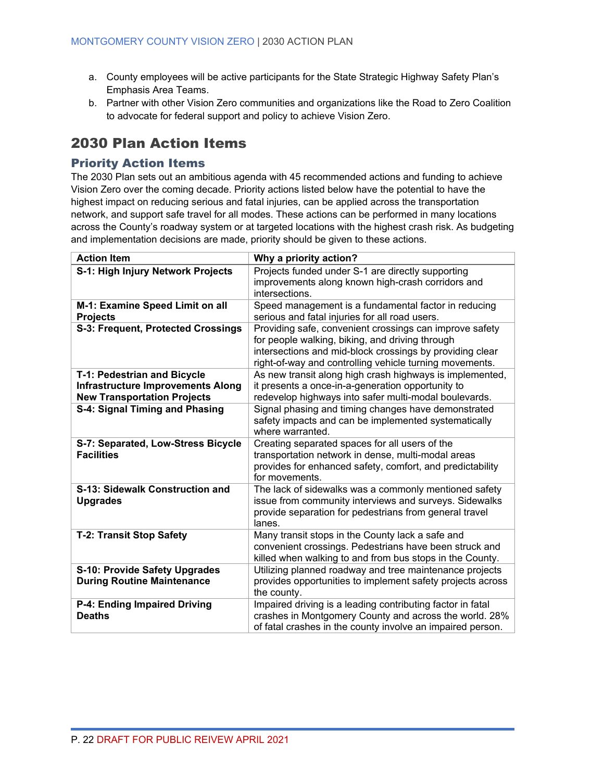- a. County employees will be active participants for the State Strategic Highway Safety Plan's Emphasis Area Teams.
- b. Partner with other Vision Zero communities and organizations like the Road to Zero Coalition to advocate for federal support and policy to achieve Vision Zero.

### <span id="page-29-0"></span>2030 Plan Action Items

### <span id="page-29-1"></span>Priority Action Items

The 2030 Plan sets out an ambitious agenda with 45 recommended actions and funding to achieve Vision Zero over the coming decade. Priority actions listed below have the potential to have the highest impact on reducing serious and fatal injuries, can be applied across the transportation network, and support safe travel for all modes. These actions can be performed in many locations across the County's roadway system or at targeted locations with the highest crash risk. As budgeting and implementation decisions are made, priority should be given to these actions.

| <b>Action Item</b>                       | Why a priority action?                                           |
|------------------------------------------|------------------------------------------------------------------|
| S-1: High Injury Network Projects        | Projects funded under S-1 are directly supporting                |
|                                          | improvements along known high-crash corridors and                |
|                                          | intersections.                                                   |
| M-1: Examine Speed Limit on all          | Speed management is a fundamental factor in reducing             |
| <b>Projects</b>                          | serious and fatal injuries for all road users.                   |
| S-3: Frequent, Protected Crossings       | Providing safe, convenient crossings can improve safety          |
|                                          | for people walking, biking, and driving through                  |
|                                          | intersections and mid-block crossings by providing clear         |
|                                          | right-of-way and controlling vehicle turning movements.          |
| T-1: Pedestrian and Bicycle              | As new transit along high crash highways is implemented,         |
| <b>Infrastructure Improvements Along</b> | it presents a once-in-a-generation opportunity to                |
| <b>New Transportation Projects</b>       | redevelop highways into safer multi-modal boulevards.            |
| S-4: Signal Timing and Phasing           | Signal phasing and timing changes have demonstrated              |
|                                          | safety impacts and can be implemented systematically             |
|                                          | where warranted.                                                 |
| S-7: Separated, Low-Stress Bicycle       | Creating separated spaces for all users of the                   |
| <b>Facilities</b>                        | transportation network in dense, multi-modal areas               |
|                                          | provides for enhanced safety, comfort, and predictability        |
|                                          | for movements.                                                   |
| S-13: Sidewalk Construction and          | The lack of sidewalks was a commonly mentioned safety            |
| <b>Upgrades</b>                          | issue from community interviews and surveys. Sidewalks           |
|                                          | provide separation for pedestrians from general travel<br>lanes. |
| <b>T-2: Transit Stop Safety</b>          | Many transit stops in the County lack a safe and                 |
|                                          | convenient crossings. Pedestrians have been struck and           |
|                                          | killed when walking to and from bus stops in the County.         |
| <b>S-10: Provide Safety Upgrades</b>     | Utilizing planned roadway and tree maintenance projects          |
| <b>During Routine Maintenance</b>        | provides opportunities to implement safety projects across       |
|                                          | the county.                                                      |
| P-4: Ending Impaired Driving             | Impaired driving is a leading contributing factor in fatal       |
| <b>Deaths</b>                            | crashes in Montgomery County and across the world. 28%           |
|                                          | of fatal crashes in the county involve an impaired person.       |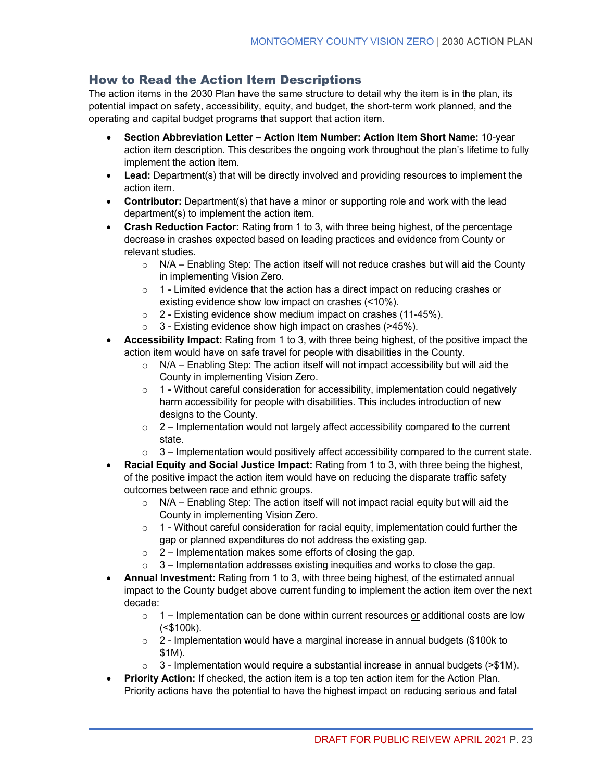### <span id="page-30-0"></span>How to Read the Action Item Descriptions

The action items in the 2030 Plan have the same structure to detail why the item is in the plan, its potential impact on safety, accessibility, equity, and budget, the short-term work planned, and the operating and capital budget programs that support that action item.

- **Section Abbreviation Letter Action Item Number: Action Item Short Name:** 10-year action item description. This describes the ongoing work throughout the plan's lifetime to fully implement the action item.
- **Lead:** Department(s) that will be directly involved and providing resources to implement the action item.
- **Contributor:** Department(s) that have a minor or supporting role and work with the lead department(s) to implement the action item.
- **Crash Reduction Factor:** Rating from 1 to 3, with three being highest, of the percentage decrease in crashes expected based on leading practices and evidence from County or relevant studies.
	- $\circ$  N/A Enabling Step: The action itself will not reduce crashes but will aid the County in implementing Vision Zero.
	- o 1 Limited evidence that the action has a direct impact on reducing crashes or existing evidence show low impact on crashes (<10%).
	- o 2 Existing evidence show medium impact on crashes (11-45%).
	- $\circ$  3 Existing evidence show high impact on crashes (>45%).
- **Accessibility Impact:** Rating from 1 to 3, with three being highest, of the positive impact the action item would have on safe travel for people with disabilities in the County.
	- $\circ$  N/A Enabling Step: The action itself will not impact accessibility but will aid the County in implementing Vision Zero.
	- $\circ$  1 Without careful consideration for accessibility, implementation could negatively harm accessibility for people with disabilities. This includes introduction of new designs to the County.
	- $\circ$  2 Implementation would not largely affect accessibility compared to the current state.
	- $\circ$  3 Implementation would positively affect accessibility compared to the current state.
- **Racial Equity and Social Justice Impact:** Rating from 1 to 3, with three being the highest, of the positive impact the action item would have on reducing the disparate traffic safety outcomes between race and ethnic groups.
	- $\circ$  N/A Enabling Step: The action itself will not impact racial equity but will aid the County in implementing Vision Zero.
	- $\circ$  1 Without careful consideration for racial equity, implementation could further the gap or planned expenditures do not address the existing gap.
	- $\circ$  2 Implementation makes some efforts of closing the gap.
	- $\circ$  3 Implementation addresses existing inequities and works to close the gap.
- **Annual Investment:** Rating from 1 to 3, with three being highest, of the estimated annual impact to the County budget above current funding to implement the action item over the next decade:
	- $\circ$  1 Implementation can be done within current resources or additional costs are low (<\$100k).
	- $\circ$  2 Implementation would have a marginal increase in annual budgets (\$100k to \$1M).
	- $\circ$  3 Implementation would require a substantial increase in annual budgets (>\$1M).
- **Priority Action:** If checked, the action item is a top ten action item for the Action Plan. Priority actions have the potential to have the highest impact on reducing serious and fatal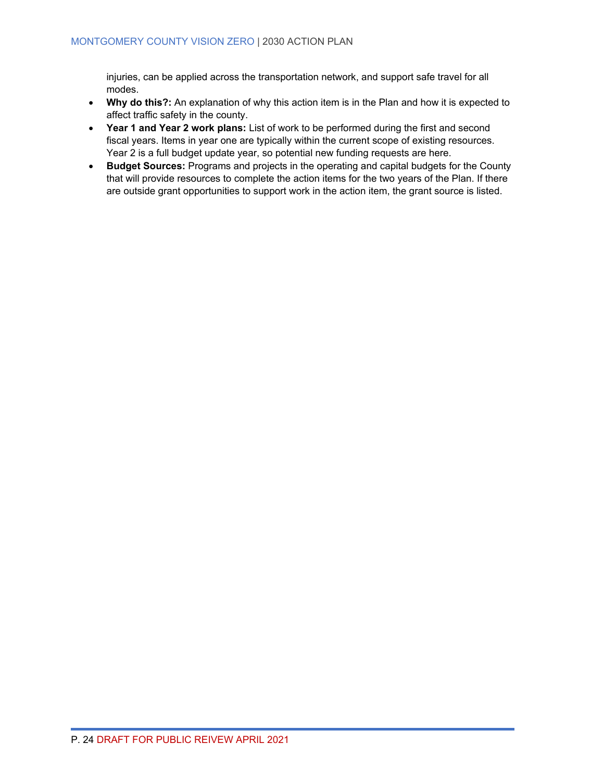injuries, can be applied across the transportation network, and support safe travel for all modes.

- **Why do this?:** An explanation of why this action item is in the Plan and how it is expected to affect traffic safety in the county.
- **Year 1 and Year 2 work plans:** List of work to be performed during the first and second fiscal years. Items in year one are typically within the current scope of existing resources. Year 2 is a full budget update year, so potential new funding requests are here.
- **Budget Sources:** Programs and projects in the operating and capital budgets for the County that will provide resources to complete the action items for the two years of the Plan. If there are outside grant opportunities to support work in the action item, the grant source is listed.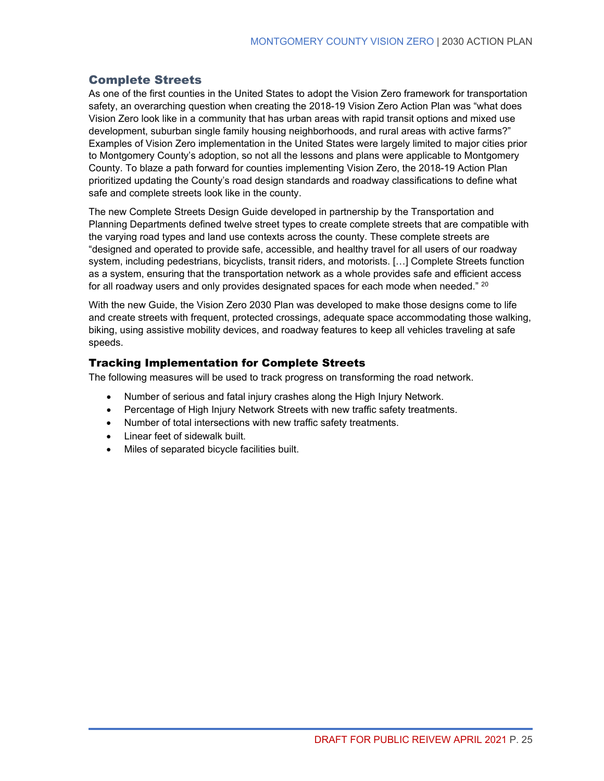### <span id="page-32-0"></span>Complete Streets

As one of the first counties in the United States to adopt the Vision Zero framework for transportation safety, an overarching question when creating the 2018-19 Vision Zero Action Plan was "what does Vision Zero look like in a community that has urban areas with rapid transit options and mixed use development, suburban single family housing neighborhoods, and rural areas with active farms?" Examples of Vision Zero implementation in the United States were largely limited to major cities prior to Montgomery County's adoption, so not all the lessons and plans were applicable to Montgomery County. To blaze a path forward for counties implementing Vision Zero, the 2018-19 Action Plan prioritized updating the County's road design standards and roadway classifications to define what safe and complete streets look like in the county.

The new Complete Streets Design Guide developed in partnership by the Transportation and Planning Departments defined twelve street types to create complete streets that are compatible with the varying road types and land use contexts across the county. These complete streets are "designed and operated to provide safe, accessible, and healthy travel for all users of our roadway system, including pedestrians, bicyclists, transit riders, and motorists. […] Complete Streets function as a system, ensuring that the transportation network as a whole provides safe and efficient access for all roadway users and only provides designated spaces for each mode when needed." <sup>[20](#page-68-5)</sup>

With the new Guide, the Vision Zero 2030 Plan was developed to make those designs come to life and create streets with frequent, protected crossings, adequate space accommodating those walking, biking, using assistive mobility devices, and roadway features to keep all vehicles traveling at safe speeds.

### Tracking Implementation for Complete Streets

The following measures will be used to track progress on transforming the road network.

- Number of serious and fatal injury crashes along the High Injury Network.
- Percentage of High Injury Network Streets with new traffic safety treatments.
- Number of total intersections with new traffic safety treatments.
- Linear feet of sidewalk built.
- Miles of separated bicycle facilities built.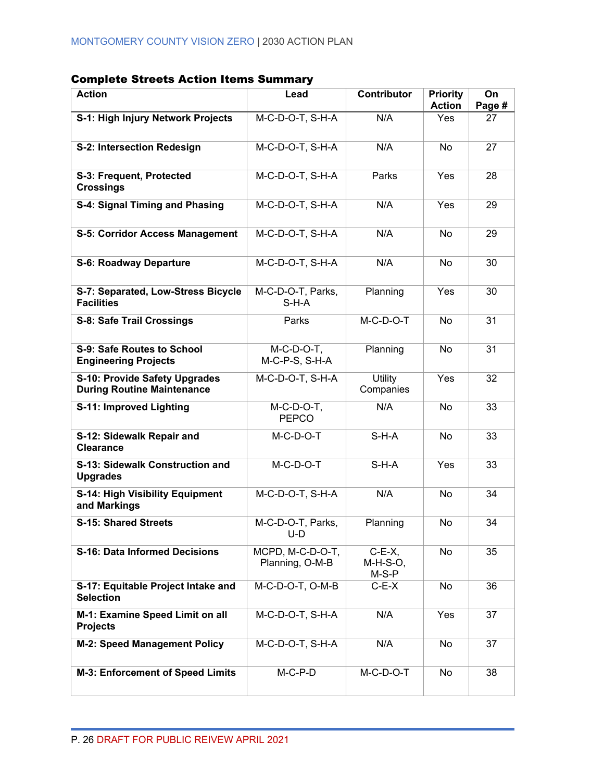| <b>Action</b>                                                      | Lead                                | <b>Contributor</b>               | <b>Priority</b><br><b>Action</b> | On<br>Page # |
|--------------------------------------------------------------------|-------------------------------------|----------------------------------|----------------------------------|--------------|
| S-1: High Injury Network Projects                                  | M-C-D-O-T, S-H-A                    | N/A                              | Yes                              | 27           |
| S-2: Intersection Redesign                                         | $M-C-D-O-T, S-H-A$                  | N/A                              | <b>No</b>                        | 27           |
| S-3: Frequent, Protected<br><b>Crossings</b>                       | M-C-D-O-T, S-H-A                    | Parks                            | Yes                              | 28           |
| S-4: Signal Timing and Phasing                                     | M-C-D-O-T, S-H-A                    | N/A                              | Yes                              | 29           |
| <b>S-5: Corridor Access Management</b>                             | M-C-D-O-T, S-H-A                    | N/A                              | <b>No</b>                        | 29           |
| <b>S-6: Roadway Departure</b>                                      | M-C-D-O-T, S-H-A                    | N/A                              | <b>No</b>                        | 30           |
| S-7: Separated, Low-Stress Bicycle<br><b>Facilities</b>            | M-C-D-O-T, Parks,<br>$S-H-A$        | Planning                         | Yes                              | 30           |
| <b>S-8: Safe Trail Crossings</b>                                   | Parks                               | $M-C-D-O-T$                      | <b>No</b>                        | 31           |
| S-9: Safe Routes to School<br><b>Engineering Projects</b>          | $M-C-D-O-T$ ,<br>M-C-P-S, S-H-A     | Planning                         | <b>No</b>                        | 31           |
| S-10: Provide Safety Upgrades<br><b>During Routine Maintenance</b> | M-C-D-O-T, S-H-A                    | Utility<br>Companies             | Yes                              | 32           |
| S-11: Improved Lighting                                            | $M-C-D-O-T$ ,<br><b>PEPCO</b>       | N/A                              | No                               | 33           |
| S-12: Sidewalk Repair and<br><b>Clearance</b>                      | $M-C-D-O-T$                         | $S-H-A$                          | No                               | 33           |
| S-13: Sidewalk Construction and<br><b>Upgrades</b>                 | M-C-D-O-T                           | $S-H-A$                          | Yes                              | 33           |
| S-14: High Visibility Equipment<br>and Markings                    | M-C-D-O-T, S-H-A                    | N/A                              | No                               | 34           |
| <b>S-15: Shared Streets</b>                                        | M-C-D-O-T, Parks,<br>U-D            | Planning                         | <b>No</b>                        | 34           |
| <b>S-16: Data Informed Decisions</b>                               | MCPD, M-C-D-O-T,<br>Planning, O-M-B | $C-E-X$ ,<br>M-H-S-O,<br>$M-S-P$ | No                               | 35           |
| S-17: Equitable Project Intake and<br><b>Selection</b>             | M-C-D-O-T, O-M-B                    | $C-E-X$                          | No                               | 36           |
| M-1: Examine Speed Limit on all<br><b>Projects</b>                 | M-C-D-O-T, S-H-A                    | N/A                              | Yes                              | 37           |
| <b>M-2: Speed Management Policy</b>                                | M-C-D-O-T, S-H-A                    | N/A                              | No                               | 37           |
| M-3: Enforcement of Speed Limits                                   | $M-C-P-D$                           | $M-C-D-O-T$                      | No                               | 38           |

### Complete Streets Action Items Summary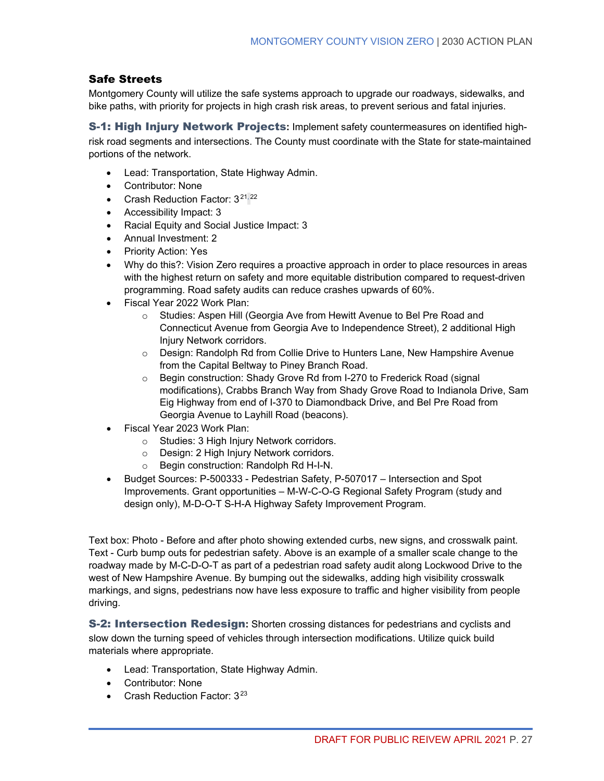### Safe Streets

Montgomery County will utilize the safe systems approach to upgrade our roadways, sidewalks, and bike paths, with priority for projects in high crash risk areas, to prevent serious and fatal injuries.

S-1: High Injury Network Projects**:** Implement safety countermeasures on identified highrisk road segments and intersections. The County must coordinate with the State for state-maintained portions of the network.

- Lead: Transportation, State Highway Admin.
- Contributor: None
- Crash Reduction Factor:  $3^{21,22}$  $3^{21,22}$  $3^{21,22}$  $3^{21,22}$
- Accessibility Impact: 3
- Racial Equity and Social Justice Impact: 3
- Annual Investment: 2
- Priority Action: Yes
- Why do this?: Vision Zero requires a proactive approach in order to place resources in areas with the highest return on safety and more equitable distribution compared to request-driven programming. Road safety audits can reduce crashes upwards of 60%.
- Fiscal Year 2022 Work Plan:
	- o Studies: Aspen Hill (Georgia Ave from Hewitt Avenue to Bel Pre Road and Connecticut Avenue from Georgia Ave to Independence Street), 2 additional High Injury Network corridors.
	- o Design: Randolph Rd from Collie Drive to Hunters Lane, New Hampshire Avenue from the Capital Beltway to Piney Branch Road.
	- o Begin construction: Shady Grove Rd from I-270 to Frederick Road (signal modifications), Crabbs Branch Way from Shady Grove Road to Indianola Drive, Sam Eig Highway from end of I-370 to Diamondback Drive, and Bel Pre Road from Georgia Avenue to Layhill Road (beacons).
- Fiscal Year 2023 Work Plan:
	- o Studies: 3 High Injury Network corridors.
	- o Design: 2 High Injury Network corridors.
	- o Begin construction: Randolph Rd H-I-N.
- Budget Sources: P-500333 Pedestrian Safety, P-507017 Intersection and Spot Improvements. Grant opportunities – M-W-C-O-G Regional Safety Program (study and design only), M-D-O-T S-H-A Highway Safety Improvement Program.

Text box: Photo - Before and after photo showing extended curbs, new signs, and crosswalk paint. Text - Curb bump outs for pedestrian safety. Above is an example of a smaller scale change to the roadway made by M-C-D-O-T as part of a pedestrian road safety audit along Lockwood Drive to the west of New Hampshire Avenue. By bumping out the sidewalks, adding high visibility crosswalk markings, and signs, pedestrians now have less exposure to traffic and higher visibility from people driving.

S-2: Intersection Redesign**:** Shorten crossing distances for pedestrians and cyclists and slow down the turning speed of vehicles through intersection modifications. Utilize quick build materials where appropriate.

- Lead: Transportation, State Highway Admin.
- Contributor: None
- Crash Reduction Factor: 3<sup>[23](#page-68-8)</sup>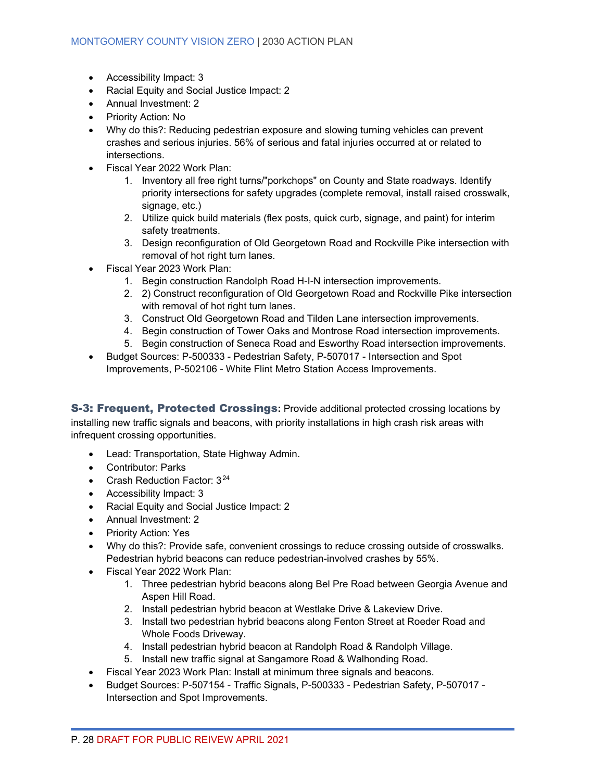- Accessibility Impact: 3
- Racial Equity and Social Justice Impact: 2
- Annual Investment: 2
- Priority Action: No
- Why do this?: Reducing pedestrian exposure and slowing turning vehicles can prevent crashes and serious injuries. 56% of serious and fatal injuries occurred at or related to intersections.
- Fiscal Year 2022 Work Plan:
	- 1. Inventory all free right turns/"porkchops" on County and State roadways. Identify priority intersections for safety upgrades (complete removal, install raised crosswalk, signage, etc.)
	- 2. Utilize quick build materials (flex posts, quick curb, signage, and paint) for interim safety treatments.
	- 3. Design reconfiguration of Old Georgetown Road and Rockville Pike intersection with removal of hot right turn lanes.
- Fiscal Year 2023 Work Plan:
	- 1. Begin construction Randolph Road H-I-N intersection improvements.
	- 2. 2) Construct reconfiguration of Old Georgetown Road and Rockville Pike intersection with removal of hot right turn lanes.
	- 3. Construct Old Georgetown Road and Tilden Lane intersection improvements.
	- 4. Begin construction of Tower Oaks and Montrose Road intersection improvements.
	- 5. Begin construction of Seneca Road and Esworthy Road intersection improvements.
- Budget Sources: P-500333 Pedestrian Safety, P-507017 Intersection and Spot Improvements, P-502106 - White Flint Metro Station Access Improvements.

S-3: Frequent, Protected Crossings**:** Provide additional protected crossing locations by installing new traffic signals and beacons, with priority installations in high crash risk areas with infrequent crossing opportunities.

- Lead: Transportation, State Highway Admin.
- Contributor: Parks
- Crash Reduction Factor: 3<sup>[24](#page-68-9)</sup>
- Accessibility Impact: 3
- Racial Equity and Social Justice Impact: 2
- Annual Investment: 2
- Priority Action: Yes
- Why do this?: Provide safe, convenient crossings to reduce crossing outside of crosswalks. Pedestrian hybrid beacons can reduce pedestrian-involved crashes by 55%.
- Fiscal Year 2022 Work Plan:
	- 1. Three pedestrian hybrid beacons along Bel Pre Road between Georgia Avenue and Aspen Hill Road.
	- 2. Install pedestrian hybrid beacon at Westlake Drive & Lakeview Drive.
	- 3. Install two pedestrian hybrid beacons along Fenton Street at Roeder Road and Whole Foods Driveway.
	- 4. Install pedestrian hybrid beacon at Randolph Road & Randolph Village.
	- 5. Install new traffic signal at Sangamore Road & Walhonding Road.
- Fiscal Year 2023 Work Plan: Install at minimum three signals and beacons.
- Budget Sources: P-507154 Traffic Signals, P-500333 Pedestrian Safety, P-507017 Intersection and Spot Improvements.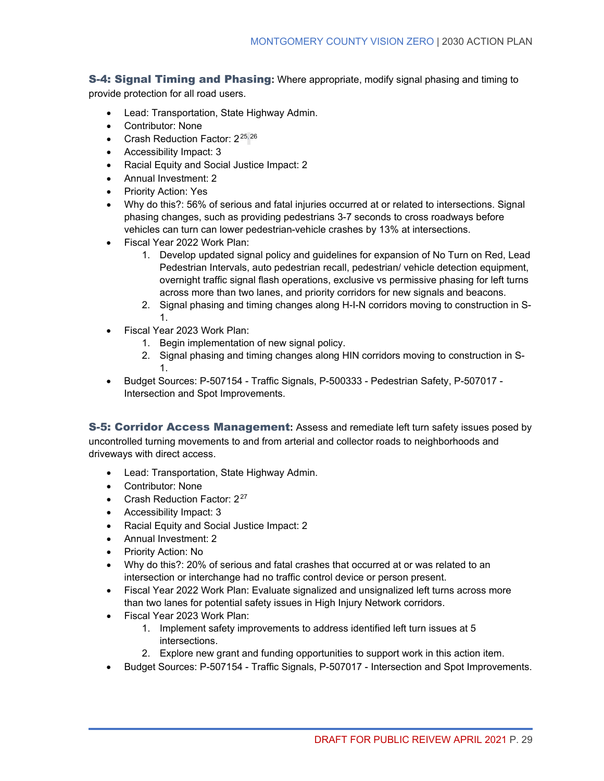S-4: Signal Timing and Phasing**:** Where appropriate, modify signal phasing and timing to provide protection for all road users.

- Lead: Transportation, State Highway Admin.
- Contributor: None
- Crash Reduction Factor: 2<sup>[25,](#page-68-10)[26](#page-68-11)</sup>
- Accessibility Impact: 3
- Racial Equity and Social Justice Impact: 2
- Annual Investment: 2
- Priority Action: Yes
- Why do this?: 56% of serious and fatal injuries occurred at or related to intersections. Signal phasing changes, such as providing pedestrians 3-7 seconds to cross roadways before vehicles can turn can lower pedestrian-vehicle crashes by 13% at intersections.
- Fiscal Year 2022 Work Plan:
	- 1. Develop updated signal policy and guidelines for expansion of No Turn on Red, Lead Pedestrian Intervals, auto pedestrian recall, pedestrian/ vehicle detection equipment, overnight traffic signal flash operations, exclusive vs permissive phasing for left turns across more than two lanes, and priority corridors for new signals and beacons.
	- 2. Signal phasing and timing changes along H-I-N corridors moving to construction in S-1.
- Fiscal Year 2023 Work Plan:
	- 1. Begin implementation of new signal policy.
	- 2. Signal phasing and timing changes along HIN corridors moving to construction in S-1.
- Budget Sources: P-507154 Traffic Signals, P-500333 Pedestrian Safety, P-507017 Intersection and Spot Improvements.

S-5: Corridor Access Management**:** Assess and remediate left turn safety issues posed by uncontrolled turning movements to and from arterial and collector roads to neighborhoods and driveways with direct access.

- Lead: Transportation, State Highway Admin.
- Contributor: None
- Crash Reduction Factor:  $2^{27}$  $2^{27}$  $2^{27}$
- Accessibility Impact: 3
- Racial Equity and Social Justice Impact: 2
- Annual Investment: 2
- Priority Action: No
- Why do this?: 20% of serious and fatal crashes that occurred at or was related to an intersection or interchange had no traffic control device or person present.
- Fiscal Year 2022 Work Plan: Evaluate signalized and unsignalized left turns across more than two lanes for potential safety issues in High Injury Network corridors.
- Fiscal Year 2023 Work Plan:
	- 1. Implement safety improvements to address identified left turn issues at 5 intersections.
	- 2. Explore new grant and funding opportunities to support work in this action item.
- Budget Sources: P-507154 Traffic Signals, P-507017 Intersection and Spot Improvements.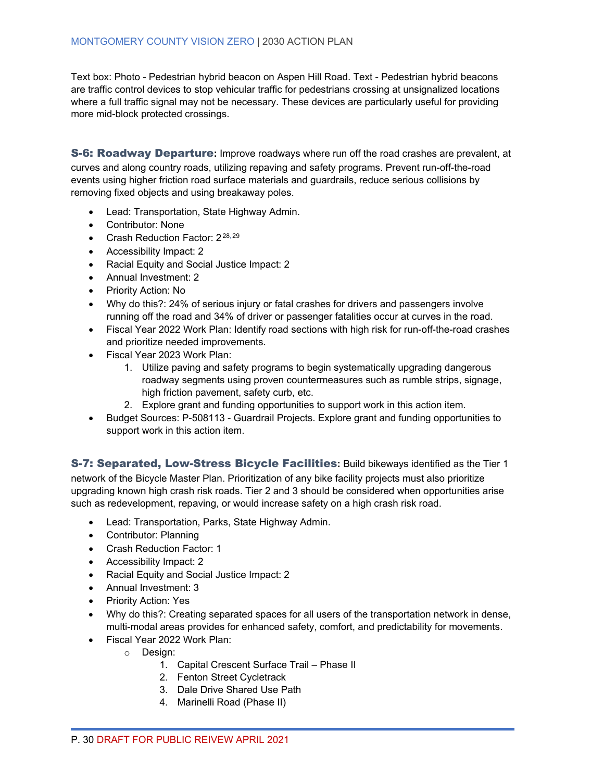Text box: Photo - Pedestrian hybrid beacon on Aspen Hill Road. Text - Pedestrian hybrid beacons are traffic control devices to stop vehicular traffic for pedestrians crossing at unsignalized locations where a full traffic signal may not be necessary. These devices are particularly useful for providing more mid-block protected crossings.

S-6: Roadway Departure**:** Improve roadways where run off the road crashes are prevalent, at

curves and along country roads, utilizing repaving and safety programs. Prevent run-off-the-road events using higher friction road surface materials and guardrails, reduce serious collisions by removing fixed objects and using breakaway poles.

- Lead: Transportation, State Highway Admin.
- Contributor: None
- Crash Reduction Factor:  $2^{28,29}$  $2^{28,29}$  $2^{28,29}$  $2^{28,29}$
- Accessibility Impact: 2
- Racial Equity and Social Justice Impact: 2
- Annual Investment: 2
- Priority Action: No
- Why do this?: 24% of serious injury or fatal crashes for drivers and passengers involve running off the road and 34% of driver or passenger fatalities occur at curves in the road.
- Fiscal Year 2022 Work Plan: Identify road sections with high risk for run-off-the-road crashes and prioritize needed improvements.
- Fiscal Year 2023 Work Plan:
	- 1. Utilize paving and safety programs to begin systematically upgrading dangerous roadway segments using proven countermeasures such as rumble strips, signage, high friction pavement, safety curb, etc.
	- 2. Explore grant and funding opportunities to support work in this action item.
- Budget Sources: P-508113 Guardrail Projects. Explore grant and funding opportunities to support work in this action item.

S-7: Separated, Low-Stress Bicycle Facilities**:** Build bikeways identified as the Tier 1 network of the Bicycle Master Plan. Prioritization of any bike facility projects must also prioritize upgrading known high crash risk roads. Tier 2 and 3 should be considered when opportunities arise such as redevelopment, repaving, or would increase safety on a high crash risk road.

- Lead: Transportation, Parks, State Highway Admin.
- Contributor: Planning
- Crash Reduction Factor: 1
- Accessibility Impact: 2
- Racial Equity and Social Justice Impact: 2
- Annual Investment: 3
- Priority Action: Yes
- Why do this?: Creating separated spaces for all users of the transportation network in dense, multi-modal areas provides for enhanced safety, comfort, and predictability for movements.
- Fiscal Year 2022 Work Plan:
	- o Design:
		- 1. Capital Crescent Surface Trail Phase II
		- 2. Fenton Street Cycletrack
		- 3. Dale Drive Shared Use Path
		- 4. Marinelli Road (Phase II)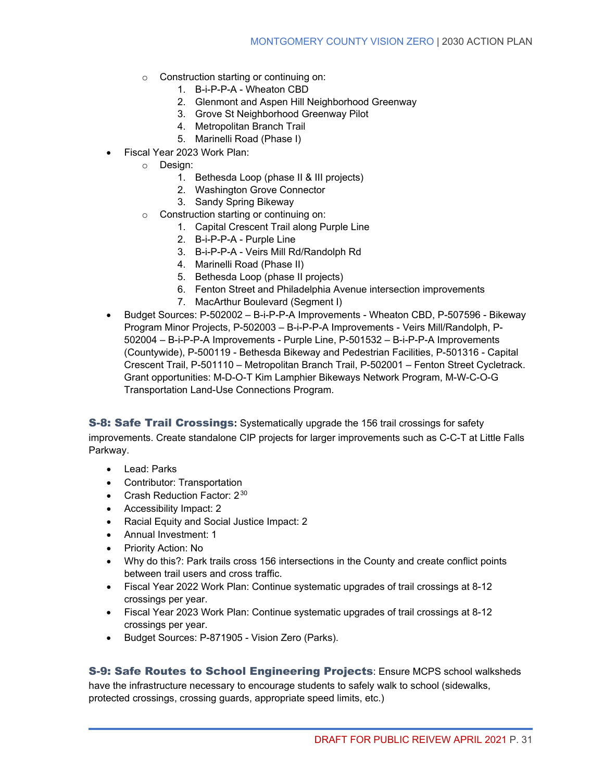- o Construction starting or continuing on:
	- 1. B-i-P-P-A Wheaton CBD
	- 2. Glenmont and Aspen Hill Neighborhood Greenway
	- 3. Grove St Neighborhood Greenway Pilot
	- 4. Metropolitan Branch Trail
	- 5. Marinelli Road (Phase I)
- Fiscal Year 2023 Work Plan:
	- o Design:
		- 1. Bethesda Loop (phase II & III projects)
		- 2. Washington Grove Connector
		- 3. Sandy Spring Bikeway
	- o Construction starting or continuing on:
		- 1. Capital Crescent Trail along Purple Line
		- 2. B-i-P-P-A Purple Line
		- 3. B-i-P-P-A Veirs Mill Rd/Randolph Rd
		- 4. Marinelli Road (Phase II)
		- 5. Bethesda Loop (phase II projects)
		- 6. Fenton Street and Philadelphia Avenue intersection improvements
			- 7. MacArthur Boulevard (Segment I)
- Budget Sources: P-502002 B-i-P-P-A Improvements Wheaton CBD, P-507596 Bikeway Program Minor Projects, P-502003 – B-i-P-P-A Improvements - Veirs Mill/Randolph, P-502004 – B-i-P-P-A Improvements - Purple Line, P-501532 – B-i-P-P-A Improvements (Countywide), P-500119 - Bethesda Bikeway and Pedestrian Facilities, P-501316 - Capital Crescent Trail, P-501110 – Metropolitan Branch Trail, P-502001 – Fenton Street Cycletrack. Grant opportunities: M-D-O-T Kim Lamphier Bikeways Network Program, M-W-C-O-G Transportation Land-Use Connections Program.

S-8: Safe Trail Crossings**:** Systematically upgrade the 156 trail crossings for safety improvements. Create standalone CIP projects for larger improvements such as C-C-T at Little Falls Parkway.

- Lead: Parks
- Contributor: Transportation
- Crash Reduction Factor:  $2^{30}$  $2^{30}$  $2^{30}$
- Accessibility Impact: 2
- Racial Equity and Social Justice Impact: 2
- Annual Investment: 1
- Priority Action: No
- Why do this?: Park trails cross 156 intersections in the County and create conflict points between trail users and cross traffic.
- Fiscal Year 2022 Work Plan: Continue systematic upgrades of trail crossings at 8-12 crossings per year.
- Fiscal Year 2023 Work Plan: Continue systematic upgrades of trail crossings at 8-12 crossings per year.
- Budget Sources: P-871905 Vision Zero (Parks).

S-9: Safe Routes to School Engineering Projects: Ensure MCPS school walksheds have the infrastructure necessary to encourage students to safely walk to school (sidewalks, protected crossings, crossing guards, appropriate speed limits, etc.)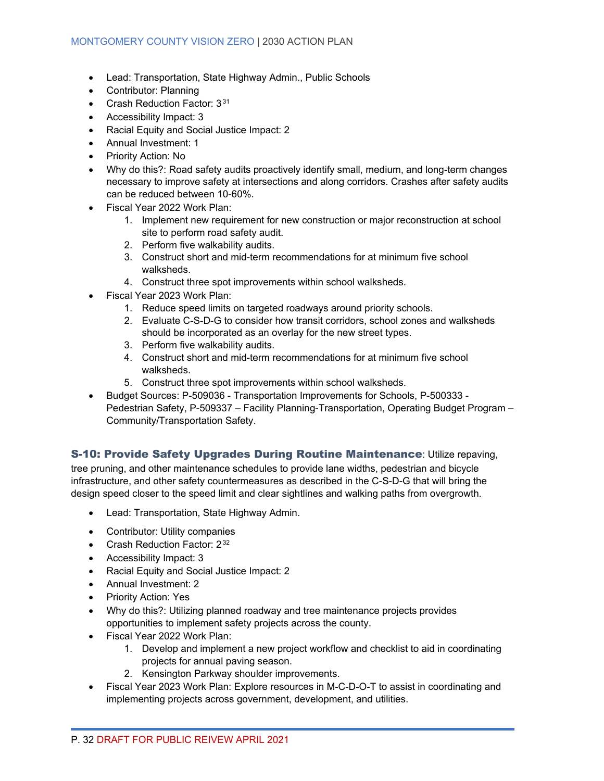- Lead: Transportation, State Highway Admin., Public Schools
- Contributor: Planning
- Crash Reduction Factor: 3<sup>[31](#page-69-1)</sup>
- Accessibility Impact: 3
- Racial Equity and Social Justice Impact: 2
- Annual Investment: 1
- Priority Action: No
- Why do this?: Road safety audits proactively identify small, medium, and long-term changes necessary to improve safety at intersections and along corridors. Crashes after safety audits can be reduced between 10-60%.
- Fiscal Year 2022 Work Plan:
	- 1. Implement new requirement for new construction or major reconstruction at school site to perform road safety audit.
	- 2. Perform five walkability audits.
	- 3. Construct short and mid-term recommendations for at minimum five school walksheds.
	- 4. Construct three spot improvements within school walksheds.
- Fiscal Year 2023 Work Plan:
	- 1. Reduce speed limits on targeted roadways around priority schools.
	- 2. Evaluate C-S-D-G to consider how transit corridors, school zones and walksheds should be incorporated as an overlay for the new street types.
	- 3. Perform five walkability audits.
	- 4. Construct short and mid-term recommendations for at minimum five school walksheds.
	- 5. Construct three spot improvements within school walksheds.
- Budget Sources: P-509036 Transportation Improvements for Schools, P-500333 Pedestrian Safety, P-509337 – Facility Planning-Transportation, Operating Budget Program – Community/Transportation Safety.

### S-10: Provide Safety Upgrades During Routine Maintenance: Utilize repaving,

tree pruning, and other maintenance schedules to provide lane widths, pedestrian and bicycle infrastructure, and other safety countermeasures as described in the C-S-D-G that will bring the design speed closer to the speed limit and clear sightlines and walking paths from overgrowth.

- Lead: Transportation, State Highway Admin.
- Contributor: Utility companies
- Crash Reduction Factor:  $2^{32}$  $2^{32}$  $2^{32}$
- Accessibility Impact: 3
- Racial Equity and Social Justice Impact: 2
- Annual Investment: 2
- Priority Action: Yes
- Why do this?: Utilizing planned roadway and tree maintenance projects provides opportunities to implement safety projects across the county.
- Fiscal Year 2022 Work Plan:
	- 1. Develop and implement a new project workflow and checklist to aid in coordinating projects for annual paving season.
	- 2. Kensington Parkway shoulder improvements.
- Fiscal Year 2023 Work Plan: Explore resources in M-C-D-O-T to assist in coordinating and implementing projects across government, development, and utilities.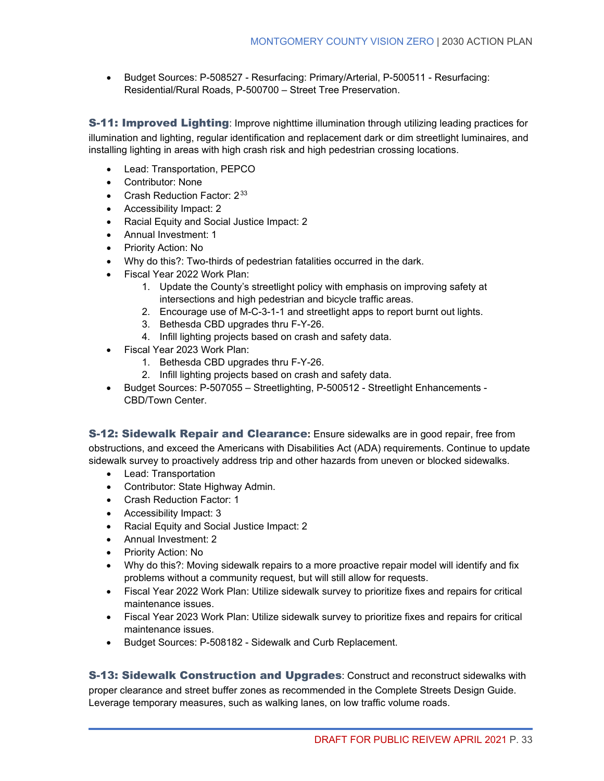• Budget Sources: P-508527 - Resurfacing: Primary/Arterial, P-500511 - Resurfacing: Residential/Rural Roads, P-500700 – Street Tree Preservation.

**S-11: Improved Lighting**: Improve nighttime illumination through utilizing leading practices for illumination and lighting, regular identification and replacement dark or dim streetlight luminaires, and installing lighting in areas with high crash risk and high pedestrian crossing locations.

- Lead: Transportation, PEPCO
- Contributor: None
- Crash Reduction Factor:  $2^{33}$  $2^{33}$  $2^{33}$
- Accessibility Impact: 2
- Racial Equity and Social Justice Impact: 2
- Annual Investment: 1
- Priority Action: No
- Why do this?: Two-thirds of pedestrian fatalities occurred in the dark.
- Fiscal Year 2022 Work Plan:
	- 1. Update the County's streetlight policy with emphasis on improving safety at intersections and high pedestrian and bicycle traffic areas.
	- 2. Encourage use of M-C-3-1-1 and streetlight apps to report burnt out lights.
	- 3. Bethesda CBD upgrades thru F-Y-26.
	- 4. Infill lighting projects based on crash and safety data.
- Fiscal Year 2023 Work Plan:
	- 1. Bethesda CBD upgrades thru F-Y-26.
	- 2. Infill lighting projects based on crash and safety data.
- Budget Sources: P-507055 Streetlighting, P-500512 Streetlight Enhancements CBD/Town Center.

S-12: Sidewalk Repair and Clearance**:** Ensure sidewalks are in good repair, free from obstructions, and exceed the Americans with Disabilities Act (ADA) requirements. Continue to update sidewalk survey to proactively address trip and other hazards from uneven or blocked sidewalks.

- Lead: Transportation
- Contributor: State Highway Admin.
- Crash Reduction Factor: 1
- Accessibility Impact: 3
- Racial Equity and Social Justice Impact: 2
- Annual Investment: 2
- Priority Action: No
- Why do this?: Moving sidewalk repairs to a more proactive repair model will identify and fix problems without a community request, but will still allow for requests.
- Fiscal Year 2022 Work Plan: Utilize sidewalk survey to prioritize fixes and repairs for critical maintenance issues.
- Fiscal Year 2023 Work Plan: Utilize sidewalk survey to prioritize fixes and repairs for critical maintenance issues.
- Budget Sources: P-508182 Sidewalk and Curb Replacement.

**S-13: Sidewalk Construction and Upgrades: Construct and reconstruct sidewalks with** proper clearance and street buffer zones as recommended in the Complete Streets Design Guide. Leverage temporary measures, such as walking lanes, on low traffic volume roads.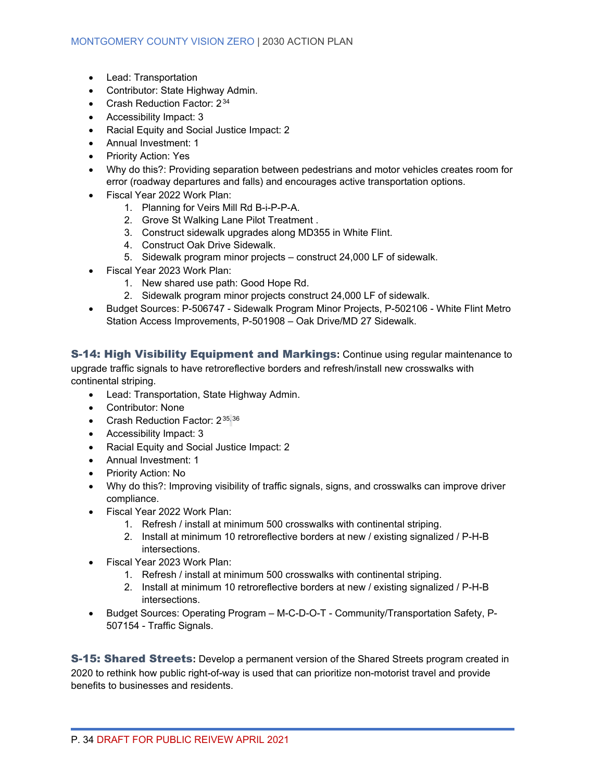- Lead: Transportation
- Contributor: State Highway Admin.
- Crash Reduction Factor: 2<sup>[34](#page-69-4)</sup>
- Accessibility Impact: 3
- Racial Equity and Social Justice Impact: 2
- Annual Investment: 1
- Priority Action: Yes
- Why do this?: Providing separation between pedestrians and motor vehicles creates room for error (roadway departures and falls) and encourages active transportation options.
- Fiscal Year 2022 Work Plan:
	- 1. Planning for Veirs Mill Rd B-i-P-P-A.
	- 2. Grove St Walking Lane Pilot Treatment .
	- 3. Construct sidewalk upgrades along MD355 in White Flint.
	- 4. Construct Oak Drive Sidewalk.
	- 5. Sidewalk program minor projects construct 24,000 LF of sidewalk.
- Fiscal Year 2023 Work Plan:
	- 1. New shared use path: Good Hope Rd.
	- 2. Sidewalk program minor projects construct 24,000 LF of sidewalk.
- Budget Sources: P-506747 Sidewalk Program Minor Projects, P-502106 White Flint Metro Station Access Improvements, P-501908 – Oak Drive/MD 27 Sidewalk.

S-14: High Visibility Equipment and Markings**:** Continue using regular maintenance to upgrade traffic signals to have retroreflective borders and refresh/install new crosswalks with continental striping.

- Lead: Transportation, State Highway Admin.
- Contributor: None
- Crash Reduction Factor: 2<sup>[35,](#page-69-5)[36](#page-69-6)</sup>
- Accessibility Impact: 3
- Racial Equity and Social Justice Impact: 2
- Annual Investment: 1
- Priority Action: No
- Why do this?: Improving visibility of traffic signals, signs, and crosswalks can improve driver compliance.
- Fiscal Year 2022 Work Plan:
	- 1. Refresh / install at minimum 500 crosswalks with continental striping.
	- 2. Install at minimum 10 retroreflective borders at new / existing signalized / P-H-B intersections.
- Fiscal Year 2023 Work Plan:
	- 1. Refresh / install at minimum 500 crosswalks with continental striping.
	- 2. Install at minimum 10 retroreflective borders at new / existing signalized / P-H-B intersections.
- Budget Sources: Operating Program M-C-D-O-T Community/Transportation Safety, P-507154 - Traffic Signals.

S-15: Shared Streets**:** Develop a permanent version of the Shared Streets program created in 2020 to rethink how public right-of-way is used that can prioritize non-motorist travel and provide benefits to businesses and residents.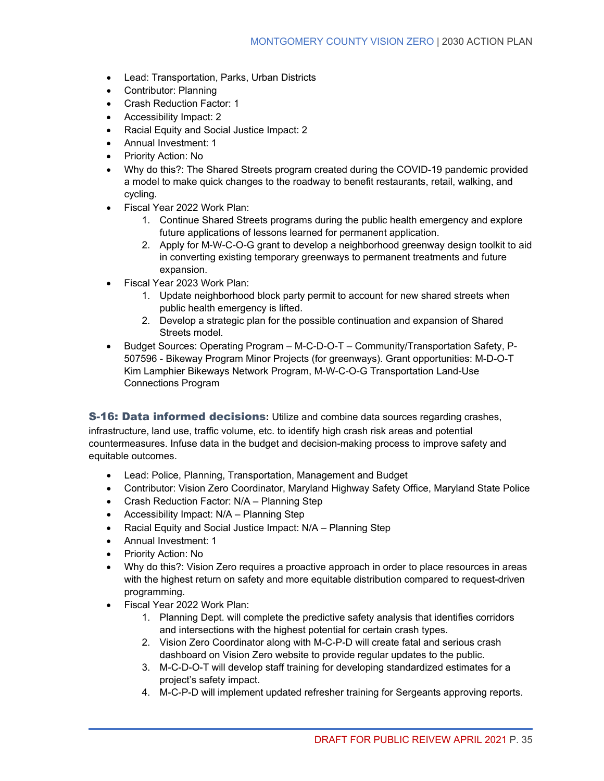- Lead: Transportation, Parks, Urban Districts
- Contributor: Planning
- Crash Reduction Factor: 1
- Accessibility Impact: 2
- Racial Equity and Social Justice Impact: 2
- Annual Investment: 1
- Priority Action: No
- Why do this?: The Shared Streets program created during the COVID-19 pandemic provided a model to make quick changes to the roadway to benefit restaurants, retail, walking, and cycling.
- Fiscal Year 2022 Work Plan:
	- 1. Continue Shared Streets programs during the public health emergency and explore future applications of lessons learned for permanent application.
	- 2. Apply for M-W-C-O-G grant to develop a neighborhood greenway design toolkit to aid in converting existing temporary greenways to permanent treatments and future expansion.
- Fiscal Year 2023 Work Plan:
	- 1. Update neighborhood block party permit to account for new shared streets when public health emergency is lifted.
	- 2. Develop a strategic plan for the possible continuation and expansion of Shared Streets model.
- Budget Sources: Operating Program M-C-D-O-T Community/Transportation Safety, P-507596 - Bikeway Program Minor Projects (for greenways). Grant opportunities: M-D-O-T Kim Lamphier Bikeways Network Program, M-W-C-O-G Transportation Land-Use Connections Program

S-16: Data informed decisions**:** Utilize and combine data sources regarding crashes, infrastructure, land use, traffic volume, etc. to identify high crash risk areas and potential countermeasures. Infuse data in the budget and decision-making process to improve safety and equitable outcomes.

- Lead: Police, Planning, Transportation, Management and Budget
- Contributor: Vision Zero Coordinator, Maryland Highway Safety Office, Maryland State Police
- Crash Reduction Factor: N/A Planning Step
- Accessibility Impact: N/A Planning Step
- Racial Equity and Social Justice Impact: N/A Planning Step
- Annual Investment: 1
- Priority Action: No
- Why do this?: Vision Zero requires a proactive approach in order to place resources in areas with the highest return on safety and more equitable distribution compared to request-driven programming.
- Fiscal Year 2022 Work Plan:
	- 1. Planning Dept. will complete the predictive safety analysis that identifies corridors and intersections with the highest potential for certain crash types.
	- 2. Vision Zero Coordinator along with M-C-P-D will create fatal and serious crash dashboard on Vision Zero website to provide regular updates to the public.
	- 3. M-C-D-O-T will develop staff training for developing standardized estimates for a project's safety impact.
	- 4. M-C-P-D will implement updated refresher training for Sergeants approving reports.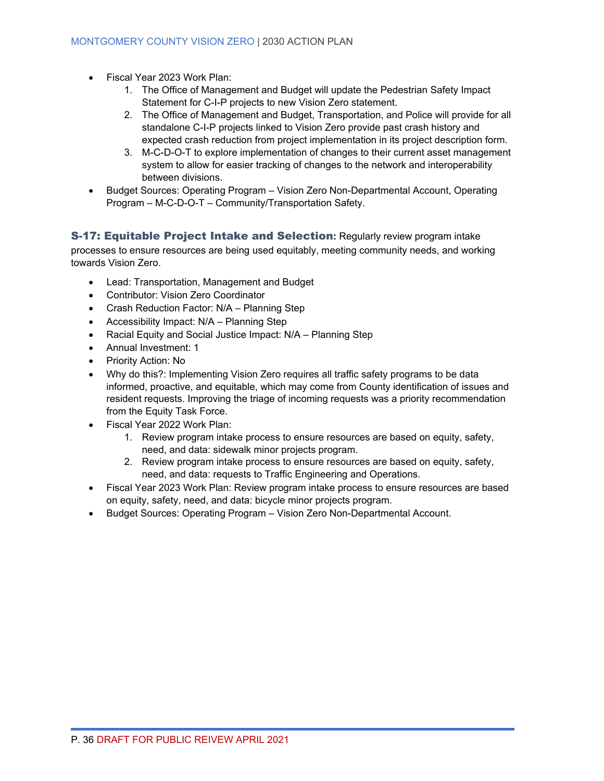- Fiscal Year 2023 Work Plan:
	- 1. The Office of Management and Budget will update the Pedestrian Safety Impact Statement for C-I-P projects to new Vision Zero statement.
	- 2. The Office of Management and Budget, Transportation, and Police will provide for all standalone C-I-P projects linked to Vision Zero provide past crash history and expected crash reduction from project implementation in its project description form.
	- 3. M-C-D-O-T to explore implementation of changes to their current asset management system to allow for easier tracking of changes to the network and interoperability between divisions.
- Budget Sources: Operating Program Vision Zero Non-Departmental Account, Operating Program – M-C-D-O-T – Community/Transportation Safety.

### S-17: Equitable Project Intake and Selection**:** Regularly review program intake

processes to ensure resources are being used equitably, meeting community needs, and working towards Vision Zero.

- Lead: Transportation, Management and Budget
- Contributor: Vision Zero Coordinator
- Crash Reduction Factor: N/A Planning Step
- Accessibility Impact: N/A Planning Step
- Racial Equity and Social Justice Impact: N/A Planning Step
- Annual Investment: 1
- Priority Action: No
- Why do this?: Implementing Vision Zero requires all traffic safety programs to be data informed, proactive, and equitable, which may come from County identification of issues and resident requests. Improving the triage of incoming requests was a priority recommendation from the Equity Task Force.
- Fiscal Year 2022 Work Plan:
	- 1. Review program intake process to ensure resources are based on equity, safety, need, and data: sidewalk minor projects program.
	- 2. Review program intake process to ensure resources are based on equity, safety, need, and data: requests to Traffic Engineering and Operations.
- Fiscal Year 2023 Work Plan: Review program intake process to ensure resources are based on equity, safety, need, and data: bicycle minor projects program.
- Budget Sources: Operating Program Vision Zero Non-Departmental Account.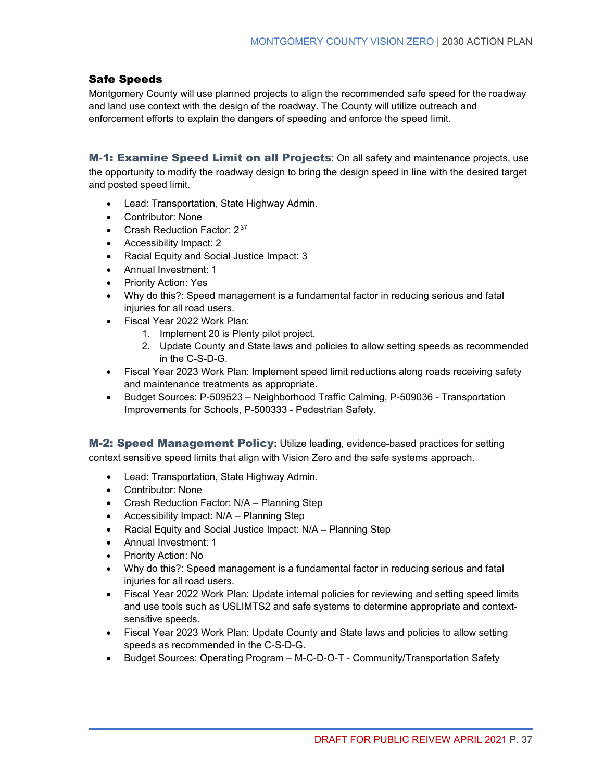### Safe Speeds

Montgomery County will use planned projects to align the recommended safe speed for the roadway and land use context with the design of the roadway. The County will utilize outreach and enforcement efforts to explain the dangers of speeding and enforce the speed limit.

M-1: Examine Speed Limit on all Projects: On all safety and maintenance projects, use the opportunity to modify the roadway design to bring the design speed in line with the desired target and posted speed limit.

- Lead: Transportation, State Highway Admin.
- Contributor: None
- Crash Reduction Factor:  $2^{37}$  $2^{37}$  $2^{37}$
- Accessibility Impact: 2
- Racial Equity and Social Justice Impact: 3
- Annual Investment: 1
- Priority Action: Yes
- Why do this?: Speed management is a fundamental factor in reducing serious and fatal injuries for all road users.
- Fiscal Year 2022 Work Plan:
	- 1. Implement 20 is Plenty pilot project.
	- 2. Update County and State laws and policies to allow setting speeds as recommended in the C-S-D-G.
- Fiscal Year 2023 Work Plan: Implement speed limit reductions along roads receiving safety and maintenance treatments as appropriate.
- Budget Sources: P-509523 Neighborhood Traffic Calming, P-509036 Transportation Improvements for Schools, P-500333 - Pedestrian Safety.

M-2: Speed Management Policy**:** Utilize leading, evidence-based practices for setting context sensitive speed limits that align with Vision Zero and the safe systems approach.

- Lead: Transportation, State Highway Admin.
- Contributor: None
- Crash Reduction Factor: N/A Planning Step
- Accessibility Impact: N/A Planning Step
- Racial Equity and Social Justice Impact: N/A Planning Step
- Annual Investment: 1
- Priority Action: No
- Why do this?: Speed management is a fundamental factor in reducing serious and fatal injuries for all road users.
- Fiscal Year 2022 Work Plan: Update internal policies for reviewing and setting speed limits and use tools such as USLIMTS2 and safe systems to determine appropriate and contextsensitive speeds.
- Fiscal Year 2023 Work Plan: Update County and State laws and policies to allow setting speeds as recommended in the C-S-D-G.
- Budget Sources: Operating Program M-C-D-O-T Community/Transportation Safety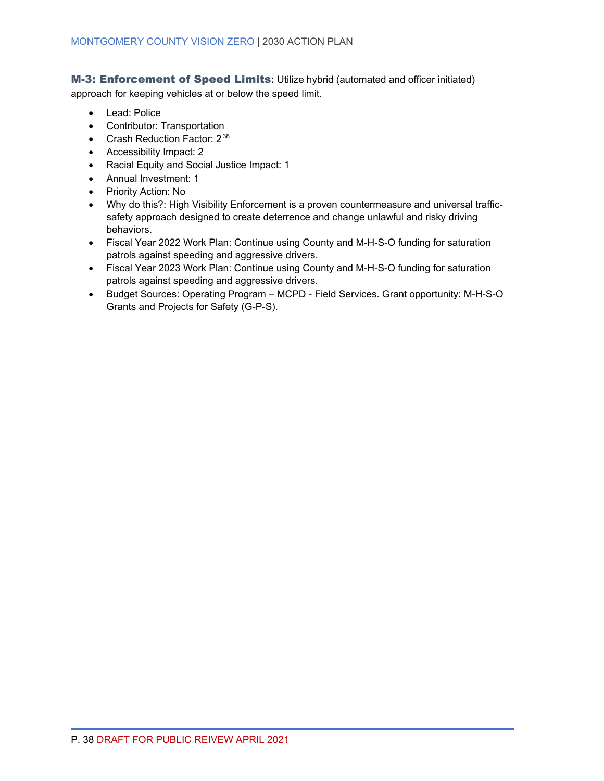M-3: Enforcement of Speed Limits**:** Utilize hybrid (automated and officer initiated) approach for keeping vehicles at or below the speed limit.

- Lead: Police
- Contributor: Transportation
- Crash Reduction Factor: 2<sup>[38](#page-69-8)</sup>
- Accessibility Impact: 2
- Racial Equity and Social Justice Impact: 1
- Annual Investment: 1
- Priority Action: No
- Why do this?: High Visibility Enforcement is a proven countermeasure and universal trafficsafety approach designed to create deterrence and change unlawful and risky driving behaviors.
- Fiscal Year 2022 Work Plan: Continue using County and M-H-S-O funding for saturation patrols against speeding and aggressive drivers.
- Fiscal Year 2023 Work Plan: Continue using County and M-H-S-O funding for saturation patrols against speeding and aggressive drivers.
- Budget Sources: Operating Program MCPD Field Services. Grant opportunity: M-H-S-O Grants and Projects for Safety (G-P-S).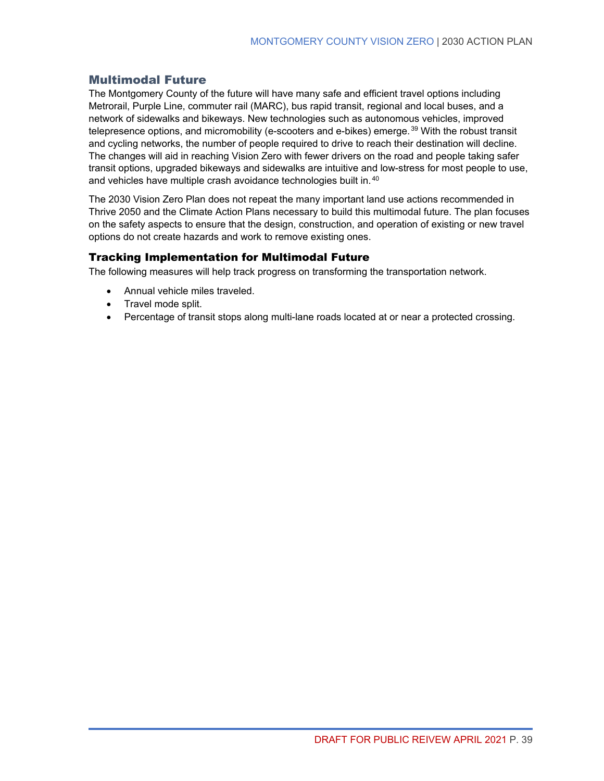### <span id="page-46-0"></span>Multimodal Future

The Montgomery County of the future will have many safe and efficient travel options including Metrorail, Purple Line, commuter rail (MARC), bus rapid transit, regional and local buses, and a network of sidewalks and bikeways. New technologies such as autonomous vehicles, improved telepresence options, and micromobility (e-scooters and e-bikes) emerge.<sup>[39](#page-69-9)</sup> With the robust transit and cycling networks, the number of people required to drive to reach their destination will decline. The changes will aid in reaching Vision Zero with fewer drivers on the road and people taking safer transit options, upgraded bikeways and sidewalks are intuitive and low-stress for most people to use, and vehicles have multiple crash avoidance technologies built in.<sup>[40](#page-69-10)</sup>

The 2030 Vision Zero Plan does not repeat the many important land use actions recommended in Thrive 2050 and the Climate Action Plans necessary to build this multimodal future. The plan focuses on the safety aspects to ensure that the design, construction, and operation of existing or new travel options do not create hazards and work to remove existing ones.

### Tracking Implementation for Multimodal Future

The following measures will help track progress on transforming the transportation network.

- Annual vehicle miles traveled.
- Travel mode split.
- Percentage of transit stops along multi-lane roads located at or near a protected crossing.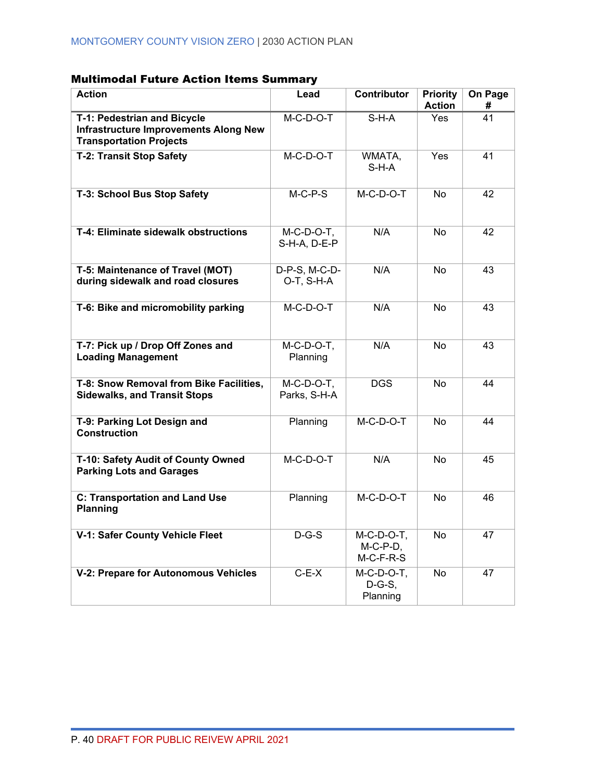# Multimodal Future Action Items Summary

| <b>Action</b>                                                                                                 | Lead                          | Contributor                                 | <b>Priority</b><br><b>Action</b> | On Page<br># |
|---------------------------------------------------------------------------------------------------------------|-------------------------------|---------------------------------------------|----------------------------------|--------------|
| T-1: Pedestrian and Bicycle<br><b>Infrastructure Improvements Along New</b><br><b>Transportation Projects</b> | $M-C-D-O-T$                   | $S-H-A$                                     | <b>Yes</b>                       | 41           |
| <b>T-2: Transit Stop Safety</b>                                                                               | $M-C-D-O-T$                   | WMATA,<br>$S-H-A$                           | Yes                              | 41           |
| T-3: School Bus Stop Safety                                                                                   | $M-C-P-S$                     | M-C-D-O-T                                   | No                               | 42           |
| T-4: Eliminate sidewalk obstructions                                                                          | $M-C-D-O-T$ ,<br>S-H-A, D-E-P | N/A                                         | <b>No</b>                        | 42           |
| T-5: Maintenance of Travel (MOT)<br>during sidewalk and road closures                                         | D-P-S, M-C-D-<br>O-T, S-H-A   | N/A                                         | <b>No</b>                        | 43           |
| T-6: Bike and micromobility parking                                                                           | $M-C-D-O-T$                   | N/A                                         | <b>No</b>                        | 43           |
| T-7: Pick up / Drop Off Zones and<br><b>Loading Management</b>                                                | $M-C-D-O-T$ ,<br>Planning     | N/A                                         | <b>No</b>                        | 43           |
| T-8: Snow Removal from Bike Facilities,<br><b>Sidewalks, and Transit Stops</b>                                | $M-C-D-O-T$ ,<br>Parks, S-H-A | <b>DGS</b>                                  | <b>No</b>                        | 44           |
| T-9: Parking Lot Design and<br><b>Construction</b>                                                            | Planning                      | M-C-D-O-T                                   | No                               | 44           |
| T-10: Safety Audit of County Owned<br><b>Parking Lots and Garages</b>                                         | $M-C-D-O-T$                   | N/A                                         | <b>No</b>                        | 45           |
| <b>C: Transportation and Land Use</b><br><b>Planning</b>                                                      | Planning                      | $M-C-D-O-T$                                 | <b>No</b>                        | 46           |
| V-1: Safer County Vehicle Fleet                                                                               | $D-G-S$                       | $M-C-D-O-T$ ,<br>$M-C-P-D$ ,<br>$M-C-F-R-S$ | No                               | 47           |
| V-2: Prepare for Autonomous Vehicles                                                                          | $C-E-X$                       | $M-C-D-O-T$ ,<br>$D-G-S$ ,<br>Planning      | No                               | 47           |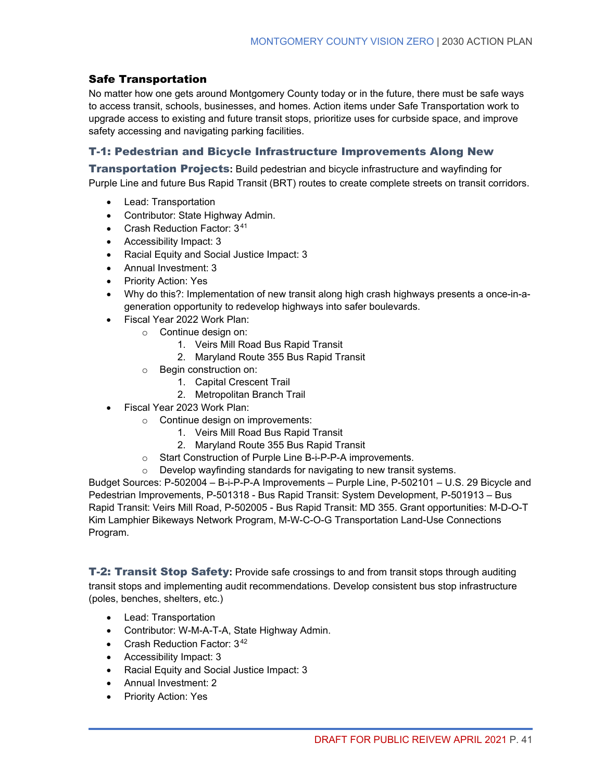### Safe Transportation

No matter how one gets around Montgomery County today or in the future, there must be safe ways to access transit, schools, businesses, and homes. Action items under Safe Transportation work to upgrade access to existing and future transit stops, prioritize uses for curbside space, and improve safety accessing and navigating parking facilities.

### T-1: Pedestrian and Bicycle Infrastructure Improvements Along New

Transportation Projects**:** Build pedestrian and bicycle infrastructure and wayfinding for Purple Line and future Bus Rapid Transit (BRT) routes to create complete streets on transit corridors.

- Lead: Transportation
- Contributor: State Highway Admin.
- Crash Reduction Factor: 3[41](#page-69-11)
- Accessibility Impact: 3
- Racial Equity and Social Justice Impact: 3
- Annual Investment: 3
- Priority Action: Yes
- Why do this?: Implementation of new transit along high crash highways presents a once-in-ageneration opportunity to redevelop highways into safer boulevards.
- Fiscal Year 2022 Work Plan:
	- o Continue design on:
		- 1. Veirs Mill Road Bus Rapid Transit
		- 2. Maryland Route 355 Bus Rapid Transit
	- o Begin construction on:
		- 1. Capital Crescent Trail
		- 2. Metropolitan Branch Trail
- Fiscal Year 2023 Work Plan:
	- o Continue design on improvements:
		- 1. Veirs Mill Road Bus Rapid Transit
		- 2. Maryland Route 355 Bus Rapid Transit
	- o Start Construction of Purple Line B-i-P-P-A improvements.
	- o Develop wayfinding standards for navigating to new transit systems.

Budget Sources: P-502004 – B-i-P-P-A Improvements – Purple Line, P-502101 – U.S. 29 Bicycle and Pedestrian Improvements, P-501318 - Bus Rapid Transit: System Development, P-501913 – Bus Rapid Transit: Veirs Mill Road, P-502005 - Bus Rapid Transit: MD 355. Grant opportunities: M-D-O-T Kim Lamphier Bikeways Network Program, M-W-C-O-G Transportation Land-Use Connections Program.

T-2: Transit Stop Safety**:** Provide safe crossings to and from transit stops through auditing transit stops and implementing audit recommendations. Develop consistent bus stop infrastructure (poles, benches, shelters, etc.)

- Lead: Transportation
- Contributor: W-M-A-T-A, State Highway Admin.
- Crash Reduction Factor: 3<sup>[42](#page-69-12)</sup>
- Accessibility Impact: 3
- Racial Equity and Social Justice Impact: 3
- Annual Investment: 2
- Priority Action: Yes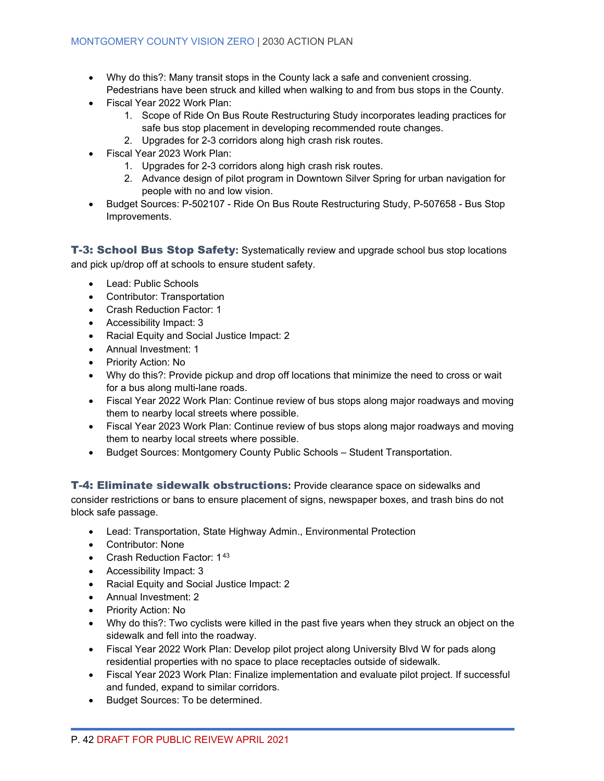- Why do this?: Many transit stops in the County lack a safe and convenient crossing. Pedestrians have been struck and killed when walking to and from bus stops in the County.
- Fiscal Year 2022 Work Plan:
	- 1. Scope of Ride On Bus Route Restructuring Study incorporates leading practices for safe bus stop placement in developing recommended route changes.
	- 2. Upgrades for 2-3 corridors along high crash risk routes.
- Fiscal Year 2023 Work Plan:
	- 1. Upgrades for 2-3 corridors along high crash risk routes.
	- 2. Advance design of pilot program in Downtown Silver Spring for urban navigation for people with no and low vision.
- Budget Sources: P-502107 Ride On Bus Route Restructuring Study, P-507658 Bus Stop Improvements.

T-3: School Bus Stop Safety**:** Systematically review and upgrade school bus stop locations and pick up/drop off at schools to ensure student safety.

- Lead: Public Schools
- Contributor: Transportation
- Crash Reduction Factor: 1
- Accessibility Impact: 3
- Racial Equity and Social Justice Impact: 2
- Annual Investment: 1
- Priority Action: No
- Why do this?: Provide pickup and drop off locations that minimize the need to cross or wait for a bus along multi-lane roads.
- Fiscal Year 2022 Work Plan: Continue review of bus stops along major roadways and moving them to nearby local streets where possible.
- Fiscal Year 2023 Work Plan: Continue review of bus stops along major roadways and moving them to nearby local streets where possible.
- Budget Sources: Montgomery County Public Schools Student Transportation.

T-4: Eliminate sidewalk obstructions**:** Provide clearance space on sidewalks and consider restrictions or bans to ensure placement of signs, newspaper boxes, and trash bins do not block safe passage.

- Lead: Transportation, State Highway Admin., Environmental Protection
- Contributor: None
- Crash Reduction Factor: 1[43](#page-69-13)
- Accessibility Impact: 3
- Racial Equity and Social Justice Impact: 2
- Annual Investment: 2
- Priority Action: No
- Why do this?: Two cyclists were killed in the past five years when they struck an object on the sidewalk and fell into the roadway.
- Fiscal Year 2022 Work Plan: Develop pilot project along University Blvd W for pads along residential properties with no space to place receptacles outside of sidewalk.
- Fiscal Year 2023 Work Plan: Finalize implementation and evaluate pilot project. If successful and funded, expand to similar corridors.
- Budget Sources: To be determined.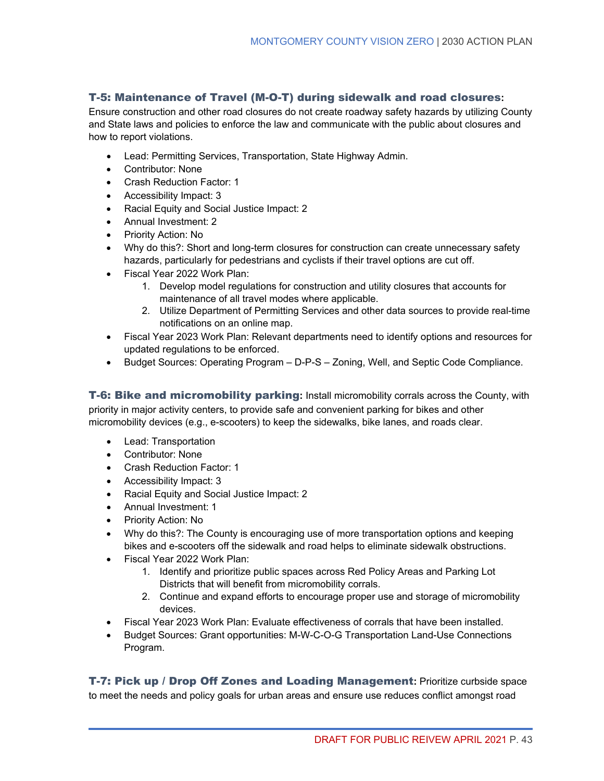### T-5: Maintenance of Travel (M-O-T) during sidewalk and road closures**:**

Ensure construction and other road closures do not create roadway safety hazards by utilizing County and State laws and policies to enforce the law and communicate with the public about closures and how to report violations.

- Lead: Permitting Services, Transportation, State Highway Admin.
- Contributor: None
- Crash Reduction Factor: 1
- Accessibility Impact: 3
- Racial Equity and Social Justice Impact: 2
- Annual Investment: 2
- Priority Action: No
- Why do this?: Short and long-term closures for construction can create unnecessary safety hazards, particularly for pedestrians and cyclists if their travel options are cut off.
- Fiscal Year 2022 Work Plan:
	- 1. Develop model regulations for construction and utility closures that accounts for maintenance of all travel modes where applicable.
	- 2. Utilize Department of Permitting Services and other data sources to provide real-time notifications on an online map.
- Fiscal Year 2023 Work Plan: Relevant departments need to identify options and resources for updated regulations to be enforced.
- Budget Sources: Operating Program D-P-S Zoning, Well, and Septic Code Compliance.

T-6: Bike and micromobility parking**:** Install micromobility corrals across the County, with priority in major activity centers, to provide safe and convenient parking for bikes and other micromobility devices (e.g., e-scooters) to keep the sidewalks, bike lanes, and roads clear.

- Lead: Transportation
- Contributor: None
- Crash Reduction Factor: 1
- Accessibility Impact: 3
- Racial Equity and Social Justice Impact: 2
- Annual Investment: 1
- Priority Action: No
- Why do this?: The County is encouraging use of more transportation options and keeping bikes and e-scooters off the sidewalk and road helps to eliminate sidewalk obstructions.
- Fiscal Year 2022 Work Plan:
	- 1. Identify and prioritize public spaces across Red Policy Areas and Parking Lot Districts that will benefit from micromobility corrals.
	- 2. Continue and expand efforts to encourage proper use and storage of micromobility devices.
- Fiscal Year 2023 Work Plan: Evaluate effectiveness of corrals that have been installed.
- Budget Sources: Grant opportunities: M-W-C-O-G Transportation Land-Use Connections Program.

T-7: Pick up / Drop Off Zones and Loading Management**:** Prioritize curbside space to meet the needs and policy goals for urban areas and ensure use reduces conflict amongst road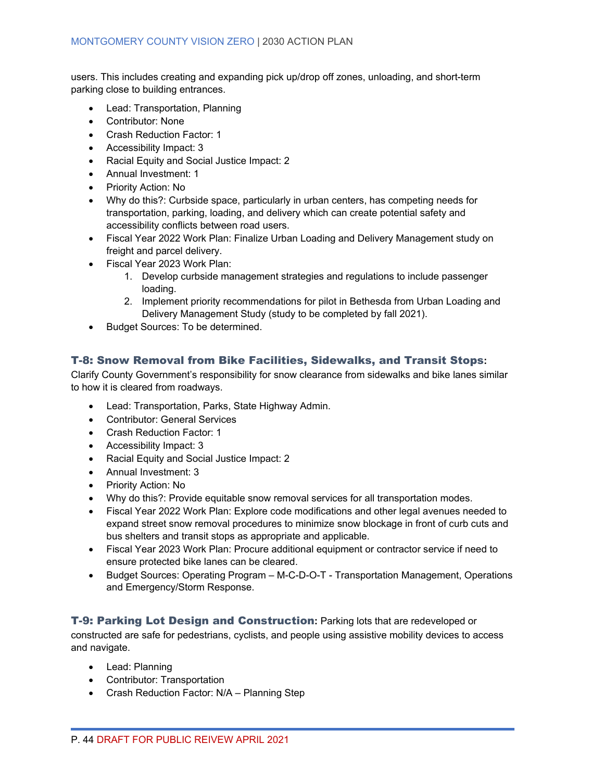users. This includes creating and expanding pick up/drop off zones, unloading, and short-term parking close to building entrances.

- Lead: Transportation, Planning
- Contributor: None
- Crash Reduction Factor: 1
- Accessibility Impact: 3
- Racial Equity and Social Justice Impact: 2
- Annual Investment: 1
- Priority Action: No
- Why do this?: Curbside space, particularly in urban centers, has competing needs for transportation, parking, loading, and delivery which can create potential safety and accessibility conflicts between road users.
- Fiscal Year 2022 Work Plan: Finalize Urban Loading and Delivery Management study on freight and parcel delivery.
- Fiscal Year 2023 Work Plan:
	- 1. Develop curbside management strategies and regulations to include passenger loading.
	- 2. Implement priority recommendations for pilot in Bethesda from Urban Loading and Delivery Management Study (study to be completed by fall 2021).
- Budget Sources: To be determined.

### T-8: Snow Removal from Bike Facilities, Sidewalks, and Transit Stops**:**

Clarify County Government's responsibility for snow clearance from sidewalks and bike lanes similar to how it is cleared from roadways.

- Lead: Transportation, Parks, State Highway Admin.
- Contributor: General Services
- Crash Reduction Factor: 1
- Accessibility Impact: 3
- Racial Equity and Social Justice Impact: 2
- Annual Investment: 3
- Priority Action: No
- Why do this?: Provide equitable snow removal services for all transportation modes.
- Fiscal Year 2022 Work Plan: Explore code modifications and other legal avenues needed to expand street snow removal procedures to minimize snow blockage in front of curb cuts and bus shelters and transit stops as appropriate and applicable.
- Fiscal Year 2023 Work Plan: Procure additional equipment or contractor service if need to ensure protected bike lanes can be cleared.
- Budget Sources: Operating Program M-C-D-O-T Transportation Management, Operations and Emergency/Storm Response.

### T-9: Parking Lot Design and Construction**:** Parking lots that are redeveloped or

constructed are safe for pedestrians, cyclists, and people using assistive mobility devices to access and navigate.

- Lead: Planning
- Contributor: Transportation
- Crash Reduction Factor: N/A Planning Step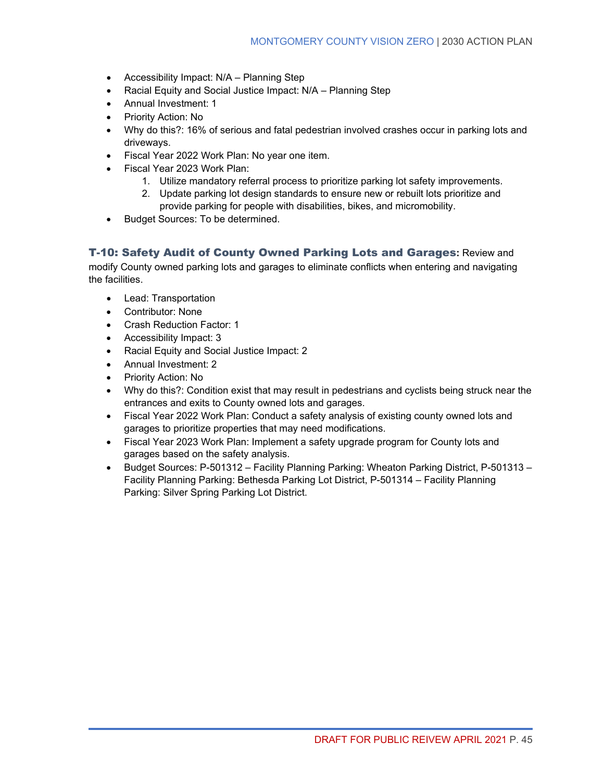- Accessibility Impact: N/A Planning Step
- Racial Equity and Social Justice Impact: N/A Planning Step
- Annual Investment: 1
- Priority Action: No
- Why do this?: 16% of serious and fatal pedestrian involved crashes occur in parking lots and driveways.
- Fiscal Year 2022 Work Plan: No year one item.
- Fiscal Year 2023 Work Plan:
	- 1. Utilize mandatory referral process to prioritize parking lot safety improvements.
	- 2. Update parking lot design standards to ensure new or rebuilt lots prioritize and provide parking for people with disabilities, bikes, and micromobility.
- Budget Sources: To be determined.

### T-10: Safety Audit of County Owned Parking Lots and Garages**:** Review and

modify County owned parking lots and garages to eliminate conflicts when entering and navigating the facilities.

- Lead: Transportation
- Contributor: None
- Crash Reduction Factor: 1
- Accessibility Impact: 3
- Racial Equity and Social Justice Impact: 2
- Annual Investment: 2
- Priority Action: No
- Why do this?: Condition exist that may result in pedestrians and cyclists being struck near the entrances and exits to County owned lots and garages.
- Fiscal Year 2022 Work Plan: Conduct a safety analysis of existing county owned lots and garages to prioritize properties that may need modifications.
- Fiscal Year 2023 Work Plan: Implement a safety upgrade program for County lots and garages based on the safety analysis.
- Budget Sources: P-501312 Facility Planning Parking: Wheaton Parking District, P-501313 Facility Planning Parking: Bethesda Parking Lot District, P-501314 – Facility Planning Parking: Silver Spring Parking Lot District.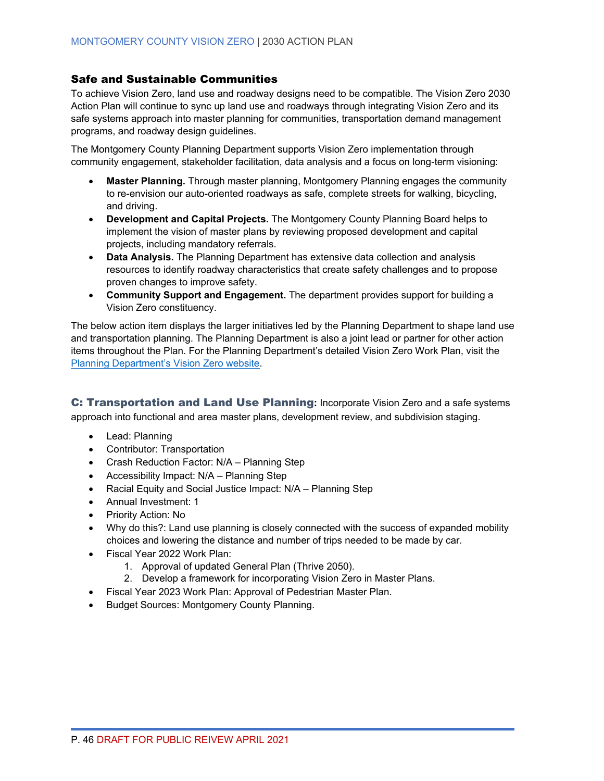#### Safe and Sustainable Communities

To achieve Vision Zero, land use and roadway designs need to be compatible. The Vision Zero 2030 Action Plan will continue to sync up land use and roadways through integrating Vision Zero and its safe systems approach into master planning for communities, transportation demand management programs, and roadway design guidelines.

The Montgomery County Planning Department supports Vision Zero implementation through community engagement, stakeholder facilitation, data analysis and a focus on long-term visioning:

- **Master Planning.** Through master planning, Montgomery Planning engages the community to re-envision our auto-oriented roadways as safe, complete streets for walking, bicycling, and driving.
- **Development and Capital Projects.** The Montgomery County Planning Board helps to implement the vision of master plans by reviewing proposed development and capital projects, including mandatory referrals.
- **Data Analysis.** The Planning Department has extensive data collection and analysis resources to identify roadway characteristics that create safety challenges and to propose proven changes to improve safety.
- **Community Support and Engagement.** The department provides support for building a Vision Zero constituency.

The below action item displays the larger initiatives led by the Planning Department to shape land use and transportation planning. The Planning Department is also a joint lead or partner for other action items throughout the Plan. For the Planning Department's detailed Vision Zero Work Plan, visit the [Planning Department's Vision Zero website.](https://montgomeryplanning.org/planning/transportation/vision-zero/)

C: Transportation and Land Use Planning**:** Incorporate Vision Zero and a safe systems approach into functional and area master plans, development review, and subdivision staging.

- Lead: Planning
- Contributor: Transportation
- Crash Reduction Factor: N/A Planning Step
- Accessibility Impact: N/A Planning Step
- Racial Equity and Social Justice Impact: N/A Planning Step
- Annual Investment: 1
- Priority Action: No
- Why do this?: Land use planning is closely connected with the success of expanded mobility choices and lowering the distance and number of trips needed to be made by car.
- Fiscal Year 2022 Work Plan:
	- 1. Approval of updated General Plan (Thrive 2050).
	- 2. Develop a framework for incorporating Vision Zero in Master Plans.
- Fiscal Year 2023 Work Plan: Approval of Pedestrian Master Plan.
- Budget Sources: Montgomery County Planning.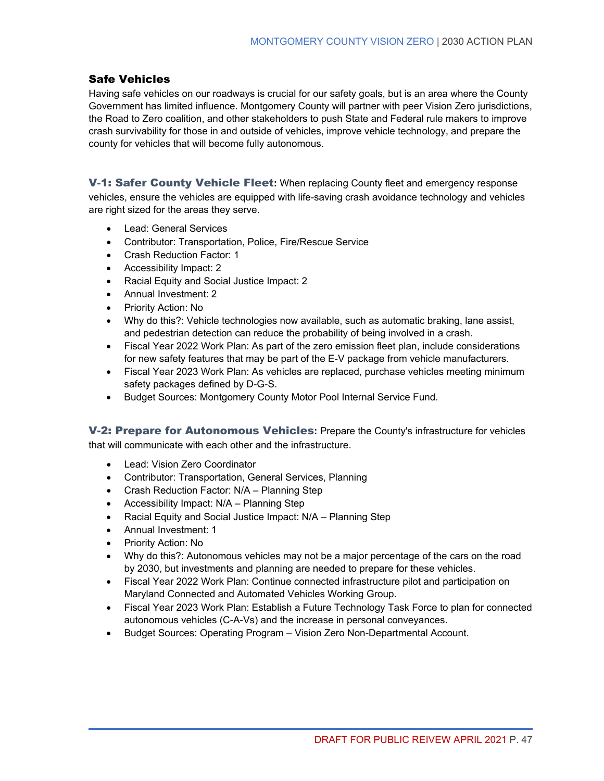### Safe Vehicles

Having safe vehicles on our roadways is crucial for our safety goals, but is an area where the County Government has limited influence. Montgomery County will partner with peer Vision Zero jurisdictions, the Road to Zero coalition, and other stakeholders to push State and Federal rule makers to improve crash survivability for those in and outside of vehicles, improve vehicle technology, and prepare the county for vehicles that will become fully autonomous.

V-1: Safer County Vehicle Fleet**:** When replacing County fleet and emergency response vehicles, ensure the vehicles are equipped with life-saving crash avoidance technology and vehicles are right sized for the areas they serve.

- Lead: General Services
- Contributor: Transportation, Police, Fire/Rescue Service
- Crash Reduction Factor: 1
- Accessibility Impact: 2
- Racial Equity and Social Justice Impact: 2
- Annual Investment: 2
- Priority Action: No
- Why do this?: Vehicle technologies now available, such as automatic braking, lane assist, and pedestrian detection can reduce the probability of being involved in a crash.
- Fiscal Year 2022 Work Plan: As part of the zero emission fleet plan, include considerations for new safety features that may be part of the E-V package from vehicle manufacturers.
- Fiscal Year 2023 Work Plan: As vehicles are replaced, purchase vehicles meeting minimum safety packages defined by D-G-S.
- Budget Sources: Montgomery County Motor Pool Internal Service Fund.

V-2: Prepare for Autonomous Vehicles**:** Prepare the County's infrastructure for vehicles that will communicate with each other and the infrastructure.

- Lead: Vision Zero Coordinator
- Contributor: Transportation, General Services, Planning
- Crash Reduction Factor: N/A Planning Step
- Accessibility Impact: N/A Planning Step
- Racial Equity and Social Justice Impact: N/A Planning Step
- Annual Investment: 1
- Priority Action: No
- Why do this?: Autonomous vehicles may not be a major percentage of the cars on the road by 2030, but investments and planning are needed to prepare for these vehicles.
- Fiscal Year 2022 Work Plan: Continue connected infrastructure pilot and participation on Maryland Connected and Automated Vehicles Working Group.
- Fiscal Year 2023 Work Plan: Establish a Future Technology Task Force to plan for connected autonomous vehicles (C-A-Vs) and the increase in personal conveyances.
- Budget Sources: Operating Program Vision Zero Non-Departmental Account.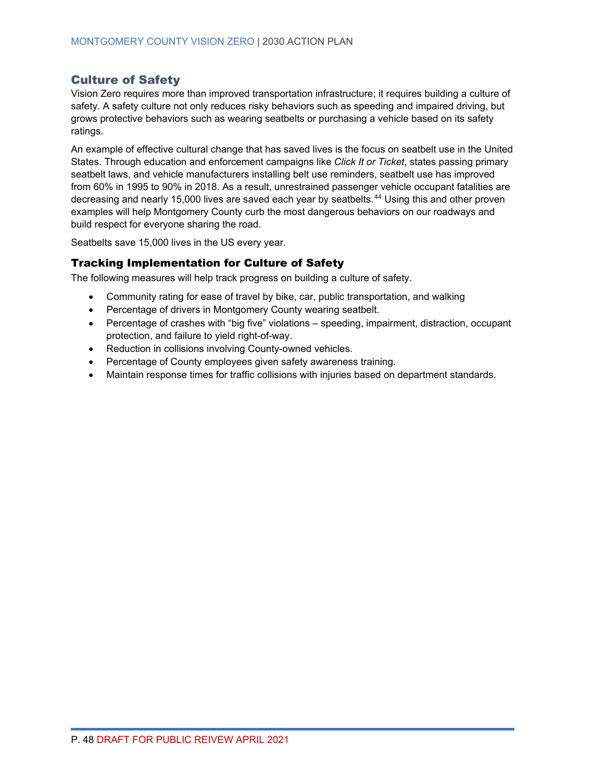### <span id="page-55-0"></span>Culture of Safety

Vision Zero requires more than improved transportation infrastructure; it requires building a culture of safety. A safety culture not only reduces risky behaviors such as speeding and impaired driving, but grows protective behaviors such as wearing seatbelts or purchasing a vehicle based on its safety ratings.

An example of effective cultural change that has saved lives is the focus on seatbelt use in the United States. Through education and enforcement campaigns like *Click It or Ticket*, states passing primary seatbelt laws, and vehicle manufacturers installing belt use reminders, seatbelt use has improved from 60% in 1995 to 90% in 2018. As a result, unrestrained passenger vehicle occupant fatalities are decreasing and nearly 15,000 lives are saved each year by seatbelts. [44](#page-69-14) Using this and other proven examples will help Montgomery County curb the most dangerous behaviors on our roadways and build respect for everyone sharing the road.

Seatbelts save 15,000 lives in the US every year.

### Tracking Implementation for Culture of Safety

The following measures will help track progress on building a culture of safety.

- Community rating for ease of travel by bike, car, public transportation, and walking
- Percentage of drivers in Montgomery County wearing seatbelt.
- Percentage of crashes with "big five" violations speeding, impairment, distraction, occupant protection, and failure to yield right-of-way.
- Reduction in collisions involving County-owned vehicles.
- Percentage of County employees given safety awareness training.
- Maintain response times for traffic collisions with injuries based on department standards.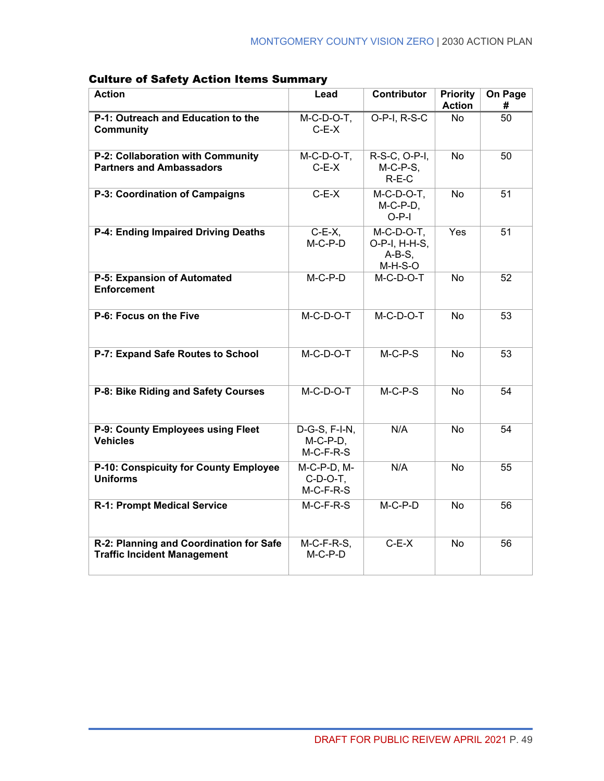| <b>Action</b>                                                                 | Lead                                          | Contributor                                              | <b>Priority</b><br><b>Action</b> | On Page<br># |
|-------------------------------------------------------------------------------|-----------------------------------------------|----------------------------------------------------------|----------------------------------|--------------|
| P-1: Outreach and Education to the<br><b>Community</b>                        | $M-C-D-O-T$ ,<br>$C-E-X$                      | O-P-I, R-S-C                                             | No                               | 50           |
| P-2: Collaboration with Community<br><b>Partners and Ambassadors</b>          | $M-C-D-O-T$ ,<br>$C-E-X$                      | R-S-C, O-P-I,<br>$M-C-P-S$ ,<br>$R-E-C$                  | <b>No</b>                        | 50           |
| P-3: Coordination of Campaigns                                                | $C-E-X$                                       | $M-C-D-O-T$ ,<br>$M-C-P-D$ ,<br>$O-P-I$                  | <b>No</b>                        | 51           |
| P-4: Ending Impaired Driving Deaths                                           | $C-E-X$ ,<br>$M-C-P-D$                        | $M-C-D-O-T$ ,<br>O-P-I, H-H-S,<br>$A-B-S$ ,<br>$M-H-S-O$ | Yes                              | 51           |
| P-5: Expansion of Automated<br><b>Enforcement</b>                             | $M-C-P-D$                                     | $M-C-D-O-T$                                              | <b>No</b>                        | 52           |
| P-6: Focus on the Five                                                        | $M-C-D-O-T$                                   | $M-C-D-O-T$                                              | <b>No</b>                        | 53           |
| P-7: Expand Safe Routes to School                                             | $M-C-D-O-T$                                   | $M-C-P-S$                                                | No.                              | 53           |
| P-8: Bike Riding and Safety Courses                                           | $M-C-D-O-T$                                   | $M-C-P-S$                                                | <b>No</b>                        | 54           |
| P-9: County Employees using Fleet<br><b>Vehicles</b>                          | $D-G-S, F-I-N,$<br>$M-C-P-D$ ,<br>$M-C-F-R-S$ | N/A                                                      | <b>No</b>                        | 54           |
| P-10: Conspicuity for County Employee<br><b>Uniforms</b>                      | M-C-P-D, M-<br>$C-D-O-T$ ,<br>$M-C-F-R-S$     | N/A                                                      | No                               | 55           |
| R-1: Prompt Medical Service                                                   | $M-C-F-R-S$                                   | $M-C-P-D$                                                | <b>No</b>                        | 56           |
| R-2: Planning and Coordination for Safe<br><b>Traffic Incident Management</b> | $M-C-F-R-S$ ,<br>$M-C-P-D$                    | $C-E-X$                                                  | No                               | 56           |

### Culture of Safety Action Items Summary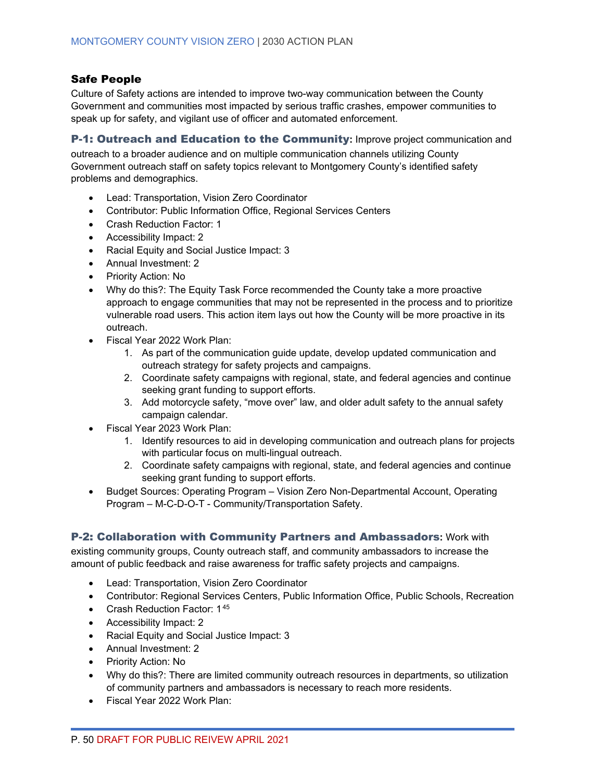### Safe People

Culture of Safety actions are intended to improve two-way communication between the County Government and communities most impacted by serious traffic crashes, empower communities to speak up for safety, and vigilant use of officer and automated enforcement.

#### P-1: Outreach and Education to the Community**:** Improve project communication and

outreach to a broader audience and on multiple communication channels utilizing County Government outreach staff on safety topics relevant to Montgomery County's identified safety problems and demographics.

- Lead: Transportation, Vision Zero Coordinator
- Contributor: Public Information Office, Regional Services Centers
- Crash Reduction Factor: 1
- Accessibility Impact: 2
- Racial Equity and Social Justice Impact: 3
- Annual Investment: 2
- Priority Action: No
- Why do this?: The Equity Task Force recommended the County take a more proactive approach to engage communities that may not be represented in the process and to prioritize vulnerable road users. This action item lays out how the County will be more proactive in its outreach.
- Fiscal Year 2022 Work Plan:
	- 1. As part of the communication guide update, develop updated communication and outreach strategy for safety projects and campaigns.
	- 2. Coordinate safety campaigns with regional, state, and federal agencies and continue seeking grant funding to support efforts.
	- 3. Add motorcycle safety, "move over" law, and older adult safety to the annual safety campaign calendar.
- Fiscal Year 2023 Work Plan:
	- 1. Identify resources to aid in developing communication and outreach plans for projects with particular focus on multi-lingual outreach.
	- 2. Coordinate safety campaigns with regional, state, and federal agencies and continue seeking grant funding to support efforts.
- Budget Sources: Operating Program Vision Zero Non-Departmental Account, Operating Program – M-C-D-O-T - Community/Transportation Safety.

#### P-2: Collaboration with Community Partners and Ambassadors**:** Work with

existing community groups, County outreach staff, and community ambassadors to increase the amount of public feedback and raise awareness for traffic safety projects and campaigns.

- Lead: Transportation, Vision Zero Coordinator
- Contributor: Regional Services Centers, Public Information Office, Public Schools, Recreation
- Crash Reduction Factor: 1[45](#page-69-15)
- Accessibility Impact: 2
- Racial Equity and Social Justice Impact: 3
- Annual Investment: 2
- Priority Action: No
- Why do this?: There are limited community outreach resources in departments, so utilization of community partners and ambassadors is necessary to reach more residents.
- Fiscal Year 2022 Work Plan: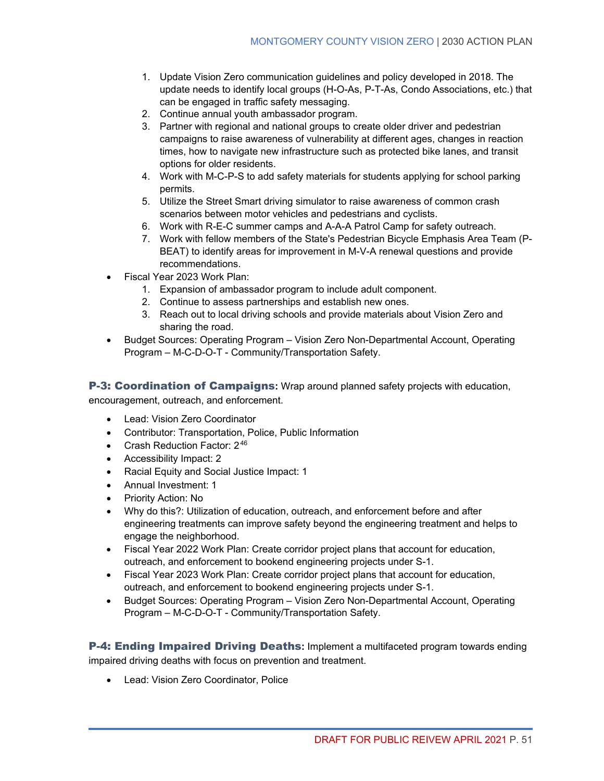- 1. Update Vision Zero communication guidelines and policy developed in 2018. The update needs to identify local groups (H-O-As, P-T-As, Condo Associations, etc.) that can be engaged in traffic safety messaging.
- 2. Continue annual youth ambassador program.
- 3. Partner with regional and national groups to create older driver and pedestrian campaigns to raise awareness of vulnerability at different ages, changes in reaction times, how to navigate new infrastructure such as protected bike lanes, and transit options for older residents.
- 4. Work with M-C-P-S to add safety materials for students applying for school parking permits.
- 5. Utilize the Street Smart driving simulator to raise awareness of common crash scenarios between motor vehicles and pedestrians and cyclists.
- 6. Work with R-E-C summer camps and A-A-A Patrol Camp for safety outreach.
- 7. Work with fellow members of the State's Pedestrian Bicycle Emphasis Area Team (P-BEAT) to identify areas for improvement in M-V-A renewal questions and provide recommendations.
- Fiscal Year 2023 Work Plan:
	- 1. Expansion of ambassador program to include adult component.
	- 2. Continue to assess partnerships and establish new ones.
	- 3. Reach out to local driving schools and provide materials about Vision Zero and sharing the road.
- Budget Sources: Operating Program Vision Zero Non-Departmental Account, Operating Program – M-C-D-O-T - Community/Transportation Safety.

P-3: Coordination of Campaigns**:** Wrap around planned safety projects with education,

encouragement, outreach, and enforcement.

- Lead: Vision Zero Coordinator
- Contributor: Transportation, Police, Public Information
- Crash Reduction Factor: 2[46](#page-69-16)
- Accessibility Impact: 2
- Racial Equity and Social Justice Impact: 1
- Annual Investment: 1
- Priority Action: No
- Why do this?: Utilization of education, outreach, and enforcement before and after engineering treatments can improve safety beyond the engineering treatment and helps to engage the neighborhood.
- Fiscal Year 2022 Work Plan: Create corridor project plans that account for education, outreach, and enforcement to bookend engineering projects under S-1.
- Fiscal Year 2023 Work Plan: Create corridor project plans that account for education, outreach, and enforcement to bookend engineering projects under S-1.
- Budget Sources: Operating Program Vision Zero Non-Departmental Account, Operating Program – M-C-D-O-T - Community/Transportation Safety.

P-4: Ending Impaired Driving Deaths**:** Implement a multifaceted program towards ending impaired driving deaths with focus on prevention and treatment.

• Lead: Vision Zero Coordinator, Police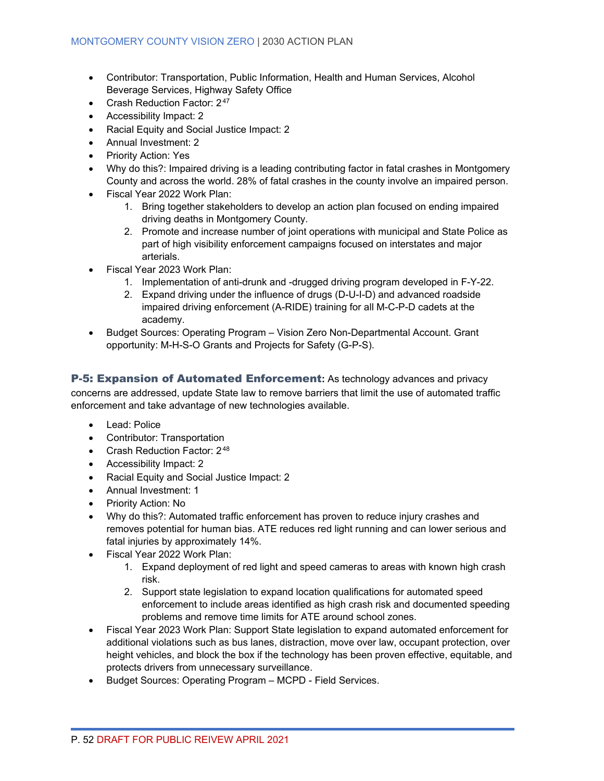- Contributor: Transportation, Public Information, Health and Human Services, Alcohol Beverage Services, Highway Safety Office
- Crash Reduction Factor: 2[47](#page-69-17)
- Accessibility Impact: 2
- Racial Equity and Social Justice Impact: 2
- Annual Investment: 2
- Priority Action: Yes
- Why do this?: Impaired driving is a leading contributing factor in fatal crashes in Montgomery County and across the world. 28% of fatal crashes in the county involve an impaired person.
- Fiscal Year 2022 Work Plan:
	- 1. Bring together stakeholders to develop an action plan focused on ending impaired driving deaths in Montgomery County.
	- 2. Promote and increase number of joint operations with municipal and State Police as part of high visibility enforcement campaigns focused on interstates and major arterials.
- Fiscal Year 2023 Work Plan:
	- 1. Implementation of anti-drunk and -drugged driving program developed in F-Y-22.
	- 2. Expand driving under the influence of drugs (D-U-I-D) and advanced roadside impaired driving enforcement (A-RIDE) training for all M-C-P-D cadets at the academy.
- Budget Sources: Operating Program Vision Zero Non-Departmental Account. Grant opportunity: M-H-S-O Grants and Projects for Safety (G-P-S).

P-5: Expansion of Automated Enforcement**:** As technology advances and privacy concerns are addressed, update State law to remove barriers that limit the use of automated traffic enforcement and take advantage of new technologies available.

- Lead: Police
- Contributor: Transportation
- Crash Reduction Factor:  $2^{48}$  $2^{48}$  $2^{48}$
- Accessibility Impact: 2
- Racial Equity and Social Justice Impact: 2
- Annual Investment: 1
- Priority Action: No
- Why do this?: Automated traffic enforcement has proven to reduce injury crashes and removes potential for human bias. ATE reduces red light running and can lower serious and fatal injuries by approximately 14%.
- Fiscal Year 2022 Work Plan:
	- 1. Expand deployment of red light and speed cameras to areas with known high crash risk.
	- 2. Support state legislation to expand location qualifications for automated speed enforcement to include areas identified as high crash risk and documented speeding problems and remove time limits for ATE around school zones.
- Fiscal Year 2023 Work Plan: Support State legislation to expand automated enforcement for additional violations such as bus lanes, distraction, move over law, occupant protection, over height vehicles, and block the box if the technology has been proven effective, equitable, and protects drivers from unnecessary surveillance.
- Budget Sources: Operating Program MCPD Field Services.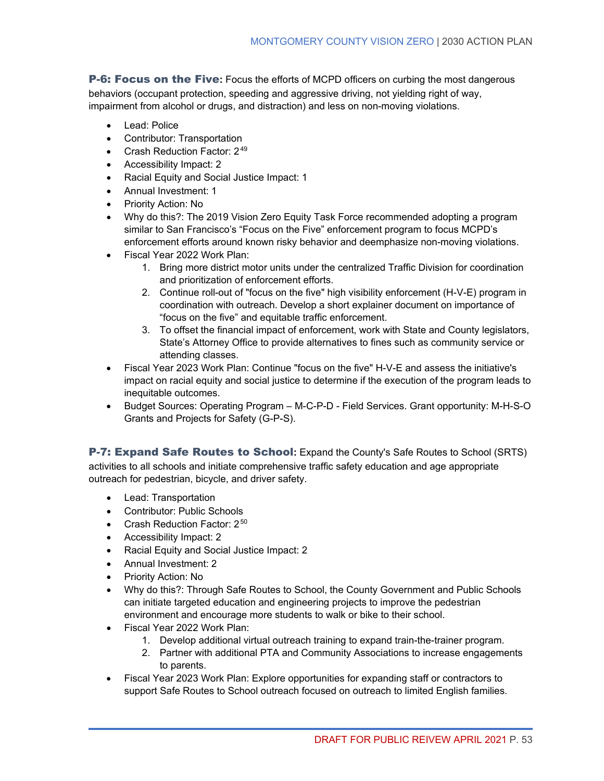P-6: Focus on the Five**:** Focus the efforts of MCPD officers on curbing the most dangerous behaviors (occupant protection, speeding and aggressive driving, not yielding right of way, impairment from alcohol or drugs, and distraction) and less on non-moving violations.

- Lead: Police
- Contributor: Transportation
- Crash Reduction Factor: 2<sup>[49](#page-69-19)</sup>
- Accessibility Impact: 2
- Racial Equity and Social Justice Impact: 1
- Annual Investment: 1
- Priority Action: No
- Why do this?: The 2019 Vision Zero Equity Task Force recommended adopting a program similar to San Francisco's "Focus on the Five" enforcement program to focus MCPD's enforcement efforts around known risky behavior and deemphasize non-moving violations.
- Fiscal Year 2022 Work Plan:
	- 1. Bring more district motor units under the centralized Traffic Division for coordination and prioritization of enforcement efforts.
	- 2. Continue roll-out of "focus on the five" high visibility enforcement (H-V-E) program in coordination with outreach. Develop a short explainer document on importance of "focus on the five" and equitable traffic enforcement.
	- 3. To offset the financial impact of enforcement, work with State and County legislators, State's Attorney Office to provide alternatives to fines such as community service or attending classes.
- Fiscal Year 2023 Work Plan: Continue "focus on the five" H-V-E and assess the initiative's impact on racial equity and social justice to determine if the execution of the program leads to inequitable outcomes.
- Budget Sources: Operating Program M-C-P-D Field Services. Grant opportunity: M-H-S-O Grants and Projects for Safety (G-P-S).

P-7: Expand Safe Routes to School**:** Expand the County's Safe Routes to School (SRTS) activities to all schools and initiate comprehensive traffic safety education and age appropriate outreach for pedestrian, bicycle, and driver safety.

- Lead: Transportation
- Contributor: Public Schools
- Crash Reduction Factor: 2[50](#page-69-20)
- Accessibility Impact: 2
- Racial Equity and Social Justice Impact: 2
- Annual Investment: 2
- Priority Action: No
- Why do this?: Through Safe Routes to School, the County Government and Public Schools can initiate targeted education and engineering projects to improve the pedestrian environment and encourage more students to walk or bike to their school.
- Fiscal Year 2022 Work Plan:
	- 1. Develop additional virtual outreach training to expand train-the-trainer program.
	- 2. Partner with additional PTA and Community Associations to increase engagements to parents.
- Fiscal Year 2023 Work Plan: Explore opportunities for expanding staff or contractors to support Safe Routes to School outreach focused on outreach to limited English families.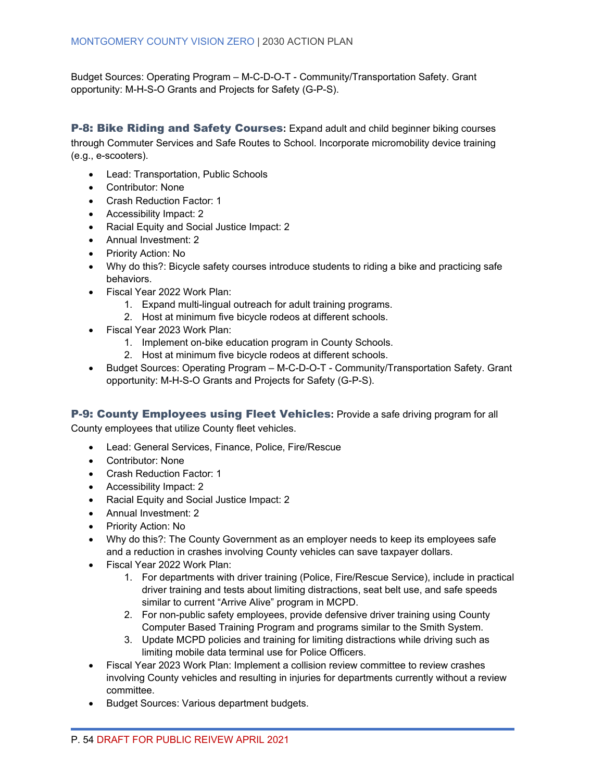Budget Sources: Operating Program – M-C-D-O-T - Community/Transportation Safety. Grant opportunity: M-H-S-O Grants and Projects for Safety (G-P-S).

P-8: Bike Riding and Safety Courses**:** Expand adult and child beginner biking courses through Commuter Services and Safe Routes to School. Incorporate micromobility device training (e.g., e-scooters).

- Lead: Transportation, Public Schools
- Contributor: None
- Crash Reduction Factor: 1
- Accessibility Impact: 2
- Racial Equity and Social Justice Impact: 2
- Annual Investment: 2
- Priority Action: No
- Why do this?: Bicycle safety courses introduce students to riding a bike and practicing safe behaviors.
- Fiscal Year 2022 Work Plan:
	- 1. Expand multi-lingual outreach for adult training programs.
	- 2. Host at minimum five bicycle rodeos at different schools.
- Fiscal Year 2023 Work Plan:
	- 1. Implement on-bike education program in County Schools.
	- 2. Host at minimum five bicycle rodeos at different schools.
- Budget Sources: Operating Program M-C-D-O-T Community/Transportation Safety. Grant opportunity: M-H-S-O Grants and Projects for Safety (G-P-S).

P-9: County Employees using Fleet Vehicles**:** Provide a safe driving program for all

County employees that utilize County fleet vehicles.

- Lead: General Services, Finance, Police, Fire/Rescue
- Contributor: None
- Crash Reduction Factor: 1
- Accessibility Impact: 2
- Racial Equity and Social Justice Impact: 2
- Annual Investment: 2
- Priority Action: No
- Why do this?: The County Government as an employer needs to keep its employees safe and a reduction in crashes involving County vehicles can save taxpayer dollars.
- Fiscal Year 2022 Work Plan:
	- 1. For departments with driver training (Police, Fire/Rescue Service), include in practical driver training and tests about limiting distractions, seat belt use, and safe speeds similar to current "Arrive Alive" program in MCPD.
	- 2. For non-public safety employees, provide defensive driver training using County Computer Based Training Program and programs similar to the Smith System.
	- 3. Update MCPD policies and training for limiting distractions while driving such as limiting mobile data terminal use for Police Officers.
- Fiscal Year 2023 Work Plan: Implement a collision review committee to review crashes involving County vehicles and resulting in injuries for departments currently without a review committee.
- Budget Sources: Various department budgets.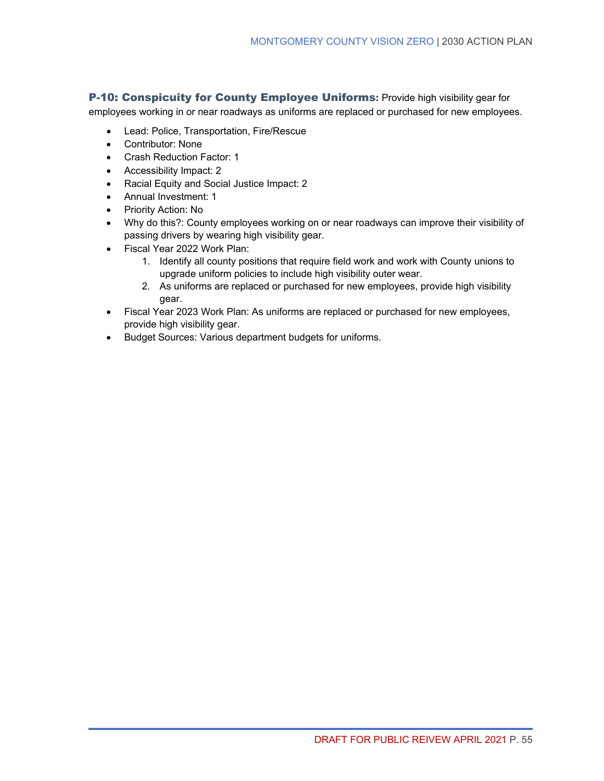P-10: Conspicuity for County Employee Uniforms**:** Provide high visibility gear for

employees working in or near roadways as uniforms are replaced or purchased for new employees.

- Lead: Police, Transportation, Fire/Rescue
- Contributor: None
- Crash Reduction Factor: 1
- Accessibility Impact: 2
- Racial Equity and Social Justice Impact: 2
- Annual Investment: 1
- Priority Action: No
- Why do this?: County employees working on or near roadways can improve their visibility of passing drivers by wearing high visibility gear.
- Fiscal Year 2022 Work Plan:
	- 1. Identify all county positions that require field work and work with County unions to upgrade uniform policies to include high visibility outer wear.
	- 2. As uniforms are replaced or purchased for new employees, provide high visibility gear.
- Fiscal Year 2023 Work Plan: As uniforms are replaced or purchased for new employees, provide high visibility gear.
- Budget Sources: Various department budgets for uniforms.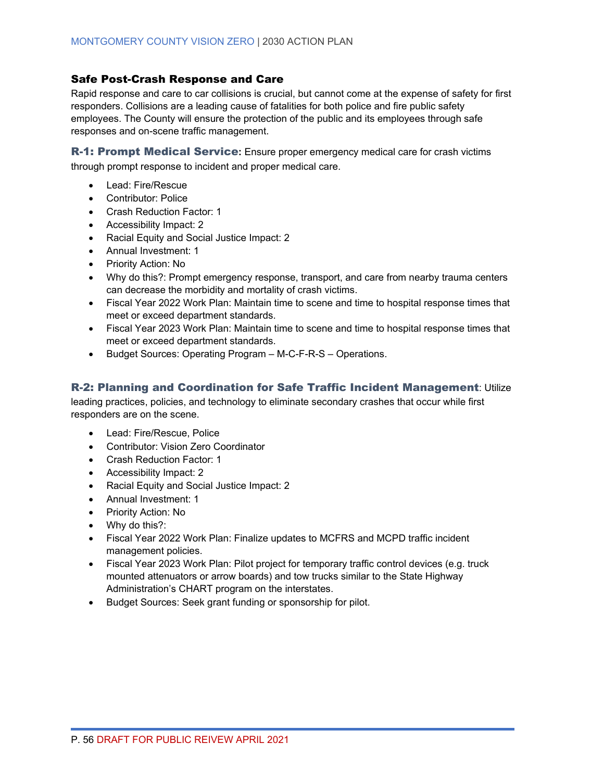#### Safe Post-Crash Response and Care

Rapid response and care to car collisions is crucial, but cannot come at the expense of safety for first responders. Collisions are a leading cause of fatalities for both police and fire public safety employees. The County will ensure the protection of the public and its employees through safe responses and on-scene traffic management.

R-1: Prompt Medical Service**:** Ensure proper emergency medical care for crash victims through prompt response to incident and proper medical care.

- Lead: Fire/Rescue
- Contributor: Police
- Crash Reduction Factor: 1
- Accessibility Impact: 2
- Racial Equity and Social Justice Impact: 2
- Annual Investment: 1
- Priority Action: No
- Why do this?: Prompt emergency response, transport, and care from nearby trauma centers can decrease the morbidity and mortality of crash victims.
- Fiscal Year 2022 Work Plan: Maintain time to scene and time to hospital response times that meet or exceed department standards.
- Fiscal Year 2023 Work Plan: Maintain time to scene and time to hospital response times that meet or exceed department standards.
- Budget Sources: Operating Program M-C-F-R-S Operations.

### R-2: Planning and Coordination for Safe Traffic Incident Management: Utilize

leading practices, policies, and technology to eliminate secondary crashes that occur while first responders are on the scene.

- Lead: Fire/Rescue, Police
- Contributor: Vision Zero Coordinator
- Crash Reduction Factor: 1
- Accessibility Impact: 2
- Racial Equity and Social Justice Impact: 2
- Annual Investment: 1
- Priority Action: No
- Why do this?:
- Fiscal Year 2022 Work Plan: Finalize updates to MCFRS and MCPD traffic incident management policies.
- Fiscal Year 2023 Work Plan: Pilot project for temporary traffic control devices (e.g. truck mounted attenuators or arrow boards) and tow trucks similar to the State Highway Administration's CHART program on the interstates.
- Budget Sources: Seek grant funding or sponsorship for pilot.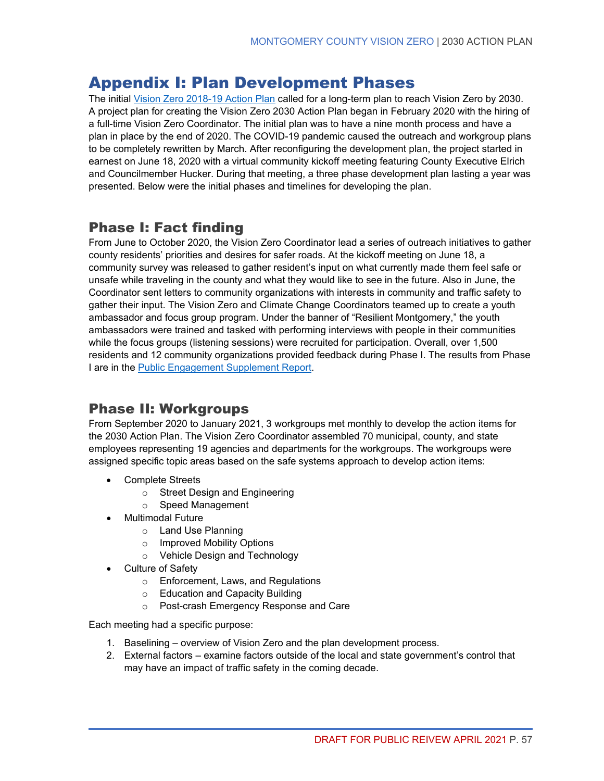# <span id="page-64-0"></span>Appendix I: Plan Development Phases

The initial [Vision Zero 2018-19 Action Plan](https://www.montgomerycountymd.gov/visionzero/Resources/Files/Montgomery_20County_20Vision_20Zero_202_20Year_20Action_20Plan.pdf) called for a long-term plan to reach Vision Zero by 2030. A project plan for creating the Vision Zero 2030 Action Plan began in February 2020 with the hiring of a full-time Vision Zero Coordinator. The initial plan was to have a nine month process and have a plan in place by the end of 2020. The COVID-19 pandemic caused the outreach and workgroup plans to be completely rewritten by March. After reconfiguring the development plan, the project started in earnest on June 18, 2020 with a virtual community kickoff meeting featuring County Executive Elrich and Councilmember Hucker. During that meeting, a three phase development plan lasting a year was presented. Below were the initial phases and timelines for developing the plan.

### Phase I: Fact finding

From June to October 2020, the Vision Zero Coordinator lead a series of outreach initiatives to gather county residents' priorities and desires for safer roads. At the kickoff meeting on June 18, a community survey was released to gather resident's input on what currently made them feel safe or unsafe while traveling in the county and what they would like to see in the future. Also in June, the Coordinator sent letters to community organizations with interests in community and traffic safety to gather their input. The Vision Zero and Climate Change Coordinators teamed up to create a youth ambassador and focus group program. Under the banner of "Resilient Montgomery," the youth ambassadors were trained and tasked with performing interviews with people in their communities while the focus groups (listening sessions) were recruited for participation. Overall, over 1,500 residents and 12 community organizations provided feedback during Phase I. The results from Phase I are in the [Public Engagement Supplement Report.](https://www.montgomerycountymd.gov/visionzero/Resources/Files/vz2030-community.pdf)

### Phase II: Workgroups

From September 2020 to January 2021, 3 workgroups met monthly to develop the action items for the 2030 Action Plan. The Vision Zero Coordinator assembled 70 municipal, county, and state employees representing 19 agencies and departments for the workgroups. The workgroups were assigned specific topic areas based on the safe systems approach to develop action items:

- Complete Streets
	- o Street Design and Engineering
	- o Speed Management
- Multimodal Future
	- o Land Use Planning
	- o Improved Mobility Options
	- o Vehicle Design and Technology
- Culture of Safety
	- o Enforcement, Laws, and Regulations
	- o Education and Capacity Building
	- o Post-crash Emergency Response and Care

Each meeting had a specific purpose:

- 1. Baselining overview of Vision Zero and the plan development process.
- 2. External factors examine factors outside of the local and state government's control that may have an impact of traffic safety in the coming decade.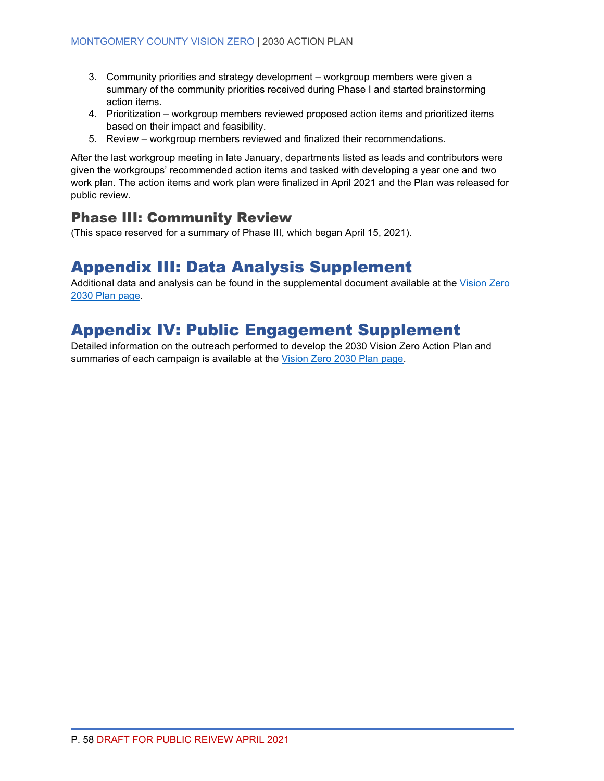- 3. Community priorities and strategy development workgroup members were given a summary of the community priorities received during Phase I and started brainstorming action items.
- 4. Prioritization workgroup members reviewed proposed action items and prioritized items based on their impact and feasibility.
- 5. Review workgroup members reviewed and finalized their recommendations.

After the last workgroup meeting in late January, departments listed as leads and contributors were given the workgroups' recommended action items and tasked with developing a year one and two work plan. The action items and work plan were finalized in April 2021 and the Plan was released for public review.

### Phase III: Community Review

(This space reserved for a summary of Phase III, which began April 15, 2021).

# <span id="page-65-0"></span>Appendix III: Data Analysis Supplement

Additional data and analysis can be found in the supplemental document available at the [Vision Zero](https://www.montgomerycountymd.gov/visionzero/Resources/Files/vz2030-data.pdf)  [2030 Plan page.](https://www.montgomerycountymd.gov/visionzero/Resources/Files/vz2030-data.pdf)

# <span id="page-65-1"></span>Appendix IV: Public Engagement Supplement

Detailed information on the outreach performed to develop the 2030 Vision Zero Action Plan and summaries of each campaign is available at the [Vision Zero 2030 Plan page.](https://www.montgomerycountymd.gov/visionzero/Resources/Files/vz2030-community.pdf)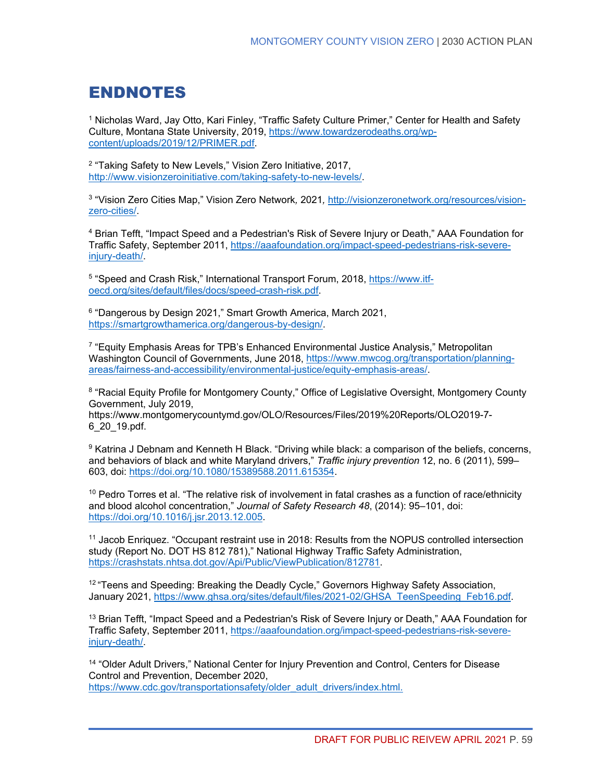# <span id="page-66-0"></span>ENDNOTES

<sup>1</sup> Nicholas Ward, Jay Otto, Kari Finley, "Traffic Safety Culture Primer," Center for Health and Safety Culture, Montana State University, 2019, [https://www.towardzerodeaths.org/wp](https://www.towardzerodeaths.org/wp-content/uploads/2019/12/PRIMER.pdf)[content/uploads/2019/12/PRIMER.pdf.](https://www.towardzerodeaths.org/wp-content/uploads/2019/12/PRIMER.pdf)

<sup>2</sup> "Taking Safety to New Levels," Vision Zero Initiative, 2017, [http://www.visionzeroinitiative.com/taking-safety-to-new-levels/.](http://www.visionzeroinitiative.com/taking-safety-to-new-levels/)

<sup>3</sup> "Vision Zero Cities Map," Vision Zero Network*,* 2021*,* [http://visionzeronetwork.org/resources/vision](http://visionzeronetwork.org/resources/vision-zero-cities/)[zero-cities/.](http://visionzeronetwork.org/resources/vision-zero-cities/)

<sup>4</sup> Brian Tefft, "Impact Speed and a Pedestrian's Risk of Severe Injury or Death," AAA Foundation for Traffic Safety, September 2011, [https://aaafoundation.org/impact-speed-pedestrians-risk-severe](https://aaafoundation.org/impact-speed-pedestrians-risk-severe-injury-death/)[injury-death/.](https://aaafoundation.org/impact-speed-pedestrians-risk-severe-injury-death/)

5 "Speed and Crash Risk," International Transport Forum, 2018, [https://www.itf](https://www.itf-oecd.org/sites/default/files/docs/speed-crash-risk.pdf)[oecd.org/sites/default/files/docs/speed-crash-risk.pdf.](https://www.itf-oecd.org/sites/default/files/docs/speed-crash-risk.pdf)

<sup>6</sup> "Dangerous by Design 2021," Smart Growth America, March 2021, [https://smartgrowthamerica.org/dangerous-by-design/.](https://smartgrowthamerica.org/dangerous-by-design/)

<sup>7</sup> "Equity Emphasis Areas for TPB's Enhanced Environmental Justice Analysis," Metropolitan Washington Council of Governments, June 2018, [https://www.mwcog.org/transportation/planning](https://www.mwcog.org/transportation/planning-areas/fairness-and-accessibility/environmental-justice/equity-emphasis-areas/)[areas/fairness-and-accessibility/environmental-justice/equity-emphasis-areas/.](https://www.mwcog.org/transportation/planning-areas/fairness-and-accessibility/environmental-justice/equity-emphasis-areas/)

<sup>8</sup> "Racial Equity Profile for Montgomery County," Office of Legislative Oversight, Montgomery County Government, July 2019,

[https://www.montgomerycountymd.gov/OLO/Resources/Files/2019%20Reports/OLO2019-7-](https://www.montgomerycountymd.gov/OLO/Resources/Files/2019%20Reports/OLO2019-7-6_20_19.pdf) [6\\_20\\_19.pdf.](https://www.montgomerycountymd.gov/OLO/Resources/Files/2019%20Reports/OLO2019-7-6_20_19.pdf)

<sup>9</sup> Katrina J Debnam and Kenneth H Black. "Driving while black: a comparison of the beliefs, concerns, and behaviors of black and white Maryland drivers," *Traffic injury prevention* 12, no. 6 (2011), 599– 603, doi: [https://doi.org/10.1080/15389588.2011.615354.](https://doi.org/10.1080/15389588.2011.615354)

 $10$  Pedro Torres et al. "The relative risk of involvement in fatal crashes as a function of race/ethnicity and blood alcohol concentration," *Journal of Safety Research 48*, (2014): 95–101, doi: [https://doi.org/10.1016/j.jsr.2013.12.005.](https://doi.org/10.1016/j.jsr.2013.12.005)

<sup>11</sup> Jacob Enriquez. "Occupant restraint use in 2018: Results from the NOPUS controlled intersection study (Report No. DOT HS 812 781)," National Highway Traffic Safety Administration, [https://crashstats.nhtsa.dot.gov/Api/Public/ViewPublication/812781.](https://crashstats.nhtsa.dot.gov/Api/Public/ViewPublication/812781)

<sup>12</sup> "Teens and Speeding: Breaking the Deadly Cycle," Governors Highway Safety Association, January 2021, [https://www.ghsa.org/sites/default/files/2021-02/GHSA\\_TeenSpeeding\\_Feb16.pdf.](https://www.ghsa.org/sites/default/files/2021-02/GHSA_TeenSpeeding_Feb16.pdf)

<sup>13</sup> Brian Tefft, "Impact Speed and a Pedestrian's Risk of Severe Injury or Death," AAA Foundation for Traffic Safety, September 2011, [https://aaafoundation.org/impact-speed-pedestrians-risk-severe](https://aaafoundation.org/impact-speed-pedestrians-risk-severe-injury-death/)[injury-death/.](https://aaafoundation.org/impact-speed-pedestrians-risk-severe-injury-death/)

<sup>14</sup> "Older Adult Drivers," National Center for Injury Prevention and Control, Centers for Disease Control and Prevention, December 2020, [https://www.cdc.gov/transportationsafety/older\\_adult\\_drivers/index.html.](https://www.cdc.gov/transportationsafety/older_adult_drivers/index.html)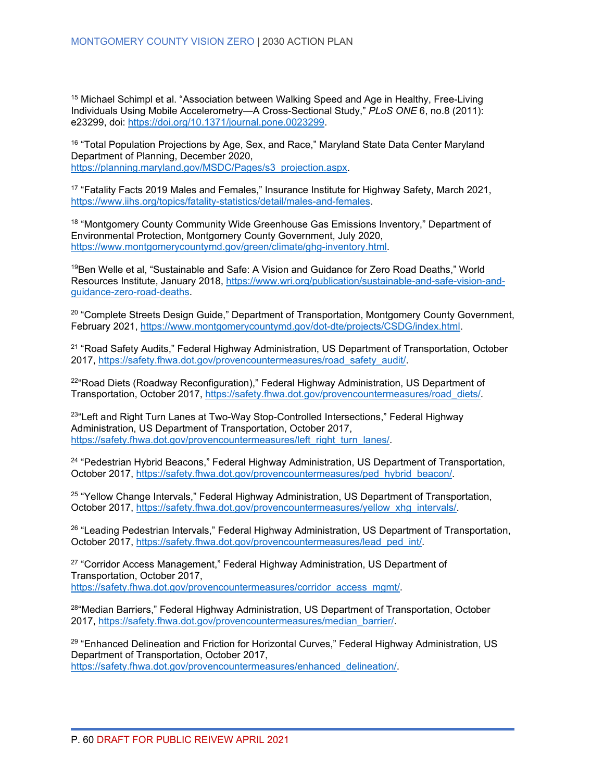<span id="page-67-0"></span><sup>15</sup> Michael Schimpl et al. "Association between Walking Speed and Age in Healthy, Free-Living Individuals Using Mobile Accelerometry—A Cross-Sectional Study," *PLoS ONE* 6, no.8 (2011): e23299, doi: [https://doi.org/10.1371/journal.pone.0023299.](https://doi.org/10.1371/journal.pone.0023299)

<span id="page-67-1"></span><sup>16</sup> "Total Population Projections by Age, Sex, and Race," Maryland State Data Center Maryland Department of Planning, December 2020, [https://planning.maryland.gov/MSDC/Pages/s3\\_projection.aspx.](https://planning.maryland.gov/MSDC/Pages/s3_projection.aspx)

<span id="page-67-2"></span><sup>17</sup> "Fatality Facts 2019 Males and Females," Insurance Institute for Highway Safety, March 2021, [https://www.iihs.org/topics/fatality-statistics/detail/males-and-females.](https://www.iihs.org/topics/fatality-statistics/detail/males-and-females)

<span id="page-67-3"></span><sup>18</sup> "Montgomery County Community Wide Greenhouse Gas Emissions Inventory," Department of Environmental Protection, Montgomery County Government, July 2020, [https://www.montgomerycountymd.gov/green/climate/ghg-inventory.html.](https://www.montgomerycountymd.gov/green/climate/ghg-inventory.html)

<span id="page-67-4"></span><sup>19</sup>Ben Welle et al, "Sustainable and Safe: A Vision and Guidance for Zero Road Deaths," World Resources Institute, January 2018, [https://www.wri.org/publication/sustainable-and-safe-vision-and](https://www.wri.org/publication/sustainable-and-safe-vision-and-guidance-zero-road-deaths)[guidance-zero-road-deaths.](https://www.wri.org/publication/sustainable-and-safe-vision-and-guidance-zero-road-deaths)

<span id="page-67-5"></span><sup>20</sup> "Complete Streets Design Guide," Department of Transportation, Montgomery County Government, February 2021, [https://www.montgomerycountymd.gov/dot-dte/projects/CSDG/index.html.](https://www.montgomerycountymd.gov/dot-dte/projects/CSDG/index.html)

<span id="page-67-6"></span><sup>21</sup> "Road Safety Audits," Federal Highway Administration, US Department of Transportation, October 2017, [https://safety.fhwa.dot.gov/provencountermeasures/road\\_safety\\_audit/.](https://safety.fhwa.dot.gov/provencountermeasures/road_safety_audit/)

<span id="page-67-7"></span><sup>22</sup>"Road Diets (Roadway Reconfiguration)," Federal Highway Administration, US Department of Transportation, October 2017, [https://safety.fhwa.dot.gov/provencountermeasures/road\\_diets/.](https://safety.fhwa.dot.gov/provencountermeasures/road_diets/)

<sup>23</sup>"Left and Right Turn Lanes at Two-Way Stop-Controlled Intersections," Federal Highway Administration, US Department of Transportation, October 2017, [https://safety.fhwa.dot.gov/provencountermeasures/left\\_right\\_turn\\_lanes/.](https://safety.fhwa.dot.gov/provencountermeasures/left_right_turn_lanes/)

<span id="page-67-8"></span><sup>24</sup> "Pedestrian Hybrid Beacons," Federal Highway Administration, US Department of Transportation, October 2017, [https://safety.fhwa.dot.gov/provencountermeasures/ped\\_hybrid\\_beacon/.](https://safety.fhwa.dot.gov/provencountermeasures/ped_hybrid_beacon/)

<span id="page-67-9"></span><sup>25</sup> "Yellow Change Intervals," Federal Highway Administration, US Department of Transportation, October 2017, [https://safety.fhwa.dot.gov/provencountermeasures/yellow\\_xhg\\_intervals/.](https://safety.fhwa.dot.gov/provencountermeasures/yellow_xhg_intervals/)

<span id="page-67-10"></span><sup>26</sup> "Leading Pedestrian Intervals," Federal Highway Administration, US Department of Transportation, October 2017, [https://safety.fhwa.dot.gov/provencountermeasures/lead\\_ped\\_int/.](https://safety.fhwa.dot.gov/provencountermeasures/lead_ped_int/)

<span id="page-67-11"></span> $27$  "Corridor Access Management," Federal Highway Administration, US Department of Transportation, October 2017, [https://safety.fhwa.dot.gov/provencountermeasures/corridor\\_access\\_mgmt/.](https://safety.fhwa.dot.gov/provencountermeasures/corridor_access_mgmt/)

<span id="page-67-12"></span>28"Median Barriers," Federal Highway Administration, US Department of Transportation, October 2017, [https://safety.fhwa.dot.gov/provencountermeasures/median\\_barrier/.](https://safety.fhwa.dot.gov/provencountermeasures/median_barrier/)

<span id="page-67-13"></span><sup>29</sup> "Enhanced Delineation and Friction for Horizontal Curves," Federal Highway Administration, US Department of Transportation, October 2017, [https://safety.fhwa.dot.gov/provencountermeasures/enhanced\\_delineation/.](https://safety.fhwa.dot.gov/provencountermeasures/enhanced_delineation/)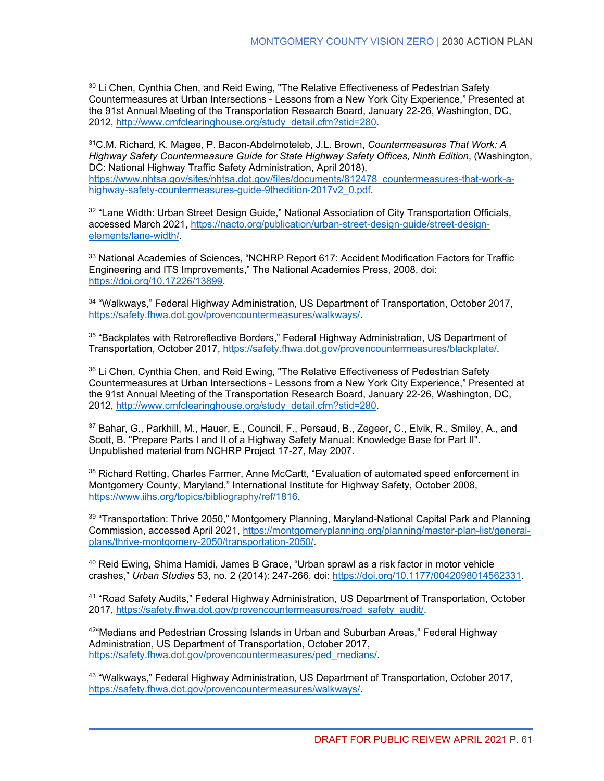<span id="page-68-0"></span><sup>30</sup> Li Chen, Cynthia Chen, and Reid Ewing, "The Relative Effectiveness of Pedestrian Safety Countermeasures at Urban Intersections - Lessons from a New York City Experience," Presented at the 91st Annual Meeting of the Transportation Research Board, January 22-26, Washington, DC, 2012, [http://www.cmfclearinghouse.org/study\\_detail.cfm?stid=280.](http://www.cmfclearinghouse.org/study_detail.cfm?stid=280)

<span id="page-68-1"></span>31C.M. Richard, K. Magee, P. Bacon-Abdelmoteleb, J.L. Brown, *Countermeasures That Work: A Highway Safety Countermeasure Guide for State Highway Safety Offices, Ninth Edition*, (Washington, DC: National Highway Traffic Safety Administration, April 2018), [https://www.nhtsa.gov/sites/nhtsa.dot.gov/files/documents/812478\\_countermeasures-that-work-a](https://www.nhtsa.gov/sites/nhtsa.dot.gov/files/documents/812478_countermeasures-that-work-a-highway-safety-countermeasures-guide-9thedition-2017v2_0.pdf)[highway-safety-countermeasures-guide-9thedition-2017v2\\_0.pdf.](https://www.nhtsa.gov/sites/nhtsa.dot.gov/files/documents/812478_countermeasures-that-work-a-highway-safety-countermeasures-guide-9thedition-2017v2_0.pdf)

<span id="page-68-3"></span><span id="page-68-2"></span><sup>32</sup> "Lane Width: Urban Street Design Guide," National Association of City Transportation Officials, accessed March 2021, [https://nacto.org/publication/urban-street-design-guide/street-design](https://nacto.org/publication/urban-street-design-guide/street-design-elements/lane-width/)[elements/lane-width/.](https://nacto.org/publication/urban-street-design-guide/street-design-elements/lane-width/)

<span id="page-68-4"></span><sup>33</sup> National Academies of Sciences, "NCHRP Report 617: Accident Modification Factors for Traffic Engineering and ITS Improvements," The National Academies Press, 2008, doi: [https://doi.org/10.17226/13899.](https://doi.org/10.17226/13899)

<span id="page-68-5"></span><sup>34</sup> "Walkways," Federal Highway Administration, US Department of Transportation, October 2017, [https://safety.fhwa.dot.gov/provencountermeasures/walkways/.](https://safety.fhwa.dot.gov/provencountermeasures/walkways/)

<span id="page-68-6"></span><sup>35</sup> "Backplates with Retroreflective Borders," Federal Highway Administration, US Department of Transportation, October 2017, [https://safety.fhwa.dot.gov/provencountermeasures/blackplate/.](https://safety.fhwa.dot.gov/provencountermeasures/blackplate/)

<span id="page-68-7"></span><sup>36</sup> Li Chen, Cynthia Chen, and Reid Ewing, "The Relative Effectiveness of Pedestrian Safety Countermeasures at Urban Intersections - Lessons from a New York City Experience," Presented at the 91st Annual Meeting of the Transportation Research Board, January 22-26, Washington, DC, 2012, [http://www.cmfclearinghouse.org/study\\_detail.cfm?stid=280.](http://www.cmfclearinghouse.org/study_detail.cfm?stid=280)

<span id="page-68-8"></span><sup>37</sup> Bahar, G., Parkhill, M., Hauer, E., Council, F., Persaud, B., Zegeer, C., Elvik, R., Smiley, A., and Scott, B. "Prepare Parts I and II of a Highway Safety Manual: Knowledge Base for Part II". Unpublished material from NCHRP Project 17-27, May 2007.

<span id="page-68-10"></span><span id="page-68-9"></span><sup>38</sup> Richard Retting, Charles Farmer, Anne McCartt, "Evaluation of automated speed enforcement in Montgomery County, Maryland," International Institute for Highway Safety, October 2008, [https://www.iihs.org/topics/bibliography/ref/1816.](https://www.iihs.org/topics/bibliography/ref/1816)

<span id="page-68-11"></span><sup>39</sup> "Transportation: Thrive 2050," Montgomery Planning, Maryland-National Capital Park and Planning Commission, accessed April 2021, [https://montgomeryplanning.org/planning/master-plan-list/general](https://montgomeryplanning.org/planning/master-plan-list/general-plans/thrive-montgomery-2050/transportation-2050/)[plans/thrive-montgomery-2050/transportation-2050/.](https://montgomeryplanning.org/planning/master-plan-list/general-plans/thrive-montgomery-2050/transportation-2050/)

<span id="page-68-12"></span> $40$  Reid Ewing, Shima Hamidi, James B Grace, "Urban sprawl as a risk factor in motor vehicle crashes," *Urban Studies* 53, no. 2 (2014): 247-266, doi: [https://doi.org/10.1177/0042098014562331.](https://doi.org/10.1177/0042098014562331)

<span id="page-68-13"></span><sup>41</sup> "Road Safety Audits," Federal Highway Administration, US Department of Transportation, October 2017, [https://safety.fhwa.dot.gov/provencountermeasures/road\\_safety\\_audit/.](https://safety.fhwa.dot.gov/provencountermeasures/road_safety_audit/)

<span id="page-68-14"></span> $42^{\mu}$ Medians and Pedestrian Crossing Islands in Urban and Suburban Areas." Federal Highway Administration, US Department of Transportation, October 2017, [https://safety.fhwa.dot.gov/provencountermeasures/ped\\_medians/.](https://safety.fhwa.dot.gov/provencountermeasures/ped_medians/)

<sup>43</sup> "Walkways," Federal Highway Administration, US Department of Transportation, October 2017, [https://safety.fhwa.dot.gov/provencountermeasures/walkways/.](https://safety.fhwa.dot.gov/provencountermeasures/walkways/)